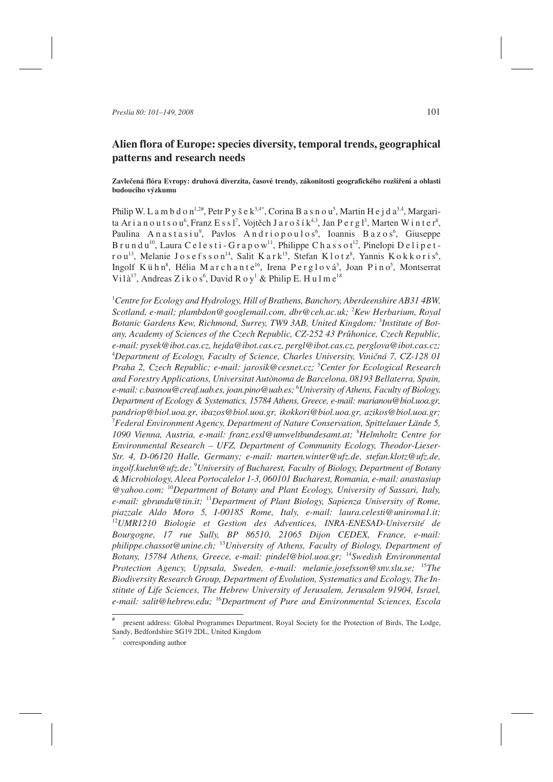# **Alien flora of Europe: species diversity, temporal trends, geographical patterns and research needs**

# **Zavlečená flóra Evropy: druhová diverzita, časové trendy, zákonitosti geografického rozšíření a oblasti budoucího výzkumu**

Philip W. L a m b d o n<sup>1,2#</sup>, Petr P y š e k<sup>3,4\*</sup>, Corina B a s n o u<sup>5</sup>, Martin H e j d a<sup>3,4</sup>, Margarita Arianoutsou $^6$ , Franz Essl<sup>7</sup>, Vojtěch Jarošík $^{4,3}$ , Jan Pergl $^3$ , Marten Winter $^8$ , Paulina Anastasiu<sup>9</sup>, Pavlos Andriopoulos<sup>6</sup>, Ioannis Bazos<sup>6</sup>, Giuseppe  $B$ rundu<sup>10</sup>, Laura C e l e s t i - G r a p o w<sup>11</sup>, Philippe C h a s s o t<sup>12</sup>, Pinelopi D e l i p e t - ${\rm r\,o\,u^{13}}$ , Melanie Josefsson $^{14}$ , Salit Kark $^{15}$ , Stefan Klotz $^8$ , Yannis Kokkoris $^6$ , Ingolf Kühn<sup>8</sup>, Hélia Marchante<sup>16</sup>, Irena Perglová<sup>3</sup>, Joan Pino<sup>5</sup>, Montserrat Vilà<sup>17</sup>, Andreas Z i k o s<sup>6</sup>, David R o y<sup>1</sup> & Philip E. H u l m e<sup>18</sup>

1 *Centre for Ecology and Hydrology, Hill of Brathens, Banchory, Aberdeenshire AB31 4BW, Scotland, e-mail; plambdon@googlemail.com, dbr@ceh.ac.uk;* <sup>2</sup> *Kew Herbarium, Royal Botanic Gardens Kew, Richmond, Surrey, TW9 3AB, United Kingdom;* <sup>3</sup> *Institute of Botany, Academy of Sciences of the Czech Republic, CZ-252 43 Průhonice, Czech Republic, e-mail: pysek@ibot.cas.cz, hejda@ibot.cas.cz, pergl@ibot.cas.cz, perglova@ibot.cas.cz;* 4 *Department of Ecology, Faculty of Science, Charles University, Viničná 7, CZ-128 01 Praha 2, Czech Republic; e-mail: jarosik@cesnet.cz;* <sup>5</sup> *Center for Ecological Research and Forestry Applications, Universitat Autònoma de Barcelona, 08193 Bellaterra, Spain, e-mail: c.basnou@creaf.uab.es, joan.pino@uab.es;* <sup>6</sup> *University of Athens, Faculty of Biology, Department of Ecology & Systematics, 15784 Athens, Greece, e-mail: marianou@biol.uoa.gr, pandriop@biol.uoa.gr, ibazos@biol.uoa.gr, ikokkori@biol.uoa.gr, azikos@biol.uoa.gr;* 7 *Federal Environment Agency, Department of Nature Conservation, Spittelauer Lände 5, 1090 Vienna, Austria, e-mail: franz.essl@umweltbundesamt.at;* <sup>8</sup> *Helmholtz Centre for Environmental Research – UFZ, Department of Community Ecology, Theodor-Lieser-Str. 4, D-06120 Halle, Germany; e-mail: marten.winter@ufz.de, stefan.klotz@ufz.de, ingolf.kuehn@ufz.de;* <sup>9</sup> *University of Bucharest, Faculty of Biology, Department of Botany & Microbiology, Aleea Portocalelor 1-3, 060101 Bucharest, Romania, e-mail: anastasiup @yahoo.com;* <sup>10</sup>*Department of Botany and Plant Ecology, University of Sassari, Italy, e-mail: gbrundu@tin.it;* <sup>11</sup>*Department of Plant Biology, Sapienza University of Rome, piazzale Aldo Moro 5, I-00185 Rome, Italy, e-mail: laura.celesti@uniroma1.it;* <sup>12</sup>*UMR1210 Biologie et Gestion des Adventices, INRA-ENESAD-Université de Bourgogne, 17 rue Sully, BP 86510, 21065 Dijon CEDEX, France, e-mail: philippe.chassot@unine.ch;* <sup>13</sup>*University of Athens, Faculty of Biology, Department of Botany, 15784 Athens, Greece, e-mail: pindel@biol.uoa.gr;* <sup>14</sup>*Swedish Environmental Protection Agency, Uppsala, Sweden, e-mail: melanie.josefsson@snv.slu.se;* <sup>15</sup>*The Biodiversity Research Group, Department of Evolution, Systematics and Ecology, The Institute of Life Sciences, The Hebrew University of Jerusalem, Jerusalem 91904, Israel, e-mail: salit@hebrew.edu;* <sup>16</sup>*Department of Pure and Environmental Sciences, Escola*

present address: Global Programmes Department, Royal Society for the Protection of Birds, The Lodge, Sandy, Bedfordshire SG19 2DL, United Kingdom

corresponding author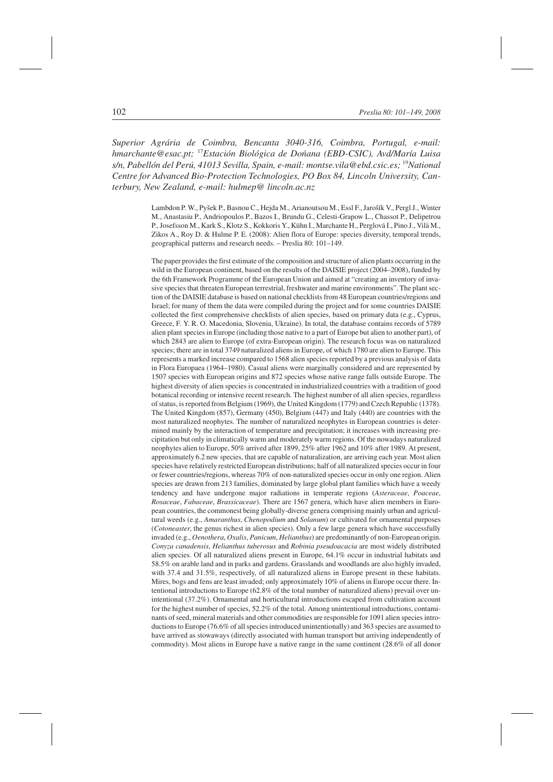*Superior Agrária de Coimbra, Bencanta 3040-316, Coimbra, Portugal, e-mail: hmarchante@esac.pt;* <sup>17</sup>*Estación Biológica de Dońana (EBD-CSIC), Avd/María Luisa s/n, Pabellón del Perú, 41013 Sevilla, Spain, e-mail: montse.vila@ebd.csic.es;* <sup>19</sup>*National Centre for Advanced Bio-Protection Technologies, PO Box 84, Lincoln University, Canterbury, New Zealand, e-mail: hulmep@ lincoln.ac.nz*

> Lambdon P. W., Pyšek P., Basnou C., Hejda M., Arianoutsou M., Essl F., Jarošík V., Pergl J., Winter M., Anastasiu P., Andriopoulos P., Bazos I., Brundu G., Celesti-Grapow L., Chassot P., Delipetrou P., Josefsson M., Kark S., Klotz S., Kokkoris Y., Kühn I., Marchante H., Perglová I., Pino J., Vilà M., Zikos A., Roy D. & Hulme P. E. (2008): Alien flora of Europe: species diversity, temporal trends, geographical patterns and research needs. – Preslia 80: 101–149.

> The paper provides the first estimate of the composition and structure of alien plants occurring in the wild in the European continent, based on the results of the DAISIE project (2004–2008), funded by the 6th Framework Programme of the European Union and aimed at "creating an inventory of invasive species that threaten European terrestrial, freshwater and marine environments". The plant section of the DAISIE database is based on national checklists from 48 European countries/regions and Israel; for many of them the data were compiled during the project and for some countries DAISIE collected the first comprehensive checklists of alien species, based on primary data (e.g., Cyprus, Greece, F. Y. R. O. Macedonia, Slovenia, Ukraine). In total, the database contains records of 5789 alien plant species in Europe (including those native to a part of Europe but alien to another part), of which 2843 are alien to Europe (of extra-European origin). The research focus was on naturalized species; there are in total 3749 naturalized aliens in Europe, of which 1780 are alien to Europe. This represents a marked increase compared to 1568 alien species reported by a previous analysis of data in Flora Europaea (1964–1980). Casual aliens were marginally considered and are represented by 1507 species with European origins and 872 species whose native range falls outside Europe. The highest diversity of alien species is concentrated in industrialized countries with a tradition of good botanical recording or intensive recent research. The highest number of all alien species, regardless of status, is reported from Belgium (1969), the United Kingdom (1779) and Czech Republic (1378). The United Kingdom (857), Germany (450), Belgium (447) and Italy (440) are countries with the most naturalized neophytes. The number of naturalized neophytes in European countries is determined mainly by the interaction of temperature and precipitation; it increases with increasing precipitation but only in climatically warm and moderately warm regions. Of the nowadays naturalized neophytes alien to Europe, 50% arrived after 1899, 25% after 1962 and 10% after 1989. At present, approximately 6.2 new species, that are capable of naturalization, are arriving each year. Most alien species have relatively restricted European distributions; half of all naturalized species occur in four or fewer countries/regions, whereas 70% of non-naturalized species occur in only one region. Alien species are drawn from 213 families, dominated by large global plant families which have a weedy tendency and have undergone major radiations in temperate regions (*Asteraceae*, *Poaceae*, *Rosaceae*, *Fabaceae*, *Brassicaceae*). There are 1567 genera, which have alien members in European countries, the commonest being globally-diverse genera comprising mainly urban and agricultural weeds (e.g., *Amaranthus*, *Chenopodium* and *Solanum*) or cultivated for ornamental purposes (*Cotoneaster*, the genus richest in alien species). Only a few large genera which have successfully invaded (e.g., *Oenothera*, *Oxalis*, *Panicum*, *Helianthus*) are predominantly of non-European origin. *Conyza canadensis*, *Helianthus tuberosus* and *Robinia pseudoacacia* are most widely distributed alien species. Of all naturalized aliens present in Europe, 64.1% occur in industrial habitats and 58.5% on arable land and in parks and gardens. Grasslands and woodlands are also highly invaded, with 37.4 and 31.5%, respectively, of all naturalized aliens in Europe present in these habitats. Mires, bogs and fens are least invaded; only approximately 10% of aliens in Europe occur there. Intentional introductions to Europe (62.8% of the total number of naturalized aliens) prevail over unintentional (37.2%). Ornamental and horticultural introductions escaped from cultivation account for the highest number of species, 52.2% of the total. Among unintentional introductions, contaminants of seed, mineral materials and other commodities are responsible for 1091 alien species introductions to Europe (76.6% of all species introduced unintentionally) and 363 species are assumed to have arrived as stowaways (directly associated with human transport but arriving independently of commodity). Most aliens in Europe have a native range in the same continent (28.6% of all donor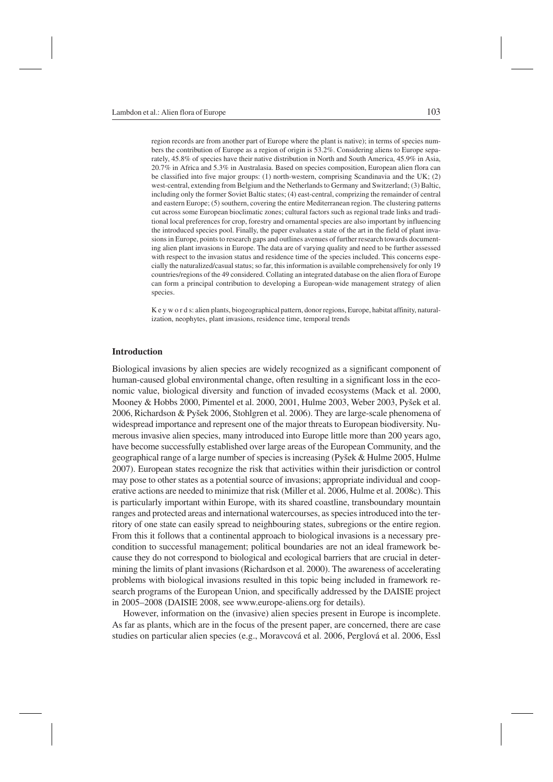region records are from another part of Europe where the plant is native); in terms of species numbers the contribution of Europe as a region of origin is 53.2%. Considering aliens to Europe separately, 45.8% of species have their native distribution in North and South America, 45.9% in Asia, 20.7% in Africa and 5.3% in Australasia. Based on species composition, European alien flora can be classified into five major groups: (1) north-western, comprising Scandinavia and the UK; (2) west-central, extending from Belgium and the Netherlands to Germany and Switzerland; (3) Baltic, including only the former Soviet Baltic states; (4) east-central, comprizing the remainder of central and eastern Europe; (5) southern, covering the entire Mediterranean region. The clustering patterns cut across some European bioclimatic zones; cultural factors such as regional trade links and traditional local preferences for crop, forestry and ornamental species are also important by influencing the introduced species pool. Finally, the paper evaluates a state of the art in the field of plant invasions in Europe, points to research gaps and outlines avenues of further research towards documenting alien plant invasions in Europe. The data are of varying quality and need to be further assessed with respect to the invasion status and residence time of the species included. This concerns especially the naturalized/casual status; so far, this information is available comprehensively for only 19 countries/regions of the 49 considered. Collating an integrated database on the alien flora of Europe can form a principal contribution to developing a European-wide management strategy of alien species.

K e y w o r d s: alien plants, biogeographical pattern, donor regions, Europe, habitat affinity, naturalization, neophytes, plant invasions, residence time, temporal trends

# **Introduction**

Biological invasions by alien species are widely recognized as a significant component of human-caused global environmental change, often resulting in a significant loss in the economic value, biological diversity and function of invaded ecosystems (Mack et al. 2000, Mooney & Hobbs 2000, Pimentel et al. 2000, 2001, Hulme 2003, Weber 2003, Pyšek et al. 2006, Richardson & Pyšek 2006, Stohlgren et al. 2006). They are large-scale phenomena of widespread importance and represent one of the major threats to European biodiversity. Numerous invasive alien species, many introduced into Europe little more than 200 years ago, have become successfully established over large areas of the European Community, and the geographical range of a large number of species is increasing (Pyšek & Hulme 2005, Hulme 2007). European states recognize the risk that activities within their jurisdiction or control may pose to other states as a potential source of invasions; appropriate individual and cooperative actions are needed to minimize that risk (Miller et al. 2006, Hulme et al. 2008c). This is particularly important within Europe, with its shared coastline, transboundary mountain ranges and protected areas and international watercourses, as speciesintroduced into the territory of one state can easily spread to neighbouring states, subregions or the entire region. From this it follows that a continental approach to biological invasions is a necessary precondition to successful management; political boundaries are not an ideal framework because they do not correspond to biological and ecological barriers that are crucial in determining the limits of plant invasions (Richardson et al. 2000). The awareness of accelerating problems with biological invasions resulted in this topic being included in framework research programs of the European Union, and specifically addressed by the DAISIE project in 2005–2008 (DAISIE 2008, see www.europe-aliens.org for details).

However, information on the (invasive) alien species present in Europe is incomplete. As far as plants, which are in the focus of the present paper, are concerned, there are case studies on particular alien species (e.g., Moravcová et al. 2006, Perglová et al. 2006, Essl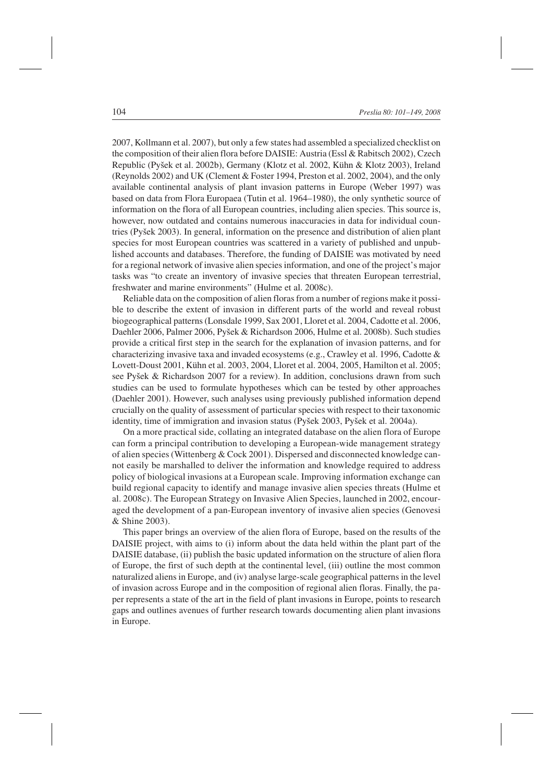2007, Kollmann et al. 2007), but only a few states had assembled a specialized checklist on the composition of their alien flora before DAISIE: Austria (Essl & Rabitsch 2002), Czech Republic (Pyšek et al. 2002b), Germany (Klotz et al. 2002, Kühn & Klotz 2003), Ireland (Reynolds 2002) and UK (Clement & Foster 1994, Preston et al. 2002, 2004), and the only available continental analysis of plant invasion patterns in Europe (Weber 1997) was based on data from Flora Europaea (Tutin et al. 1964–1980), the only synthetic source of information on the flora of all European countries, including alien species. This source is, however, now outdated and contains numerous inaccuracies in data for individual countries (Pyšek 2003). In general, information on the presence and distribution of alien plant species for most European countries was scattered in a variety of published and unpublished accounts and databases. Therefore, the funding of DAISIE was motivated by need for a regional network of invasive alien species information, and one of the project's major tasks was "to create an inventory of invasive species that threaten European terrestrial, freshwater and marine environments" (Hulme et al. 2008c).

Reliable data on the composition of alien floras from a number of regions make it possible to describe the extent of invasion in different parts of the world and reveal robust biogeographical patterns (Lonsdale 1999, Sax 2001, Lloret et al. 2004, Cadotte et al. 2006, Daehler 2006, Palmer 2006, Pyšek & Richardson 2006, Hulme et al. 2008b). Such studies provide a critical first step in the search for the explanation of invasion patterns, and for characterizing invasive taxa and invaded ecosystems (e.g., Crawley et al. 1996, Cadotte & Lovett-Doust 2001, Kühn et al. 2003, 2004, Lloret et al. 2004, 2005, Hamilton et al. 2005; see Pyšek & Richardson 2007 for a review). In addition, conclusions drawn from such studies can be used to formulate hypotheses which can be tested by other approaches (Daehler 2001). However, such analyses using previously published information depend crucially on the quality of assessment of particular species with respect to their taxonomic identity, time of immigration and invasion status (Pyšek 2003, Pyšek et al. 2004a).

On a more practical side, collating an integrated database on the alien flora of Europe can form a principal contribution to developing a European-wide management strategy of alien species (Wittenberg & Cock 2001). Dispersed and disconnected knowledge cannot easily be marshalled to deliver the information and knowledge required to address policy of biological invasions at a European scale. Improving information exchange can build regional capacity to identify and manage invasive alien species threats (Hulme et al. 2008c). The European Strategy on Invasive Alien Species, launched in 2002, encouraged the development of a pan-European inventory of invasive alien species (Genovesi & Shine 2003).

This paper brings an overview of the alien flora of Europe, based on the results of the DAISIE project, with aims to (i) inform about the data held within the plant part of the DAISIE database, (ii) publish the basic updated information on the structure of alien flora of Europe, the first of such depth at the continental level, (iii) outline the most common naturalized aliens in Europe, and (iv) analyse large-scale geographical patterns in the level of invasion across Europe and in the composition of regional alien floras. Finally, the paper represents a state of the art in the field of plant invasions in Europe, points to research gaps and outlines avenues of further research towards documenting alien plant invasions in Europe.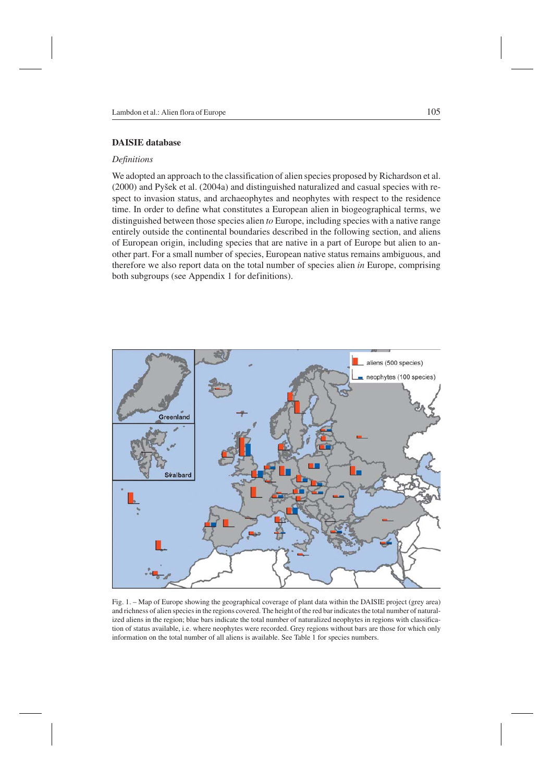# **DAISIE database**

# *Definitions*

We adopted an approach to the classification of alien species proposed by Richardson et al. (2000) and Pyšek et al. (2004a) and distinguished naturalized and casual species with respect to invasion status, and archaeophytes and neophytes with respect to the residence time. In order to define what constitutes a European alien in biogeographical terms, we distinguished between those species alien *to* Europe, including species with a native range entirely outside the continental boundaries described in the following section, and aliens of European origin, including species that are native in a part of Europe but alien to another part. For a small number of species, European native status remains ambiguous, and therefore we also report data on the total number of species alien *in* Europe, comprising both subgroups (see Appendix 1 for definitions).



Fig. 1. – Map of Europe showing the geographical coverage of plant data within the DAISIE project (grey area) and richness of alien species in the regions covered. The height of the red bar indicates the total number of naturalized aliens in the region; blue bars indicate the total number of naturalized neophytes in regions with classification of status available, i.e. where neophytes were recorded. Grey regions without bars are those for which only information on the total number of all aliens is available. See Table 1 for species numbers.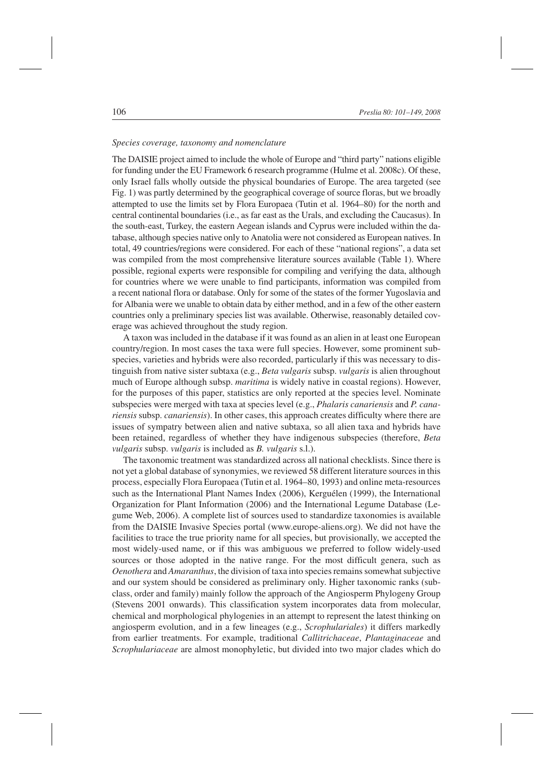# *Species coverage, taxonomy and nomenclature*

The DAISIE project aimed to include the whole of Europe and "third party" nations eligible for funding under the EU Framework 6 research programme (Hulme et al. 2008c). Of these, only Israel falls wholly outside the physical boundaries of Europe. The area targeted (see Fig. 1) was partly determined by the geographical coverage of source floras, but we broadly attempted to use the limits set by Flora Europaea (Tutin et al. 1964–80) for the north and central continental boundaries (i.e., as far east as the Urals, and excluding the Caucasus). In the south-east, Turkey, the eastern Aegean islands and Cyprus were included within the database, although species native only to Anatolia were not considered as European natives. In total, 49 countries/regions were considered. For each of these "national regions", a data set was compiled from the most comprehensive literature sources available (Table 1). Where possible, regional experts were responsible for compiling and verifying the data, although for countries where we were unable to find participants, information was compiled from a recent national flora or database. Only for some of the states of the former Yugoslavia and for Albania were we unable to obtain data by either method, and in a few of the other eastern countries only a preliminary species list was available. Otherwise, reasonably detailed coverage was achieved throughout the study region.

A taxon was included in the database if it was found as an alien in at least one European country/region. In most cases the taxa were full species. However, some prominent subspecies, varieties and hybrids were also recorded, particularly if this was necessary to distinguish from native sister subtaxa (e.g., *Beta vulgaris* subsp. *vulgaris* is alien throughout much of Europe although subsp. *maritima* is widely native in coastal regions). However, for the purposes of this paper, statistics are only reported at the species level. Nominate subspecies were merged with taxa at species level (e.g., *Phalaris canariensis* and *P. canariensis* subsp. *canariensis*). In other cases, this approach creates difficulty where there are issues of sympatry between alien and native subtaxa, so all alien taxa and hybrids have been retained, regardless of whether they have indigenous subspecies (therefore, *Beta vulgaris* subsp. *vulgaris* is included as *B. vulgaris* s.l.).

The taxonomic treatment was standardized across all national checklists. Since there is not yet a global database of synonymies, we reviewed 58 different literature sources in this process, especially Flora Europaea (Tutin et al. 1964–80, 1993) and online meta-resources such as the International Plant Names Index (2006), Kerguélen (1999), the International Organization for Plant Information (2006) and the International Legume Database (Legume Web, 2006). A complete list of sources used to standardize taxonomies is available from the DAISIE Invasive Species portal (www.europe-aliens.org). We did not have the facilities to trace the true priority name for all species, but provisionally, we accepted the most widely-used name, or if this was ambiguous we preferred to follow widely-used sources or those adopted in the native range. For the most difficult genera, such as *Oenothera* and *Amaranthus*, the division of taxa into species remains somewhat subjective and our system should be considered as preliminary only. Higher taxonomic ranks (subclass, order and family) mainly follow the approach of the Angiosperm Phylogeny Group (Stevens 2001 onwards). This classification system incorporates data from molecular, chemical and morphological phylogenies in an attempt to represent the latest thinking on angiosperm evolution, and in a few lineages (e.g., *Scrophulariales*) it differs markedly from earlier treatments. For example, traditional *Callitrichaceae*, *Plantaginaceae* and *Scrophulariaceae* are almost monophyletic, but divided into two major clades which do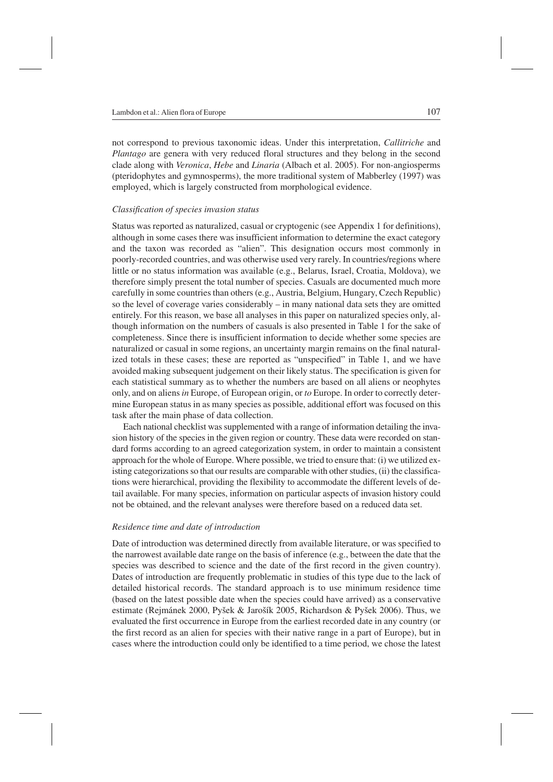not correspond to previous taxonomic ideas. Under this interpretation, *Callitriche* and *Plantago* are genera with very reduced floral structures and they belong in the second clade along with *Veronica*, *Hebe* and *Linaria* (Albach et al. 2005). For non-angiosperms (pteridophytes and gymnosperms), the more traditional system of Mabberley (1997) was employed, which is largely constructed from morphological evidence.

# *Classification of species invasion status*

Status was reported as naturalized, casual or cryptogenic (see Appendix 1 for definitions), although in some cases there was insufficient information to determine the exact category and the taxon was recorded as "alien". This designation occurs most commonly in poorly-recorded countries, and was otherwise used very rarely. In countries/regions where little or no status information was available (e.g., Belarus, Israel, Croatia, Moldova), we therefore simply present the total number of species. Casuals are documented much more carefully in some countries than others (e.g., Austria, Belgium, Hungary, Czech Republic) so the level of coverage varies considerably – in many national data sets they are omitted entirely. For this reason, we base all analyses in this paper on naturalized species only, although information on the numbers of casuals is also presented in Table 1 for the sake of completeness. Since there is insufficient information to decide whether some species are naturalized or casual in some regions, an uncertainty margin remains on the final naturalized totals in these cases; these are reported as "unspecified" in Table 1, and we have avoided making subsequent judgement on their likely status. The specification is given for each statistical summary as to whether the numbers are based on all aliens or neophytes only, and on aliens*in* Europe, of European origin, or *to* Europe. In order to correctly determine European status in as many species as possible, additional effort was focused on this task after the main phase of data collection.

Each national checklist was supplemented with a range of information detailing the invasion history of the species in the given region or country. These data were recorded on standard forms according to an agreed categorization system, in order to maintain a consistent approach for the whole of Europe. Where possible, we tried to ensure that: (i) we utilized existing categorizations so that our results are comparable with other studies, (ii) the classifications were hierarchical, providing the flexibility to accommodate the different levels of detail available. For many species, information on particular aspects of invasion history could not be obtained, and the relevant analyses were therefore based on a reduced data set.

### *Residence time and date of introduction*

Date of introduction was determined directly from available literature, or was specified to the narrowest available date range on the basis of inference (e.g., between the date that the species was described to science and the date of the first record in the given country). Dates of introduction are frequently problematic in studies of this type due to the lack of detailed historical records. The standard approach is to use minimum residence time (based on the latest possible date when the species could have arrived) as a conservative estimate (Rejmánek 2000, Pyšek & Jarošík 2005, Richardson & Pyšek 2006). Thus, we evaluated the first occurrence in Europe from the earliest recorded date in any country (or the first record as an alien for species with their native range in a part of Europe), but in cases where the introduction could only be identified to a time period, we chose the latest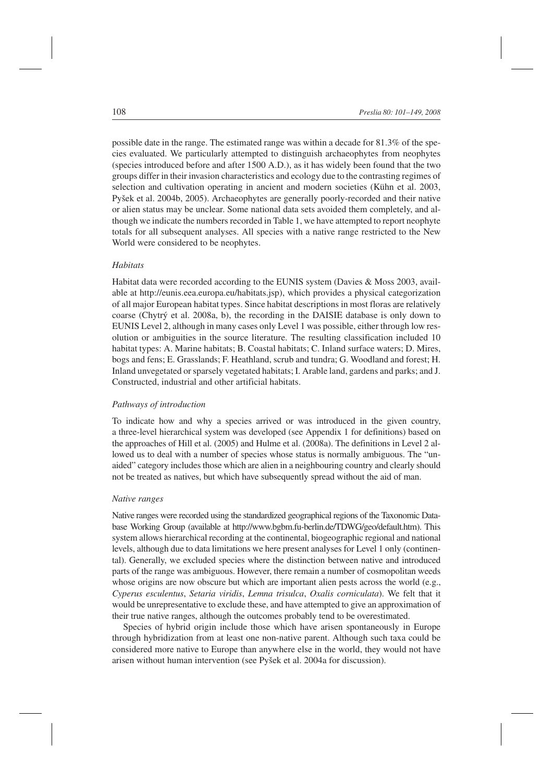possible date in the range. The estimated range was within a decade for 81.3% of the species evaluated. We particularly attempted to distinguish archaeophytes from neophytes (species introduced before and after 1500 A.D.), as it has widely been found that the two groups differ in their invasion characteristics and ecology due to the contrasting regimes of selection and cultivation operating in ancient and modern societies (Kühn et al. 2003, Pyšek et al. 2004b, 2005). Archaeophytes are generally poorly-recorded and their native or alien status may be unclear. Some national data sets avoided them completely, and although we indicate the numbers recorded in Table 1, we have attempted to report neophyte totals for all subsequent analyses. All species with a native range restricted to the New World were considered to be neophytes.

# *Habitats*

Habitat data were recorded according to the EUNIS system (Davies & Moss 2003, available at http://eunis.eea.europa.eu/habitats.jsp), which provides a physical categorization of all major European habitat types. Since habitat descriptions in most floras are relatively coarse (Chytrý et al. 2008a, b), the recording in the DAISIE database is only down to EUNIS Level 2, although in many cases only Level 1 was possible, either through low resolution or ambiguities in the source literature. The resulting classification included 10 habitat types: A. Marine habitats; B. Coastal habitats; C. Inland surface waters; D. Mires, bogs and fens; E. Grasslands; F. Heathland, scrub and tundra; G. Woodland and forest; H. Inland unvegetated or sparsely vegetated habitats; I. Arable land, gardens and parks; and J. Constructed, industrial and other artificial habitats.

# *Pathways of introduction*

To indicate how and why a species arrived or was introduced in the given country, a three-level hierarchical system was developed (see Appendix 1 for definitions) based on the approaches of Hill et al. (2005) and Hulme et al. (2008a). The definitions in Level 2 allowed us to deal with a number of species whose status is normally ambiguous. The "unaided" category includes those which are alien in a neighbouring country and clearly should not be treated as natives, but which have subsequently spread without the aid of man.

# *Native ranges*

Native ranges were recorded using the standardized geographical regions of the Taxonomic Database Working Group (available at http://www.bgbm.fu-berlin.de/TDWG/geo/default.htm). This system allows hierarchical recording at the continental, biogeographic regional and national levels, although due to data limitations we here present analyses for Level 1 only (continental). Generally, we excluded species where the distinction between native and introduced parts of the range was ambiguous. However, there remain a number of cosmopolitan weeds whose origins are now obscure but which are important alien pests across the world (e.g., *Cyperus esculentus*, *Setaria viridis*, *Lemna trisulca*, *Oxalis corniculata*). We felt that it would be unrepresentative to exclude these, and have attempted to give an approximation of their true native ranges, although the outcomes probably tend to be overestimated.

Species of hybrid origin include those which have arisen spontaneously in Europe through hybridization from at least one non-native parent. Although such taxa could be considered more native to Europe than anywhere else in the world, they would not have arisen without human intervention (see Pyšek et al. 2004a for discussion).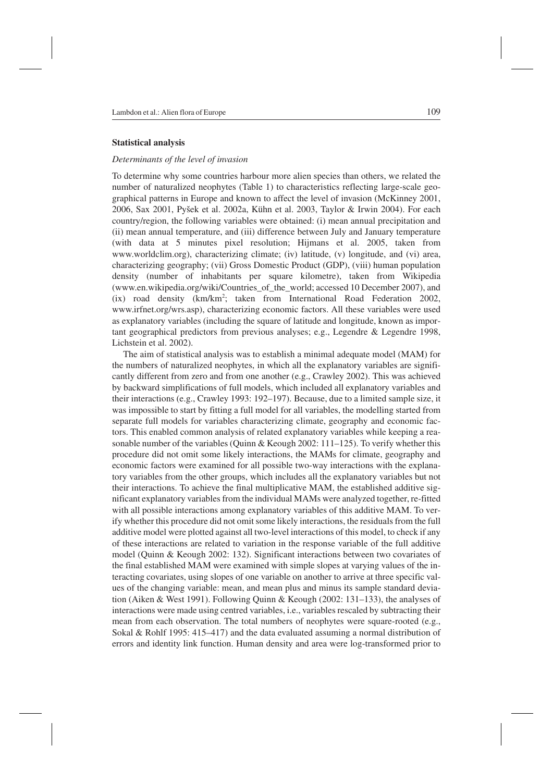#### **Statistical analysis**

# *Determinants of the level of invasion*

To determine why some countries harbour more alien species than others, we related the number of naturalized neophytes (Table 1) to characteristics reflecting large-scale geographical patterns in Europe and known to affect the level of invasion (McKinney 2001, 2006, Sax 2001, Pyšek et al. 2002a, Kühn et al. 2003, Taylor & Irwin 2004). For each country/region, the following variables were obtained: (i) mean annual precipitation and (ii) mean annual temperature, and (iii) difference between July and January temperature (with data at 5 minutes pixel resolution; Hijmans et al. 2005, taken from www.worldclim.org), characterizing climate; (iv) latitude, (v) longitude, and (vi) area, characterizing geography; (vii) Gross Domestic Product (GDP), (viii) human population density (number of inhabitants per square kilometre), taken from Wikipedia (www.en.wikipedia.org/wiki/Countries\_of\_the\_world; accessed 10 December 2007), and (ix) road density (km/km2 ; taken from International Road Federation 2002, www.irfnet.org/wrs.asp), characterizing economic factors. All these variables were used as explanatory variables (including the square of latitude and longitude, known as important geographical predictors from previous analyses; e.g., Legendre & Legendre 1998, Lichstein et al. 2002).

The aim of statistical analysis was to establish a minimal adequate model (MAM) for the numbers of naturalized neophytes, in which all the explanatory variables are significantly different from zero and from one another (e.g., Crawley 2002). This was achieved by backward simplifications of full models, which included all explanatory variables and their interactions (e.g., Crawley 1993: 192–197). Because, due to a limited sample size, it was impossible to start by fitting a full model for all variables, the modelling started from separate full models for variables characterizing climate, geography and economic factors. This enabled common analysis of related explanatory variables while keeping a reasonable number of the variables (Quinn & Keough 2002:  $111-125$ ). To verify whether this procedure did not omit some likely interactions, the MAMs for climate, geography and economic factors were examined for all possible two-way interactions with the explanatory variables from the other groups, which includes all the explanatory variables but not their interactions. To achieve the final multiplicative MAM, the established additive significant explanatory variables from the individual MAMs were analyzed together, re-fitted with all possible interactions among explanatory variables of this additive MAM. To verify whether this procedure did not omit some likely interactions, the residuals from the full additive model were plotted against all two-level interactions of this model, to check if any of these interactions are related to variation in the response variable of the full additive model (Quinn & Keough 2002: 132). Significant interactions between two covariates of the final established MAM were examined with simple slopes at varying values of the interacting covariates, using slopes of one variable on another to arrive at three specific values of the changing variable: mean, and mean plus and minus its sample standard deviation (Aiken & West 1991). Following Quinn & Keough (2002: 131–133), the analyses of interactions were made using centred variables, i.e., variables rescaled by subtracting their mean from each observation. The total numbers of neophytes were square-rooted (e.g., Sokal & Rohlf 1995: 415–417) and the data evaluated assuming a normal distribution of errors and identity link function. Human density and area were log-transformed prior to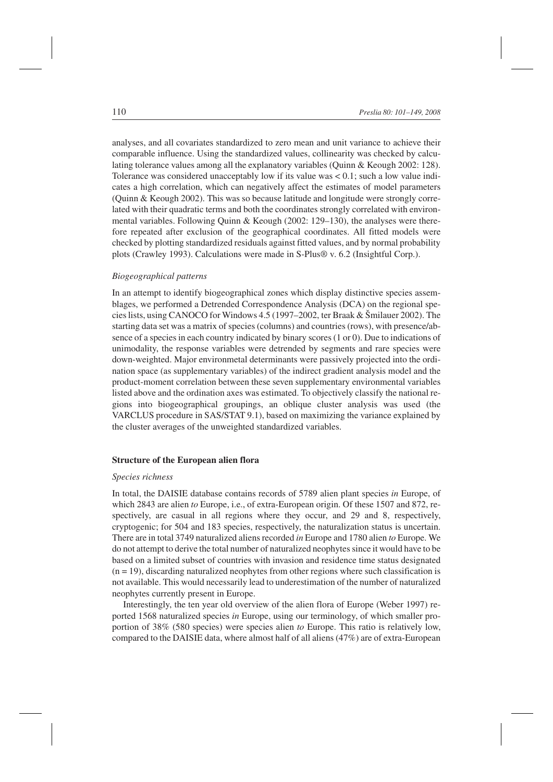analyses, and all covariates standardized to zero mean and unit variance to achieve their comparable influence. Using the standardized values, collinearity was checked by calculating tolerance values among all the explanatory variables (Quinn & Keough 2002: 128). Tolerance was considered unacceptably low if its value was  $\lt 0.1$ ; such a low value indicates a high correlation, which can negatively affect the estimates of model parameters (Quinn & Keough 2002). This was so because latitude and longitude were strongly correlated with their quadratic terms and both the coordinates strongly correlated with environmental variables. Following Quinn & Keough (2002: 129–130), the analyses were therefore repeated after exclusion of the geographical coordinates. All fitted models were checked by plotting standardized residuals against fitted values, and by normal probability plots (Crawley 1993). Calculations were made in S-Plus® v. 6.2 (Insightful Corp.).

# *Biogeographical patterns*

In an attempt to identify biogeographical zones which display distinctive species assemblages, we performed a Detrended Correspondence Analysis (DCA) on the regional species lists, using CANOCO for Windows 4.5 (1997–2002, ter Braak & Šmilauer 2002). The starting data set was a matrix of species (columns) and countries (rows), with presence/absence of a species in each country indicated by binary scores (1 or 0). Due to indications of unimodality, the response variables were detrended by segments and rare species were down-weighted. Major environmetal determinants were passively projected into the ordination space (as supplementary variables) of the indirect gradient analysis model and the product-moment correlation between these seven supplementary environmental variables listed above and the ordination axes was estimated. To objectively classify the national regions into biogeographical groupings, an oblique cluster analysis was used (the VARCLUS procedure in SAS/STAT 9.1), based on maximizing the variance explained by the cluster averages of the unweighted standardized variables.

### **Structure of the European alien flora**

### *Species richness*

In total, the DAISIE database contains records of 5789 alien plant species *in* Europe, of which 2843 are alien *to* Europe, i.e., of extra-European origin. Of these 1507 and 872, respectively, are casual in all regions where they occur, and 29 and 8, respectively, cryptogenic; for 504 and 183 species, respectively, the naturalization status is uncertain. There are in total 3749 naturalized aliens recorded *in* Europe and 1780 alien *to* Europe. We do not attempt to derive the total number of naturalized neophytes since it would have to be based on a limited subset of countries with invasion and residence time status designated  $(n = 19)$ , discarding naturalized neophytes from other regions where such classification is not available. This would necessarily lead to underestimation of the number of naturalized neophytes currently present in Europe.

Interestingly, the ten year old overview of the alien flora of Europe (Weber 1997) reported 1568 naturalized species *in* Europe, using our terminology, of which smaller proportion of 38% (580 species) were species alien *to* Europe. This ratio is relatively low, compared to the DAISIE data, where almost half of all aliens (47%) are of extra-European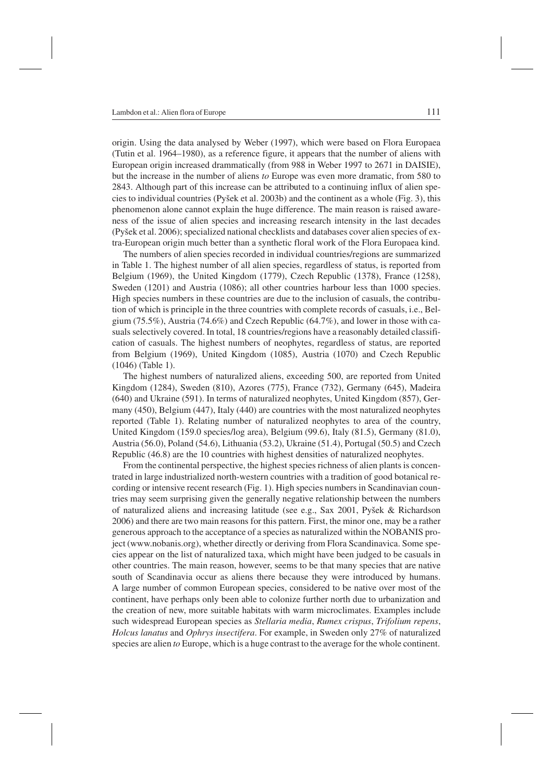origin. Using the data analysed by Weber (1997), which were based on Flora Europaea (Tutin et al. 1964–1980), as a reference figure, it appears that the number of aliens with European origin increased drammatically (from 988 in Weber 1997 to 2671 in DAISIE), but the increase in the number of aliens *to* Europe was even more dramatic, from 580 to 2843. Although part of this increase can be attributed to a continuing influx of alien species to individual countries (Pyšek et al. 2003b) and the continent as a whole (Fig. 3), this phenomenon alone cannot explain the huge difference. The main reason is raised awareness of the issue of alien species and increasing research intensity in the last decades (Pyšek et al. 2006); specialized national checklists and databases cover alien species of extra-European origin much better than a synthetic floral work of the Flora Europaea kind.

The numbers of alien species recorded in individual countries/regions are summarized in Table 1. The highest number of all alien species, regardless of status, is reported from Belgium (1969), the United Kingdom (1779), Czech Republic (1378), France (1258), Sweden (1201) and Austria (1086); all other countries harbour less than 1000 species. High species numbers in these countries are due to the inclusion of casuals, the contribution of which is principle in the three countries with complete records of casuals, i.e., Belgium (75.5%), Austria (74.6%) and Czech Republic (64.7%), and lower in those with casuals selectively covered. In total, 18 countries/regions have a reasonably detailed classification of casuals. The highest numbers of neophytes, regardless of status, are reported from Belgium (1969), United Kingdom (1085), Austria (1070) and Czech Republic (1046) (Table 1).

The highest numbers of naturalized aliens, exceeding 500, are reported from United Kingdom (1284), Sweden (810), Azores (775), France (732), Germany (645), Madeira (640) and Ukraine (591). In terms of naturalized neophytes, United Kingdom (857), Germany (450), Belgium (447), Italy (440) are countries with the most naturalized neophytes reported (Table 1). Relating number of naturalized neophytes to area of the country, United Kingdom (159.0 species/log area), Belgium (99.6), Italy (81.5), Germany (81.0), Austria (56.0), Poland (54.6), Lithuania (53.2), Ukraine (51.4), Portugal (50.5) and Czech Republic (46.8) are the 10 countries with highest densities of naturalized neophytes.

From the continental perspective, the highest species richness of alien plants is concentrated in large industrialized north-western countries with a tradition of good botanical recording or intensive recent research (Fig. 1). High species numbers in Scandinavian countries may seem surprising given the generally negative relationship between the numbers of naturalized aliens and increasing latitude (see e.g., Sax 2001, Pyšek & Richardson 2006) and there are two main reasons for this pattern. First, the minor one, may be a rather generous approach to the acceptance of a species as naturalized within the NOBANIS project (www.nobanis.org), whether directly or deriving from Flora Scandinavica. Some species appear on the list of naturalized taxa, which might have been judged to be casuals in other countries. The main reason, however, seems to be that many species that are native south of Scandinavia occur as aliens there because they were introduced by humans. A large number of common European species, considered to be native over most of the continent, have perhaps only been able to colonize further north due to urbanization and the creation of new, more suitable habitats with warm microclimates. Examples include such widespread European species as *Stellaria media*, *Rumex crispus*, *Trifolium repens*, *Holcus lanatus* and *Ophrys insectifera*. For example, in Sweden only 27% of naturalized species are alien *to* Europe, which is a huge contrast to the average for the whole continent.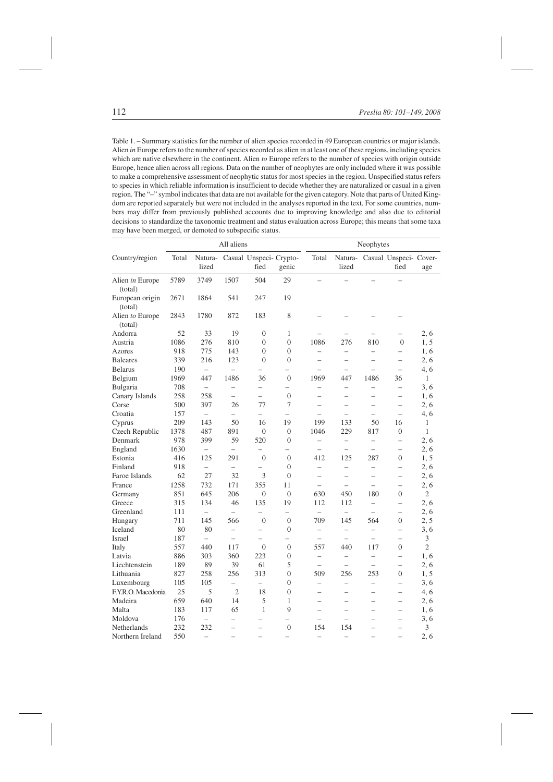Table 1. – Summary statistics for the number of alien species recorded in 49 European countries or major islands. Alien *in* Europe refers to the number of species recorded as alien in at least one of these regions, including species which are native elsewhere in the continent. Alien *to* Europe refers to the number of species with origin outside Europe, hence alien across all regions. Data on the number of neophytes are only included where it was possible to make a comprehensive assessment of neophytic status for most species in the region. Unspecified status refers to species in which reliable information is insufficient to decide whether they are naturalized or casual in a given region. The "–" symbol indicates that data are not available for the given category. Note that parts of United Kingdom are reported separately but were not included in the analyses reported in the text. For some countries, numbers may differ from previously published accounts due to improving knowledge and also due to editorial decisions to standardize the taxonomic treatment and status evaluation across Europe; this means that some taxa may have been merged, or demoted to subspecific status.

|                            |       |                          | All aliens               |                                         |                          |                          |                          | Neophytes                |                                        |                |
|----------------------------|-------|--------------------------|--------------------------|-----------------------------------------|--------------------------|--------------------------|--------------------------|--------------------------|----------------------------------------|----------------|
| Country/region             | Total | lized                    |                          | Natura- Casual Unspeci- Crypto-<br>fied | genic                    | Total                    | lized                    |                          | Natura- Casual Unspeci- Cover-<br>fied | age            |
| Alien <i>in</i> Europe     | 5789  | 3749                     | 1507                     | 504                                     | 29                       | $\overline{\phantom{0}}$ | $\overline{\phantom{0}}$ | $\overline{\phantom{0}}$ |                                        |                |
| (total)                    |       |                          |                          |                                         |                          |                          |                          |                          |                                        |                |
| European origin<br>(total) | 2671  | 1864                     | 541                      | 247                                     | 19                       |                          |                          |                          |                                        |                |
| Alien to Europe<br>(total) | 2843  | 1780                     | 872                      | 183                                     | 8                        |                          |                          |                          |                                        |                |
| Andorra                    | 52    | 33                       | 19                       | $\overline{0}$                          | 1                        |                          |                          |                          | $\qquad \qquad -$                      | 2, 6           |
| Austria                    | 1086  | 276                      | 810                      | $\overline{0}$                          | $\overline{0}$           | 1086                     | 276                      | 810                      | $\overline{0}$                         | 1, 5           |
| Azores                     | 918   | 775                      | 143                      | $\overline{0}$                          | $\overline{0}$           | $\overline{\phantom{0}}$ | $\overline{\phantom{0}}$ | $\overline{\phantom{0}}$ | $\overline{\phantom{0}}$               | 1,6            |
| <b>Baleares</b>            | 339   | 216                      | 123                      | $\overline{0}$                          | $\overline{0}$           | $\equiv$                 | $\overline{\phantom{0}}$ | $\equiv$                 | $\overline{\phantom{0}}$               | 2, 6           |
| <b>Belarus</b>             | 190   | $\overline{\phantom{0}}$ | $\overline{\phantom{0}}$ | $\overline{\phantom{0}}$                | $\overline{\phantom{0}}$ | $\overline{\phantom{0}}$ | $\overline{\phantom{0}}$ | $\equiv$                 | $\overline{\phantom{0}}$               | 4, 6           |
| Belgium                    | 1969  | 447                      | 1486                     | 36                                      | $\mathbf{0}$             | 1969                     | 447                      | 1486                     | 36                                     | 1              |
| Bulgaria                   | 708   | $\overline{\phantom{0}}$ | $\overline{\phantom{0}}$ | $\overline{\phantom{0}}$                | $\overline{\phantom{0}}$ | $\overline{\phantom{0}}$ | $\qquad \qquad -$        | $\overline{\phantom{0}}$ | $\overline{\phantom{0}}$               | 3, 6           |
| Canary Islands             | 258   | 258                      | $\overline{\phantom{0}}$ | $\overline{\phantom{0}}$                | $\boldsymbol{0}$         | $\overline{a}$           | $\overline{\phantom{0}}$ | $\overline{\phantom{0}}$ | $\overline{\phantom{0}}$               | 1,6            |
| Corse                      | 500   | 397                      | 26                       | 77                                      | 7                        | $\overline{\phantom{0}}$ | $\overline{\phantom{0}}$ | $\overline{\phantom{0}}$ | $\overline{\phantom{0}}$               | 2, 6           |
| Croatia                    | 157   | $\overline{\phantom{0}}$ | $\overline{\phantom{0}}$ | $\overline{\phantom{0}}$                | $\overline{\phantom{0}}$ | $\overline{\phantom{0}}$ | $\overline{\phantom{0}}$ | $\overline{\phantom{0}}$ | $\overline{\phantom{0}}$               | 4, 6           |
| Cyprus                     | 209   | 143                      | 50                       | 16                                      | 19                       | 199                      | 133                      | 50                       | 16                                     | 1              |
| Czech Republic             | 1378  | 487                      | 891                      | $\overline{0}$                          | $\overline{0}$           | 1046                     | 229                      | 817                      | $\overline{0}$                         | $\mathbf{1}$   |
| Denmark                    | 978   | 399                      | 59                       | 520                                     | $\boldsymbol{0}$         | $\overline{\phantom{0}}$ | $\overline{\phantom{0}}$ | $\qquad \qquad -$        | $\overline{\phantom{0}}$               | 2, 6           |
| England                    | 1630  | $\overline{\phantom{0}}$ | $\overline{\phantom{0}}$ | $\overline{\phantom{0}}$                | $\overline{\phantom{0}}$ | $\overline{\phantom{0}}$ | $\overline{\phantom{0}}$ | $\overline{\phantom{0}}$ | $\overline{\phantom{0}}$               | 2, 6           |
| Estonia                    | 416   | 125                      | 291                      | $\overline{0}$                          | $\overline{0}$           | 412                      | 125                      | 287                      | $\overline{0}$                         | 1, 5           |
| Finland                    | 918   | $\overline{\phantom{0}}$ | $\overline{\phantom{0}}$ | $\overline{\phantom{a}}$                | $\overline{0}$           | $\overline{\phantom{0}}$ | $\overline{\phantom{0}}$ | $\overline{\phantom{a}}$ | $\overline{\phantom{0}}$               | 2,6            |
| Faroe Islands              | 62    | 27                       | 32                       | 3                                       | $\overline{0}$           | $\overline{\phantom{0}}$ | $\overline{\phantom{0}}$ | $\equiv$                 | $\overline{\phantom{0}}$               | 2,6            |
| France                     | 1258  | 732                      | 171                      | 355                                     | 11                       | $\overline{\phantom{0}}$ | $\overline{\phantom{0}}$ | $\overline{\phantom{0}}$ | $\overline{a}$                         | 2,6            |
| Germany                    | 851   | 645                      | 206                      | $\overline{0}$                          | $\overline{0}$           | 630                      | 450                      | 180                      | $\overline{0}$                         | $\overline{2}$ |
| Greece                     | 315   | 134                      | 46                       | 135                                     | 19                       | 112                      | 112                      | $\overline{\phantom{0}}$ | $\overline{\phantom{0}}$               | 2, 6           |
| Greenland                  | 111   | $\overline{\phantom{0}}$ | $\overline{\phantom{0}}$ | ∸                                       | $\overline{\phantom{0}}$ | $\overline{\phantom{0}}$ | $\overline{\phantom{0}}$ |                          | $\overline{\phantom{0}}$               | 2, 6           |
| Hungary                    | 711   | 145                      | 566                      | $\overline{0}$                          | $\overline{0}$           | 709                      | 145                      | 564                      | $\overline{0}$                         | 2, 5           |
| Iceland                    | 80    | 80                       | $\overline{\phantom{0}}$ | $\overline{\phantom{0}}$                | $\overline{0}$           | $\overline{\phantom{0}}$ | $\overline{a}$           | $\overline{\phantom{0}}$ | $\overline{\phantom{0}}$               | 3, 6           |
| Israel                     | 187   | $\overline{\phantom{0}}$ | $\overline{\phantom{0}}$ | $\overline{\phantom{a}}$                |                          | $\overline{\phantom{0}}$ | $\overline{\phantom{0}}$ | $\overline{\phantom{0}}$ | $\overline{\phantom{0}}$               | 3              |
| Italy                      | 557   | 440                      | 117                      | $\overline{0}$                          | $\overline{0}$           | 557                      | 440                      | 117                      | $\overline{0}$                         | $\overline{2}$ |
| Latvia                     | 886   | 303                      | 360                      | 223                                     | $\mathbf{0}$             | $\overline{\phantom{0}}$ | $\overline{\phantom{0}}$ | $\overline{\phantom{0}}$ | $\overline{\phantom{0}}$               | 1,6            |
| Liechtenstein              | 189   | 89                       | 39                       | 61                                      | 5                        | $\overline{\phantom{0}}$ | $\overline{\phantom{0}}$ | $\overline{\phantom{0}}$ | $\overline{\phantom{0}}$               | 2, 6           |
| Lithuania                  | 827   | 258                      | 256                      | 313                                     | $\overline{0}$           | 509                      | 256                      | 253                      | $\overline{0}$                         | 1, 5           |
| Luxembourg                 | 105   | 105                      | $\overline{\phantom{0}}$ | $\overline{\phantom{0}}$                | 0                        | $\overline{\phantom{0}}$ | $\overline{\phantom{0}}$ | $\overline{a}$           | $\overline{\phantom{0}}$               | 3, 6           |
| F.Y.R.O. Macedonia         | 25    | 5                        | $\overline{2}$           | 18                                      | $\overline{0}$           | $\overline{\phantom{0}}$ | -                        |                          | $\overline{\phantom{0}}$               | 4, 6           |
| Madeira                    | 659   | 640                      | 14                       | 5                                       | $\mathbf{1}$             | $\overline{\phantom{0}}$ | $\overline{\phantom{0}}$ | $\overline{\phantom{0}}$ | $\overline{\phantom{0}}$               | 2, 6           |
| Malta                      | 183   | 117                      | 65                       | $\mathbf{1}$                            | 9                        | $\overline{\phantom{0}}$ | $\overline{\phantom{0}}$ | $\overline{a}$           | $\overline{a}$                         | 1, 6           |
| Moldova                    | 176   | $\overline{\phantom{0}}$ | $\overline{\phantom{0}}$ |                                         |                          | $\overline{\phantom{0}}$ | $\overline{\phantom{0}}$ |                          | $\overline{\phantom{0}}$               | 3, 6           |
| Netherlands                | 232   | 232                      | $\overline{\phantom{0}}$ | $\overline{\phantom{0}}$                | $\boldsymbol{0}$         | 154                      | 154                      | $\overline{\phantom{0}}$ | $\overline{\phantom{0}}$               | 3              |
| Northern Ireland           | 550   | $\overline{\phantom{0}}$ | $\overline{\phantom{a}}$ | $\overline{\phantom{0}}$                | $\overline{\phantom{a}}$ | $\overline{\phantom{0}}$ | $\overline{\phantom{a}}$ | $\overline{\phantom{0}}$ |                                        | 2,6            |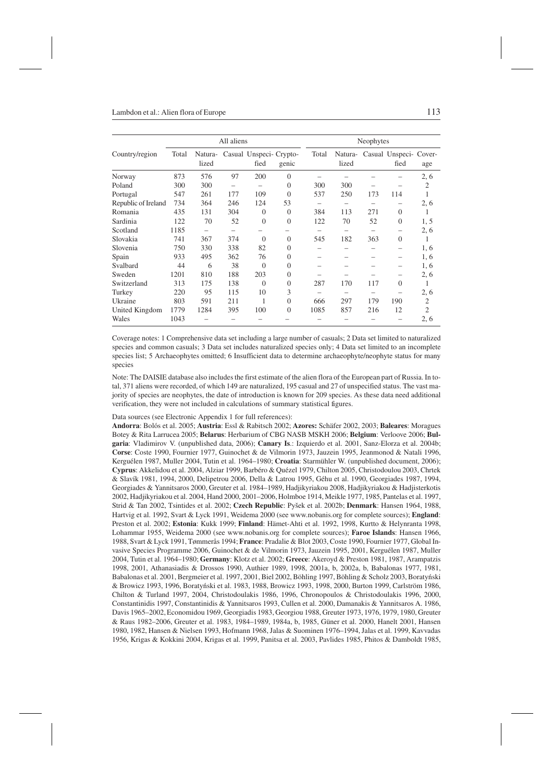|                     |       |                  | All aliens               |                                |                |       |                  | Neophytes |                                |                |
|---------------------|-------|------------------|--------------------------|--------------------------------|----------------|-------|------------------|-----------|--------------------------------|----------------|
| Country/region      | Total | Natura-<br>lized |                          | Casual Unspeci-Crypto-<br>fied | genic          | Total | Natura-<br>lized |           | Casual Unspeci- Cover-<br>fied | age            |
| Norway              | 873   | 576              | 97                       | 200                            | $\mathbf{0}$   |       |                  |           |                                | 2, 6           |
| Poland              | 300   | 300              | $\overline{\phantom{0}}$ |                                | $\overline{0}$ | 300   | 300              |           |                                | $\overline{2}$ |
| Portugal            | 547   | 261              | 177                      | 109                            | $\overline{0}$ | 537   | 250              | 173       | 114                            | 1              |
| Republic of Ireland | 734   | 364              | 246                      | 124                            | 53             |       |                  |           |                                | 2, 6           |
| Romania             | 435   | 131              | 304                      | $\overline{0}$                 | $\overline{0}$ | 384   | 113              | 271       | $\Omega$                       | 1              |
| Sardinia            | 122   | 70               | 52                       | $\boldsymbol{0}$               | $\overline{0}$ | 122   | 70               | 52        | $\mathbf{0}$                   | 1, 5           |
| Scotland            | 1185  |                  |                          |                                |                |       |                  |           |                                | 2, 6           |
| Slovakia            | 741   | 367              | 374                      | $\Omega$                       | 0              | 545   | 182              | 363       | $\Omega$                       | 1              |
| Slovenia            | 750   | 330              | 338                      | 82                             | 0              |       |                  |           | $\overline{\phantom{0}}$       | 1, 6           |
| Spain               | 933   | 495              | 362                      | 76                             | $\theta$       |       |                  |           |                                | 1, 6           |
| Svalbard            | 44    | 6                | 38                       | $\theta$                       | $\mathbf{0}$   |       |                  |           | $\qquad \qquad$                | 1, 6           |
| Sweden              | 1201  | 810              | 188                      | 203                            | $\mathbf{0}$   |       |                  |           |                                | 2, 6           |
| Switzerland         | 313   | 175              | 138                      | $\overline{0}$                 | $\overline{0}$ | 287   | 170              | 117       | $\Omega$                       | 1              |
| Turkey              | 220   | 95               | 115                      | 10                             | 3              |       |                  |           |                                | 2, 6           |
| Ukraine             | 803   | 591              | 211                      | 1                              | $\overline{0}$ | 666   | 297              | 179       | 190                            | $\overline{2}$ |
| United Kingdom      | 1779  | 1284             | 395                      | 100                            | $\overline{0}$ | 1085  | 857              | 216       | 12                             | $\overline{2}$ |
| Wales               | 1043  |                  |                          |                                |                |       |                  |           |                                | 2, 6           |

Coverage notes: 1 Comprehensive data set including a large number of casuals; 2 Data set limited to naturalized species and common casuals; 3 Data set includes naturalized species only; 4 Data set limited to an incomplete species list; 5 Archaeophytes omitted; 6 Insufficient data to determine archaeophyte/neophyte status for many species

Note: The DAISIE database also includes the first estimate of the alien flora of the European part of Russia. In total, 371 aliens were recorded, of which 149 are naturalized, 195 casual and 27 of unspecified status. The vast majority of species are neophytes, the date of introduction is known for 209 species. As these data need additional verification, they were not included in calculations of summary statistical figures.

#### Data sources (see Electronic Appendix 1 for full references):

**Andorra**: Bolós et al. 2005; **Austria**: Essl & Rabitsch 2002; **Azores:** Schäfer 2002, 2003; **Baleares**: Moragues Botey & Rita Larrucea 2005; **Belarus**: Herbarium of CBG NASB MSKH 2006; **Belgium**: Verloove 2006; **Bulgaria**: Vladimirov V. (unpublished data, 2006); **Canary Is**.: Izquierdo et al. 2001, Sanz-Elorza et al. 2004b; **Corse**: Coste 1990, Fournier 1977, Guinochet & de Vilmorin 1973, Jauzein 1995, Jeanmonod & Natali 1996, Kerguélen 1987, Muller 2004, Tutin et al. 1964–1980; **Croatia**: Starmühler W. (unpublished document, 2006); **Cyprus**: Akkelidou et al. 2004, Alziar 1999, Barbéro & Quézel 1979, Chilton 2005, Christodoulou 2003, Chrtek & Slavík 1981, 1994, 2000, Delipetrou 2006, Della & Latrou 1995, Géhu et al. 1990, Georgiades 1987, 1994, Georgiades & Yannitsaros 2000, Greuter et al. 1984–1989, Hadjikyriakou 2008, Hadjikyriakou & Hadjisterkotis 2002, Hadjikyriakou et al. 2004, Hand 2000, 2001–2006, Holmboe 1914, Meikle 1977, 1985, Pantelas et al. 1997, Strid & Tan 2002, Tsintides et al. 2002; **Czech Republic**: Pyšek et al. 2002b; **Denmark**: Hansen 1964, 1988, Hartvig et al. 1992, Svart & Lyck 1991, Weidema 2000 (see www.nobanis.org for complete sources); **England**: Preston et al. 2002; **Estonia**: Kukk 1999; **Finland**: Hämet-Ahti et al. 1992, 1998, Kurtto & Helynranta 1998, Lohammar 1955, Weidema 2000 (see www.nobanis.org for complete sources); **Faroe Islands**: Hansen 1966, 1988, Svart & Lyck 1991, Tømmerås 1994; **France**: Pradalie & Blot 2003, Coste 1990, Fournier 1977, Global Invasive Species Programme 2006, Guinochet & de Vilmorin 1973, Jauzein 1995, 2001, Kerguélen 1987, Muller 2004, Tutin et al. 1964–1980; **Germany**: Klotz et al. 2002; **Greece**: Akeroyd & Preston 1981, 1987, Arampatzis 1998, 2001, Athanasiadis & Drossos 1990, Authier 1989, 1998, 2001a, b, 2002a, b, Babalonas 1977, 1981, Babalonas et al. 2001, Bergmeier et al. 1997, 2001, Biel 2002, Böhling 1997, Böhling & Scholz 2003, Boratyński & Browicz 1993, 1996, Boratyński et al. 1983, 1988, Browicz 1993, 1998, 2000, Burton 1999, Carlström 1986, Chilton & Turland 1997, 2004, Christodoulakis 1986, 1996, Chronopoulos & Christodoulakis 1996, 2000, Constantinidis 1997, Constantinidis & Yannitsaros 1993, Cullen et al. 2000, Damanakis & Yannitsaros A. 1986, Davis 1965–2002, Economidou 1969, Georgiadis 1983, Georgiou 1988, Greuter 1973, 1976, 1979, 1980, Greuter & Raus 1982–2006, Greuter et al. 1983, 1984–1989, 1984a, b, 1985, Güner et al. 2000, Hanelt 2001, Hansen 1980, 1982, Hansen & Nielsen 1993, Hofmann 1968, Jalas & Suominen 1976–1994, Jalas et al. 1999, Kavvadas 1956, Krigas & Kokkini 2004, Krigas et al. 1999, Panitsa et al. 2003, Pavlides 1985, Phitos & Damboldt 1985,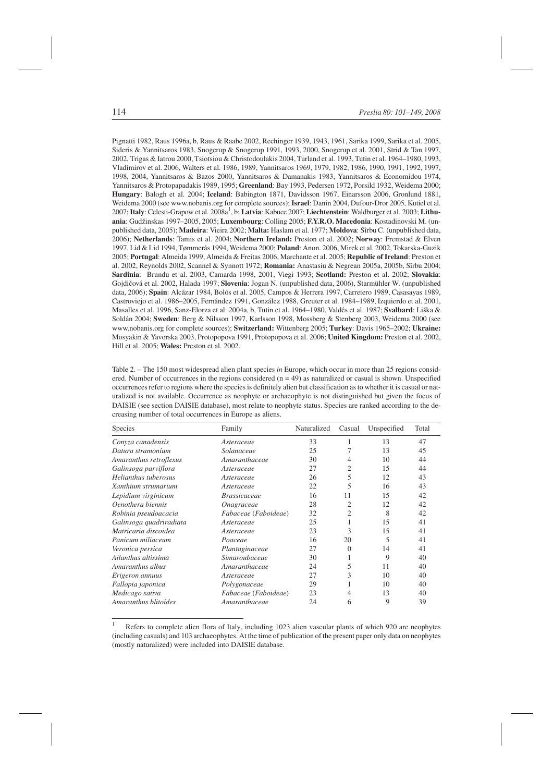Pignatti 1982, Raus 1996a, b, Raus & Raabe 2002, Rechinger 1939, 1943, 1961, Sarika 1999, Sarika et al. 2005, Sideris & Yannitsaros 1983, Snogerup & Snogerup 1991, 1993, 2000, Snogerup et al. 2001, Strid & Tan 1997, 2002, Trigas & Iatrou 2000, Tsiotsiou & Christodoulakis 2004, Turland et al. 1993, Tutin et al. 1964–1980, 1993, Vladimirov et al. 2006, Walters et al. 1986, 1989, Yannitsaros 1969, 1979, 1982, 1986, 1990, 1991, 1992, 1997, 1998, 2004, Yannitsaros & Bazos 2000, Yannitsaros & Damanakis 1983, Yannitsaros & Economidou 1974, Yannitsaros & Protopapadakis 1989, 1995; **Greenland**: Bay 1993, Pedersen 1972, Porsild 1932, Weidema 2000; **Hungary**: Balogh et al. 2004; **Iceland**: Babington 1871, Davidsson 1967, Einarsson 2006, Gronlund 1881, Weidema 2000 (see www.nobanis.org for complete sources); **Israel**: Danin 2004, Dufour-Dror 2005, Kutiel et al. 2007; Italy: Celesti-Grapow et al. 2008a<sup>1</sup>, b; Latvia: Kabuce 2007; Liechtenstein: Waldburger et al. 2003; Lithu**ania**: Gudžinskas 1997–2005, 2005; **Luxembourg**: Colling 2005; **F.Y.R.O. Macedonia**: Kostadinovski M. (unpublished data, 2005); **Madeira**: Vieira 2002; **Malta:** Haslam et al. 1977; **Moldova**: Sîrbu C. (unpublished data, 2006); **Netherlands**: Tamis et al. 2004; **Northern Ireland:** Preston et al. 2002; **Norway**: Fremstad & Elven 1997, Lid & Lid 1994, Tømmerås 1994, Weidema 2000; **Poland**: Anon. 2006, Mirek et al. 2002, Tokarska-Guzik 2005; **Portugal**: Almeida 1999, Almeida & Freitas 2006, Marchante et al. 2005; **Republic of Ireland**: Preston et al. 2002, Reynolds 2002, Scannel & Synnott 1972; **Romania:** Anastasiu & Negrean 2005a, 2005b, Sîrbu 2004; **Sardinia**: Brundu et al. 2003, Camarda 1998, 2001, Viegi 1993; **Scotland:** Preston et al. 2002; **Slovakia**: Gojdičová et al. 2002, Halada 1997; **Slovenia**: Jogan N. (unpublished data, 2006), Starmühler W. (unpublished data, 2006); **Spain**: Alcázar 1984, Bolós et al. 2005, Campos & Herrera 1997, Carretero 1989, Casasayas 1989, Castroviejo et al. 1986–2005, Fernández 1991, González 1988, Greuter et al. 1984–1989, Izquierdo et al. 2001, Masalles et al. 1996, Sanz-Elorza et al. 2004a, b, Tutin et al. 1964–1980, Valdés et al. 1987; **Svalbard**: Liška & Soldán 2004; **Sweden**: Berg & Nilsson 1997, Karlsson 1998, Mossberg & Stenberg 2003, Weidema 2000 (see www.nobanis.org for complete sources); **Switzerland:** Wittenberg 2005; **Turkey**: Davis 1965–2002; **Ukraine:** Mosyakin & Yavorska 2003, Protopopova 1991, Protopopova et al. 2006; **United Kingdom:** Preston et al. 2002, Hill et al. 2005; **Wales:** Preston et al. 2002.

| Table 2. – The 150 most widespread alien plant species in Europe, which occur in more than 25 regions consid-            |
|--------------------------------------------------------------------------------------------------------------------------|
| ered. Number of occurrences in the regions considered $(n = 49)$ as naturalized or casual is shown. Unspecified          |
| occurrences refer to regions where the species is definitely alien but classification as to whether it is casual or nat- |
| uralized is not available. Occurrence as neophyte or archaeophyte is not distinguished but given the focus of            |
| DAISIE (see section DAISIE database), most relate to neophyte status. Species are ranked according to the de-            |
| creasing number of total occurrences in Europe as aliens.                                                                |

| <b>Species</b>          | Family               | Naturalized | Casual         | Unspecified | Total |
|-------------------------|----------------------|-------------|----------------|-------------|-------|
| Conyza canadensis       | Asteraceae           | 33          | 1              | 13          | 47    |
| Datura stramonium       | Solanaceae           | 25          |                | 13          | 45    |
| Amaranthus retroflexus  | Amaranthaceae        | 30          | 4              | 10          | 44    |
| Galinsoga parviflora    | Asteraceae           | 27          | $\overline{c}$ | 15          | 44    |
| Helianthus tuberosus    | Asteraceae           | 26          | 5              | 12          | 43    |
| Xanthium strumarium     | Asteraceae           | 22          | 5              | 16          | 43    |
| Lepidium virginicum     | <i>Brassicaceae</i>  | 16          | 11             | 15          | 42    |
| Oenothera biennis       | Onagraceae           | 28          | 2              | 12          | 42    |
| Robinia pseudoacacia    | Fabaceae (Faboideae) | 32          | $\overline{c}$ | 8           | 42    |
| Galinsoga quadriradiata | Asteraceae           | 25          | 1              | 15          | 41    |
| Matricaria discoidea    | Asteraceae           | 23          | 3              | 15          | 41    |
| Panicum miliaceum       | Poaceae              | 16          | 20             | 5           | 41    |
| Veronica persica        | Plantaginaceae       | 27          | $\Omega$       | 14          | 41    |
| Ailanthus altissima     | Simaroubaceae        | 30          | 1              | 9           | 40    |
| Amaranthus albus        | Amaranthaceae        | 24          | 5              | 11          | 40    |
| Erigeron annuus         | Asteraceae           | 27          | 3              | 10          | 40    |
| Fallopia japonica       | Polygonaceae         | 29          |                | 10          | 40    |
| Medicago sativa         | Fabaceae (Faboideae) | 23          | 4              | 13          | 40    |
| Amaranthus blitoides    | Amaranthaceae        | 24          | 6              | 9           | 39    |

Refers to complete alien flora of Italy, including 1023 alien vascular plants of which 920 are neophytes (including casuals) and 103 archaeophytes. At the time of publication of the present paper only data on neophytes (mostly naturalized) were included into DAISIE database.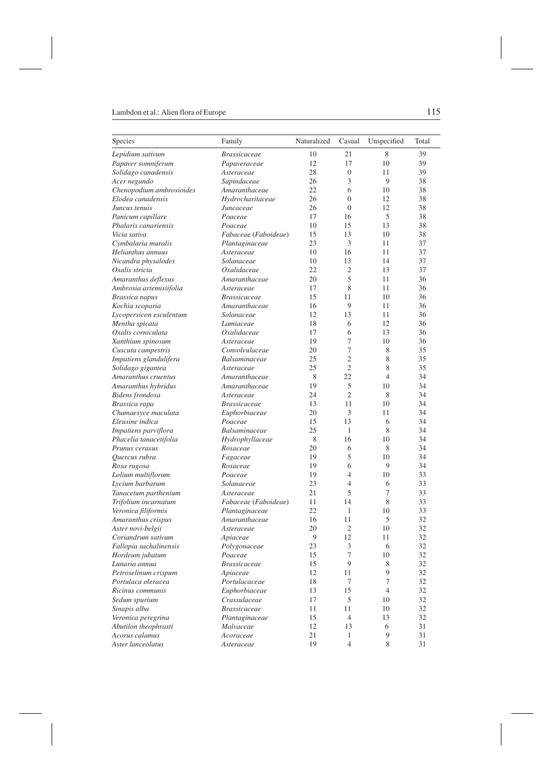| Species                  | Family                  | Naturalized | Casual           | Unspecified    | Total |
|--------------------------|-------------------------|-------------|------------------|----------------|-------|
| Lepidium sativum         | <b>Brassicaceae</b>     | 10          | 21               | 8              | 39    |
| Papaver somniferum       | Papaveraceae            | 12          | 17               | 10             | 39    |
| Solidago canadensis      | Asteraceae              | 28          | $\boldsymbol{0}$ | 11             | 39    |
| Acer negundo             | Sapindaceae             | 26          | 3                | 9              | 38    |
| Chenopodium ambrosioides | Amaranthaceae           | 22          | 6                | 10             | 38    |
| Elodea canadensis        | Hydrocharitaceae        | 26          | $\overline{0}$   | 12             | 38    |
| Juncus tenuis            | Juncaceae               | 26          | $\overline{0}$   | 12             | 38    |
| Panicum capillare        | Poaceae                 | 17          | 16               | 5              | 38    |
| Phalaris canariensis     | Poaceae                 | 10          | 15               | 13             | 38    |
| Vicia sativa             | Fabaceae (Faboideae)    | 15          | 13               | 10             | 38    |
| Cymbalaria muralis       | Plantaginaceae          | 23          | 3                | 11             | 37    |
| Helianthus annuus        | Asteraceae              | 10          | 16               | 11             | 37    |
| Nicandra physalodes      | Solanaceae              | 10          | 13               | 14             | 37    |
| Oxalis stricta           | Oxalidaceae             | 22          | $\overline{2}$   | 13             | 37    |
| Amaranthus deflexus      | Amaranthaceae           | 20          | 5                | 11             | 36    |
| Ambrosia artemisiifolia  | Asteraceae              | 17          | 8                | 11             | 36    |
| Brassica napus           | <i>Brassicaceae</i>     | 15          | 11               | 10             | 36    |
| Kochia scoparia          | Amaranthaceae           | 16          | 9                | 11             | 36    |
| Lycopersicon esculentum  | Solanaceae              | 12          | 13               | 11             | 36    |
| Mentha spicata           | Lamiaceae               | 18          | 6                | 12             | 36    |
| Oxalis corniculata       | Oxalidaceae             | 17          | 6                | 13             | 36    |
| Xanthium spinosum        | Asteraceae              | 19          | 7                | 10             | 36    |
| Cuscuta campestris       | Convolvulaceae          | 20          | 7                | 8              | 35    |
| Impatiens glandulifera   | Balsaminaceae           | 25          | $\overline{c}$   | 8              | 35    |
| Solidago gigantea        | Asteraceae              | 25          | $\overline{c}$   | 8              | 35    |
| Amaranthus cruentus      | Amaranthaceae           | 8           | 22               | $\overline{4}$ | 34    |
| Amaranthus hybridus      | Amaranthaceae           | 19          | 5                | 10             | 34    |
| Bidens frondosa          | Asteraceae              | 24          | $\overline{c}$   | 8              | 34    |
| Brassica rapa            | <b>Brassicaceae</b>     | 13          | 11               | 10             | 34    |
| Chamaesyce maculata      | Euphorbiaceae           | 20          | 3                | 11             | 34    |
| Eleusine indica          | Poaceae                 | 15          | 13               | 6              | 34    |
| Impatiens parviflora     | Balsaminaceae           | 25          | $\mathbf{1}$     | 8              | 34    |
| Phacelia tanacetifolia   | Hydrophyllaceae         | 8           | 16               | 10             | 34    |
| Prunus cerasus           | Rosaceae                | 20          | 6                | 8              | 34    |
| Quercus rubra            | Fagaceae                | 19          | 5                | 10             | 34    |
| Rosa rugosa              | Rosaceae                | 19          | 6                | 9              | 34    |
| Lolium multiflorum       | Poaceae                 | 19          | 4                | 10             | 33    |
| Lycium barbarum          | Solanaceae              | 23          | 4                | 6              | 33    |
| Tanacetum parthenium     | Asteraceae              | 21          | 5                | 7              | 33    |
| Trifolium incarnatum     | Fabaceae (Faboideae)    | 11          | 14               | 8              | 33    |
| Veronica filiformis      | Plantaginaceae          | 22          | $\mathbf{1}$     | 10             | 33    |
| Amaranthus crispus       | Amaranthaceae           | 16          | 11               | 5              | 32    |
| Aster novi-belgii        | Asteraceae              | 20          | $\overline{c}$   | 10             | 32    |
| Coriandrum sativum       | Apiaceae                | 9           | 12               | 11             | 32    |
| Fallopia sachalinensis   |                         | 23          | 3                | 6              | 32    |
| Hordeum jubatum          | Polygonaceae<br>Poaceae | 15          | $\boldsymbol{7}$ | 10             | 32    |
| Lunaria annua            | <b>Brassicaceae</b>     | 15          | 9                | 8              | 32    |
| Petroselinum crispum     | Apiaceae                | 12          | 11               | 9              | 32    |
| Portulaca oleracea       | Portulacaceae           | 18          | 7                | 7              | 32    |
| Ricinus communis         | Euphorbiaceae           | 13          | 15               | $\overline{4}$ | 32    |
|                          |                         |             |                  |                |       |
| Sedum spurium            | Crassulaceae            | 17          | 5                | 10             | 32    |
| Sinapis alba             | <b>Brassicaceae</b>     | 11          | 11               | 10             | 32    |
| Veronica peregrina       | Plantaginaceae          | 15          | $\overline{4}$   | 13             | 32    |
| Abutilon theophrasti     | Malvaceae               | 12          | 13               | 6              | 31    |
| Acorus calamus           | Acoraceae               | 21          | 1                | $\overline{9}$ | 31    |
| Aster lanceolatus        | Asteraceae              | 19          | $\overline{4}$   | 8              | 31    |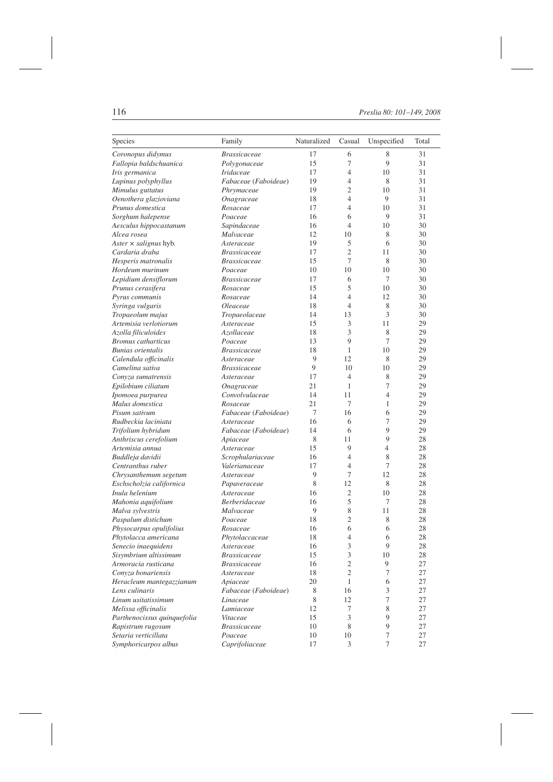| Species                      | Family               | Naturalized | Casual         | Unspecified    | Total |
|------------------------------|----------------------|-------------|----------------|----------------|-------|
| Coronopus didymus            | <b>Brassicaceae</b>  | 17          | 6              | 8              | 31    |
| Fallopia baldschuanica       | Polygonaceae         | 15          | 7              | 9              | 31    |
| Iris germanica               | Iridaceae            | 17          | $\overline{4}$ | 10             | 31    |
| Lupinus polyphyllus          | Fabaceae (Faboideae) | 19          | 4              | 8              | 31    |
| Mimulus guttatus             | Phrymaceae           | 19          | $\overline{2}$ | 10             | 31    |
| Oenothera glazioviana        | Onagraceae           | 18          | $\overline{4}$ | 9              | 31    |
| Prunus domestica             | Rosaceae             | 17          | $\overline{4}$ | 10             | 31    |
| Sorghum halepense            | Poaceae              | 16          | 6              | 9              | 31    |
| Aesculus hippocastanum       | Sapindaceae          | 16          | 4              | 10             | 30    |
| Alcea rosea                  | Malvaceae            | 12          | 10             | 8              | 30    |
| Aster $\times$ salignus hyb. | Asteraceae           | 19          | 5              | 6              | 30    |
| Cardaria draba               | <i>Brassicaceae</i>  | 17          | $\overline{2}$ | 11             | 30    |
| Hesperis matronalis          | <b>Brassicaceae</b>  | 15          | 7              | 8              | 30    |
| Hordeum murinum              | Poaceae              | 10          | 10             | 10             | 30    |
| Lepidium densiflorum         | <b>Brassicaceae</b>  | 17          | 6              | 7              | 30    |
| Prunus cerasifera            | Rosaceae             | 15          | 5              | 10             | 30    |
| Pyrus communis               | Rosaceae             | 14          | $\overline{4}$ | 12             | 30    |
| Syringa vulgaris             | Oleaceae             | 18          | 4              | 8              | 30    |
| Tropaeolum majus             | Tropaeolaceae        | 14          | 13             | 3              | 30    |
| Artemisia verlotiorum        | Asteraceae           | 15          | 3              | 11             | 29    |
| Azolla filiculoides          | Azollaceae           | 18          | 3              | 8              | 29    |
| <b>Bromus</b> catharticus    | Poaceae              | 13          | 9              | 7              | 29    |
| <b>Bunias</b> orientalis     | <b>Brassicaceae</b>  | 18          | 1              | 10             | 29    |
| Calendula officinalis        | Asteraceae           | 9           | 12             | 8              | 29    |
| Camelina sativa              | <i>Brassicaceae</i>  | 9           | 10             | 10             | 29    |
| Conyza sumatrensis           | Asteraceae           | 17          | $\overline{4}$ | 8              | 29    |
| Epilobium ciliatum           | Onagraceae           | 21          | $\mathbf{1}$   | 7              | 29    |
| Ipomoea purpurea             | Convolvulaceae       | 14          | 11             | $\overline{4}$ | 29    |
| Malus domestica              | Rosaceae             | 21          | 7              | 1              | 29    |
| Pisum sativum                | Fabaceae (Faboideae) | 7           | 16             | 6              | 29    |
| Rudbeckia laciniata          | Asteraceae           | 16          | 6              | 7              | 29    |
| Trifolium hybridum           | Fabaceae (Faboideae) | 14          | 6              | 9              | 29    |
| Anthriscus cerefolium        | Apiaceae             | 8           | 11             | 9              | 28    |
| Artemisia annua              | Asteraceae           | 15          | 9              | 4              | 28    |
| Buddleja davidii             | Scrophulariaceae     | 16          | $\overline{4}$ | 8              | 28    |
| Centranthus ruber            | Valerianaceae        | 17          | $\overline{4}$ | 7              | 28    |
| Chrysanthemum segetum        | Asteraceae           | 9           | 7              | 12             | 28    |
| Eschscholzia californica     | Papaveraceae         | 8           | 12             | 8              | 28    |
| Inula helenium               | Asteraceae           | 16          | 2              | 10             | 28    |
| Mahonia aquifolium           | Berberidaceae        | 16          | 5              | 7              | 28    |
| Malva sylvestris             | Malvaceae            | 9           | 8              | 11             | 28    |
| Paspalum distichum           | Poaceae              | 18          | $\overline{c}$ | 8              | 28    |
| Physocarpus opulifolius      | Rosaceae             | 16          | 6              | 6              | 28    |
| Phytolacca americana         | Phytolaccaceae       | 18          | 4              | 6              | 28    |
| Senecio inaequidens          | Asteraceae           | 16          | 3              | 9              | 28    |
| Sisymbrium altissimum        | <i>Brassicaceae</i>  | 15          | $\mathfrak{Z}$ | 10             | 28    |
| Armoracia rusticana          | <i>Brassicaceae</i>  | 16          | $\mathfrak{2}$ | 9              | 27    |
| Convza bonariensis           | Asteraceae           | 18          | $\overline{c}$ | 7              | 27    |
| Heracleum mantegazzianum     | Apiaceae             | 20          | $\mathbf{1}$   | 6              | 27    |
| Lens culinaris               | Fabaceae (Faboideae) | 8           | 16             | $\mathfrak{Z}$ | 27    |
| Linum usitatissimum          | Linaceae             | 8           | 12             | 7              | 27    |
| Melissa officinalis          | Lamiaceae            | 12          | 7              | 8              | 27    |
| Parthenocissus quinquefolia  | Vitaceae             | 15          | 3              | 9              | 27    |
| Rapistrum rugosum            | <b>Brassicaceae</b>  | 10          | 8              | 9              | 27    |
| Setaria verticillata         | Poaceae              | 10          | 10             | 7              | 27    |
| Symphoricarpos albus         | Caprifoliaceae       | 17          | 3              | 7              | 27    |
|                              |                      |             |                |                |       |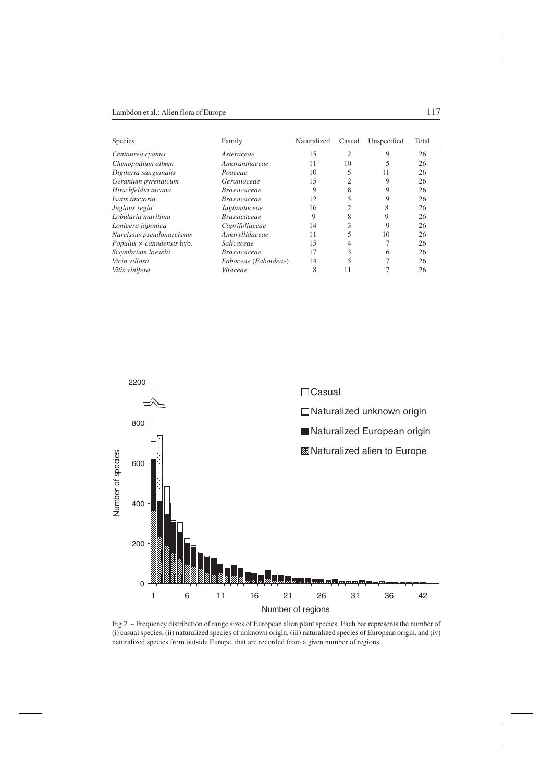| Species                          | Family               | Naturalized | Casual         | Unspecified | Total |
|----------------------------------|----------------------|-------------|----------------|-------------|-------|
| Centaurea cyanus                 | Asteraceae           | 15          | $\overline{c}$ | 9           | 26    |
| Chenopodium album                | Amaranthaceae        | 11          | 10             |             | 26    |
| Digitaria sanguinalis            | Poaceae              | 10          | 5              | 11          | 26    |
| Geranium pyrenaicum              | Geraniaceae          | 15          | $\overline{c}$ | 9           | 26    |
| Hirschfeldia incana              | <i>Brassicaceae</i>  | 9           | 8              | 9           | 26    |
| Isatis tinctoria                 | <i>Brassicaceae</i>  | 12          | 5              | 9           | 26    |
| Juglans regia                    | Juglandaceae         | 16          | 2              | 8           | 26    |
| Lobularia maritima               | <i>Brassicaceae</i>  | 9           | 8              | 9           | 26    |
| Lonicera japonica                | Caprifoliaceae       | 14          | 3              | 9           | 26    |
| Narcissus pseudonarcissus        | Amaryllidaceae       | 11          |                | 10          | 26    |
| Populus $\times$ canadensis hyb. | Salicaceae           | 15          | 4              |             | 26    |
| Sisymbrium loeselii              | <i>Brassicaceae</i>  | 17          | 3              | 6           | 26    |
| Vicia villosa                    | Fabaceae (Faboideae) | 14          | 5              |             | 26    |
| Vitis vinifera                   | Vitaceae             | 8           | 11             |             | 26    |



Fig 2. – Frequency distribution of range sizes of European alien plant species. Each bar represents the number of (i) casual species, (ii) naturalized species of unknown origin, (iii) naturalized species of European origin, and (iv) naturalized species from outside Europe, that are recorded from a given number of regions.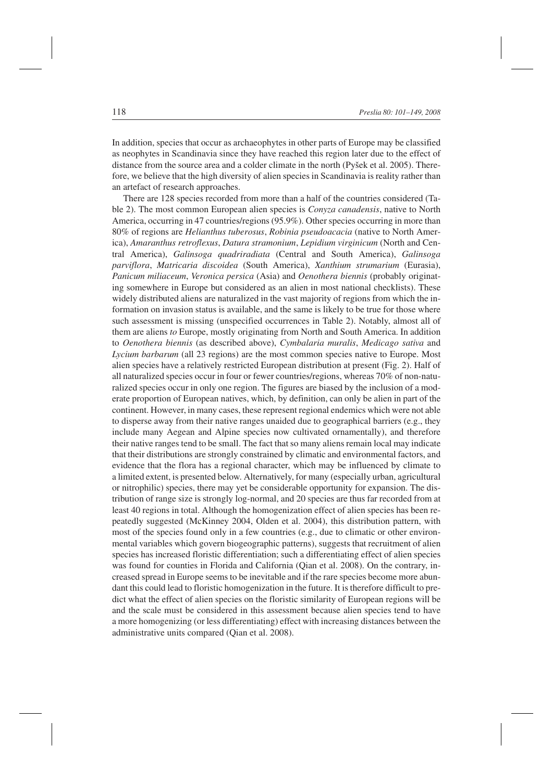In addition, species that occur as archaeophytes in other parts of Europe may be classified as neophytes in Scandinavia since they have reached this region later due to the effect of distance from the source area and a colder climate in the north (Pyšek et al. 2005). Therefore, we believe that the high diversity of alien species in Scandinavia is reality rather than an artefact of research approaches.

There are 128 species recorded from more than a half of the countries considered (Table 2). The most common European alien species is *Conyza canadensis*, native to North America, occurring in 47 countries/regions (95.9%). Other species occurring in more than 80% of regions are *Helianthus tuberosus*, *Robinia pseudoacacia* (native to North America), *Amaranthus retroflexus*, *Datura stramonium*, *Lepidium virginicum* (North and Central America), *Galinsoga quadriradiata* (Central and South America), *Galinsoga parviflora*, *Matricaria discoidea* (South America), *Xanthium strumarium* (Eurasia), *Panicum miliaceum*, *Veronica persica* (Asia) and *Oenothera biennis* (probably originating somewhere in Europe but considered as an alien in most national checklists). These widely distributed aliens are naturalized in the vast majority of regions from which the information on invasion status is available, and the same is likely to be true for those where such assessment is missing (unspecified occurrences in Table 2). Notably, almost all of them are aliens *to* Europe, mostly originating from North and South America. In addition to *Oenothera biennis* (as described above), *Cymbalaria muralis*, *Medicago sativa* and *Lycium barbarum* (all 23 regions) are the most common species native to Europe. Most alien species have a relatively restricted European distribution at present (Fig. 2). Half of all naturalized species occur in four or fewer countries/regions, whereas 70% of non-naturalized species occur in only one region. The figures are biased by the inclusion of a moderate proportion of European natives, which, by definition, can only be alien in part of the continent. However, in many cases, these represent regional endemics which were not able to disperse away from their native ranges unaided due to geographical barriers (e.g., they include many Aegean and Alpine species now cultivated ornamentally), and therefore their native ranges tend to be small. The fact that so many aliens remain local may indicate that their distributions are strongly constrained by climatic and environmental factors, and evidence that the flora has a regional character, which may be influenced by climate to a limited extent, is presented below. Alternatively, for many (especially urban, agricultural or nitrophilic) species, there may yet be considerable opportunity for expansion. The distribution of range size is strongly log-normal, and 20 species are thus far recorded from at least 40 regions in total. Although the homogenization effect of alien species has been repeatedly suggested (McKinney 2004, Olden et al. 2004), this distribution pattern, with most of the species found only in a few countries (e.g., due to climatic or other environmental variables which govern biogeographic patterns), suggests that recruitment of alien species has increased floristic differentiation; such a differentiating effect of alien species was found for counties in Florida and California (Qian et al. 2008). On the contrary, increased spread in Europe seems to be inevitable and if the rare species become more abundant this could lead to floristic homogenization in the future. It is therefore difficult to predict what the effect of alien species on the floristic similarity of European regions will be and the scale must be considered in this assessment because alien species tend to have a more homogenizing (or less differentiating) effect with increasing distances between the administrative units compared (Qian et al. 2008).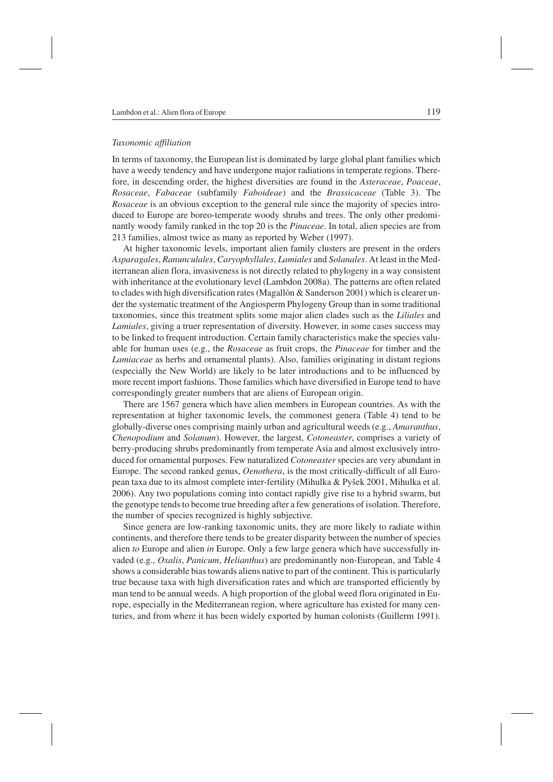#### *Taxonomic affiliation*

In terms of taxonomy, the European list is dominated by large global plant families which have a weedy tendency and have undergone major radiations in temperate regions. Therefore, in descending order, the highest diversities are found in the *Asteraceae*, *Poaceae*, *Rosaceae*, *Fabaceae* (subfamily *Faboideae*) and the *Brassicaceae* (Table 3). The *Rosaceae* is an obvious exception to the general rule since the majority of species introduced to Europe are boreo-temperate woody shrubs and trees. The only other predominantly woody family ranked in the top 20 is the *Pinaceae*. In total, alien species are from 213 families, almost twice as many as reported by Weber (1997).

At higher taxonomic levels, important alien family clusters are present in the orders *Asparagales*, *Ranunculales*, *Caryophyllales*, *Lamiales* and *Solanales*. At least in the Mediterranean alien flora, invasiveness is not directly related to phylogeny in a way consistent with inheritance at the evolutionary level (Lambdon 2008a). The patterns are often related to clades with high diversification rates (Magallón  $\&$  Sanderson 2001) which is clearer under the systematic treatment of the Angiosperm Phylogeny Group than in some traditional taxonomies, since this treatment splits some major alien clades such as the *Liliales* and *Lamiales*, giving a truer representation of diversity. However, in some cases success may to be linked to frequent introduction. Certain family characteristics make the species valuable for human uses (e.g., the *Rosaceae* as fruit crops, the *Pinaceae* for timber and the *Lamiaceae* as herbs and ornamental plants). Also, families originating in distant regions (especially the New World) are likely to be later introductions and to be influenced by more recent import fashions. Those families which have diversified in Europe tend to have correspondingly greater numbers that are aliens of European origin.

There are 1567 genera which have alien members in European countries. As with the representation at higher taxonomic levels, the commonest genera (Table 4) tend to be globally-diverse ones comprising mainly urban and agricultural weeds (e.g., *Amaranthus*, *Chenopodium* and *Solanum*). However, the largest, *Cotoneaster*, comprises a variety of berry-producing shrubs predominantly from temperate Asia and almost exclusively introduced for ornamental purposes. Few naturalized *Cotoneaster* species are very abundant in Europe. The second ranked genus, *Oenothera*, is the most critically-difficult of all European taxa due to its almost complete inter-fertility (Mihulka & Pyšek 2001, Mihulka et al. 2006). Any two populations coming into contact rapidly give rise to a hybrid swarm, but the genotype tends to become true breeding after a few generations of isolation. Therefore, the number of species recognized is highly subjective.

Since genera are low-ranking taxonomic units, they are more likely to radiate within continents, and therefore there tends to be greater disparity between the number of species alien *to* Europe and alien *in* Europe. Only a few large genera which have successfully invaded (e.g., *Oxalis*, *Panicum*, *Helianthus*) are predominantly non-European, and Table 4 shows a considerable bias towards aliens native to part of the continent. This is particularly true because taxa with high diversification rates and which are transported efficiently by man tend to be annual weeds. A high proportion of the global weed flora originated in Europe, especially in the Mediterranean region, where agriculture has existed for many centuries, and from where it has been widely exported by human colonists (Guillerm 1991).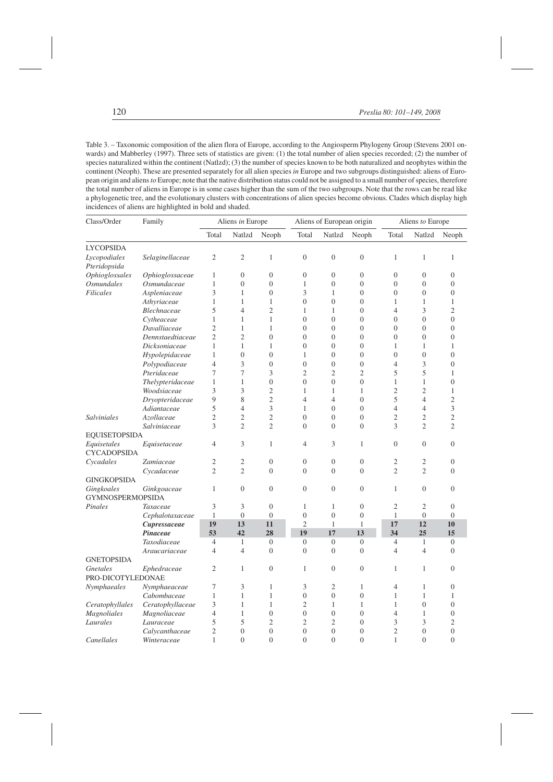Table 3. – Taxonomic composition of the alien flora of Europe, according to the Angiosperm Phylogeny Group (Stevens 2001 onwards) and Mabberley (1997). Three sets of statistics are given: (1) the total number of alien species recorded; (2) the number of species naturalized within the continent (Natlzd); (3) the number of species known to be both naturalized and neophytes within the continent (Neoph). These are presented separately for all alien species *in* Europe and two subgroups distinguished: aliens of European origin and aliens*to* Europe; note that the native distribution status could not be assigned to a small number of species, therefore the total number of aliens in Europe is in some cases higher than the sum of the two subgroups. Note that the rows can be read like a phylogenetic tree, and the evolutionary clusters with concentrations of alien species become obvious. Clades which display high incidences of aliens are highlighted in bold and shaded.

| Class/Order                           | Family           |                | Aliens in Europe |                  | Aliens of European origin |                  |                  | Aliens to Europe |                  |                  |
|---------------------------------------|------------------|----------------|------------------|------------------|---------------------------|------------------|------------------|------------------|------------------|------------------|
|                                       |                  | Total          | Natlzd           | Neoph            | Total                     | Natlzd           | Neoph            | Total            | Natlzd           | Neoph            |
| <b>LYCOPSIDA</b>                      |                  |                |                  |                  |                           |                  |                  |                  |                  |                  |
| Lycopodiales<br>Pteridopsida          | Selaginellaceae  | $\mathfrak{2}$ | $\mathfrak{2}$   | $\mathbf{1}$     | $\overline{0}$            | $\boldsymbol{0}$ | $\boldsymbol{0}$ | $\mathbf{1}$     | 1                | 1                |
| <b>Ophioglossales</b>                 | Ophioglossaceae  | 1              | $\overline{0}$   | $\mathbf{0}$     | $\boldsymbol{0}$          | $\overline{0}$   | $\boldsymbol{0}$ | $\overline{0}$   | $\overline{0}$   | $\overline{0}$   |
| <i><b>Osmundales</b></i>              | Osmundaceae      | 1              | $\overline{0}$   | $\mathbf{0}$     | 1                         | $\overline{0}$   | $\overline{0}$   | $\theta$         | $\overline{0}$   | $\overline{0}$   |
| <b>Filicales</b>                      | Aspleniaceae     | 3              | $\mathbf{1}$     | $\overline{0}$   | 3                         | $\mathbf{1}$     | $\boldsymbol{0}$ | $\overline{0}$   | $\overline{0}$   | $\boldsymbol{0}$ |
|                                       | Athyriaceae      | $\mathbf{1}$   | $\mathbf{1}$     | $\mathbf{1}$     | $\overline{0}$            | $\boldsymbol{0}$ | $\boldsymbol{0}$ | 1                | 1                | $\mathbf{1}$     |
|                                       | Blechnaceae      | 5              | $\overline{4}$   | $\overline{c}$   | $\mathbf{1}$              | 1                | $\boldsymbol{0}$ | 4                | 3                | $\overline{c}$   |
|                                       | Cytheaceae       | 1              | 1                | 1                | $\overline{0}$            | $\overline{0}$   | $\overline{0}$   | $\overline{0}$   | 0                | $\overline{0}$   |
|                                       | Davalliaceae     | $\overline{c}$ | $\mathbf{1}$     | 1                | $\overline{0}$            | $\overline{0}$   | $\overline{0}$   | $\overline{0}$   | 0                | $\overline{0}$   |
|                                       | Dennstaedtiaceae | $\overline{c}$ | $\overline{2}$   | $\overline{0}$   | $\overline{0}$            | $\overline{0}$   | $\overline{0}$   | $\overline{0}$   | $\overline{0}$   | $\overline{0}$   |
|                                       | Dicksoniaceae    | $\mathbf{1}$   | $\mathbf{1}$     | $\mathbf{1}$     | $\overline{0}$            | $\overline{0}$   | $\boldsymbol{0}$ | 1                | 1                | 1                |
|                                       | Hypolepidaceae   | $\mathbf{1}$   | $\boldsymbol{0}$ | $\mathbf{0}$     | $\mathbf{1}$              | $\overline{0}$   | $\boldsymbol{0}$ | $\overline{0}$   | $\boldsymbol{0}$ | $\boldsymbol{0}$ |
|                                       | Polypodiaceae    | $\overline{4}$ | 3                | $\mathbf{0}$     | $\overline{0}$            | $\overline{0}$   | $\overline{0}$   | $\overline{4}$   | 3                | $\overline{0}$   |
|                                       | Pteridaceae      | 7              | 7                | 3                | $\overline{c}$            | $\overline{c}$   | $\overline{2}$   | 5                | 5                | 1                |
|                                       | Thelypteridaceae | $\mathbf{1}$   | $\mathbf{1}$     | $\boldsymbol{0}$ | $\overline{0}$            | $\overline{0}$   | $\boldsymbol{0}$ | $\mathbf{1}$     | 1                | $\boldsymbol{0}$ |
|                                       | Woodsiaceae      | 3              | 3                | $\mathfrak{2}$   | $\mathbf{1}$              | $\mathbf{1}$     | $\mathbf{1}$     | $\mathfrak{2}$   | $\overline{c}$   | $\mathbf{1}$     |
|                                       | Dryopteridaceae  | 9              | 8                | $\sqrt{2}$       | $\overline{4}$            | $\overline{4}$   | $\boldsymbol{0}$ | 5                | $\overline{4}$   | $\overline{c}$   |
|                                       | Adiantaceae      | 5              | $\overline{4}$   | 3                | $\mathbf{1}$              | $\overline{0}$   | $\overline{0}$   | $\overline{4}$   | 4                | 3                |
| <b>Salviniales</b>                    | Azollaceae       | $\overline{c}$ | $\overline{2}$   | $\mathfrak{2}$   | $\overline{0}$            | $\overline{0}$   | $\overline{0}$   | $\overline{c}$   | 2                | $\overline{c}$   |
|                                       | Salviniaceae     | 3              | $\overline{c}$   | $\overline{2}$   | $\overline{0}$            | $\overline{0}$   | $\overline{0}$   | 3                | $\overline{c}$   | $\overline{c}$   |
| <b>EQUISETOPSIDA</b>                  |                  |                |                  |                  |                           |                  |                  |                  |                  |                  |
| Equisetales<br><b>CYCADOPSIDA</b>     | Equisetaceae     | $\overline{4}$ | 3                | 1                | 4                         | 3                | 1                | $\boldsymbol{0}$ | $\boldsymbol{0}$ | $\boldsymbol{0}$ |
| Cycadales                             | Zamiaceae        | $\overline{2}$ | $\overline{c}$   | $\boldsymbol{0}$ | $\overline{0}$            | $\boldsymbol{0}$ | $\boldsymbol{0}$ | $\mathfrak{2}$   | $\overline{c}$   | $\overline{0}$   |
|                                       | Cycadaceae       | $\overline{c}$ | $\overline{2}$   | $\overline{0}$   | $\overline{0}$            | $\overline{0}$   | $\overline{0}$   | $\overline{2}$   | $\overline{c}$   | $\Omega$         |
| <b>GINGKOPSIDA</b>                    |                  |                |                  |                  |                           |                  |                  |                  |                  |                  |
| Gingkoales<br><b>GYMNOSPERMOPSIDA</b> | Ginkgoaceae      | 1              | $\boldsymbol{0}$ | $\boldsymbol{0}$ | $\boldsymbol{0}$          | $\boldsymbol{0}$ | $\boldsymbol{0}$ | $\mathbf{1}$     | $\boldsymbol{0}$ | $\boldsymbol{0}$ |
| Pinales                               | Taxaceae         | 3              | 3                | $\overline{0}$   | 1                         | 1                | $\overline{0}$   | 2                | $\overline{c}$   | $\overline{0}$   |
|                                       | Cephalotaxaceae  | 1              | $\overline{0}$   | $\overline{0}$   | $\overline{0}$            | $\overline{0}$   | $\overline{0}$   | 1                | $\overline{0}$   | $\overline{0}$   |
|                                       | Cupressaceae     | 19             | 13               | 11               | $\overline{c}$            | $\mathbf{1}$     | $\mathbf{1}$     | 17               | 12               | 10               |
|                                       | Pinaceae         | 53             | 42               | 28               | 19                        | 17               | 13               | 34               | 25               | 15               |
|                                       | Taxodiaceae      | $\overline{4}$ | $\mathbf{1}$     | $\boldsymbol{0}$ | $\mathbf{0}$              | $\mathbf{0}$     | $\overline{0}$   | $\overline{4}$   | $\mathbf{1}$     | $\overline{0}$   |
|                                       | Araucariaceae    | $\overline{4}$ | $\overline{4}$   | $\overline{0}$   | $\theta$                  | $\overline{0}$   | $\overline{0}$   | $\overline{4}$   | 4                | $\Omega$         |
| <b>GNETOPSIDA</b>                     |                  |                |                  |                  |                           |                  |                  |                  |                  |                  |
| Gnetales                              | Ephedraceae      | $\overline{c}$ | $\mathbf{1}$     | $\boldsymbol{0}$ | $\mathbf{1}$              | $\boldsymbol{0}$ | $\boldsymbol{0}$ | $\mathbf{1}$     | 1                | $\overline{0}$   |
| PRO-DICOTYLEDONAE                     |                  |                |                  |                  |                           |                  |                  |                  |                  |                  |
| Nymphaeales                           | Nymphaeaceae     | 7              | 3                | 1                | 3                         | $\overline{2}$   | $\mathbf{1}$     | $\overline{4}$   | 1                | $\overline{0}$   |
|                                       | Cabombaceae      | $\mathbf{1}$   | $\mathbf{1}$     | 1                | $\overline{0}$            | $\overline{0}$   | $\overline{0}$   | 1                | 1                | 1                |
| Ceratophyllales                       | Ceratophyllaceae | 3              | 1                | 1                | $\overline{c}$            | 1                | 1                | 1                | $\overline{0}$   | $\overline{0}$   |
| <b>Magnoliales</b>                    | Magnoliaceae     | $\overline{4}$ | $\mathbf{1}$     | $\overline{0}$   | $\overline{0}$            | $\overline{0}$   | $\overline{0}$   | $\overline{4}$   | 1                | $\overline{0}$   |
| Laurales                              | Lauraceae        | 5              | 5                | $\mathfrak{2}$   | $\overline{c}$            | $\overline{c}$   | $\boldsymbol{0}$ | 3                | 3                | $\overline{c}$   |
|                                       | Calycanthaceae   | $\overline{2}$ | $\overline{0}$   | $\overline{0}$   | $\theta$                  | $\overline{0}$   | $\overline{0}$   | $\overline{c}$   | $\overline{0}$   | $\overline{0}$   |
| Canellales                            | Winteraceae      | 1              | $\Omega$         | $\Omega$         | $\theta$                  | $\theta$         | $\Omega$         | 1                | $\theta$         | $\Omega$         |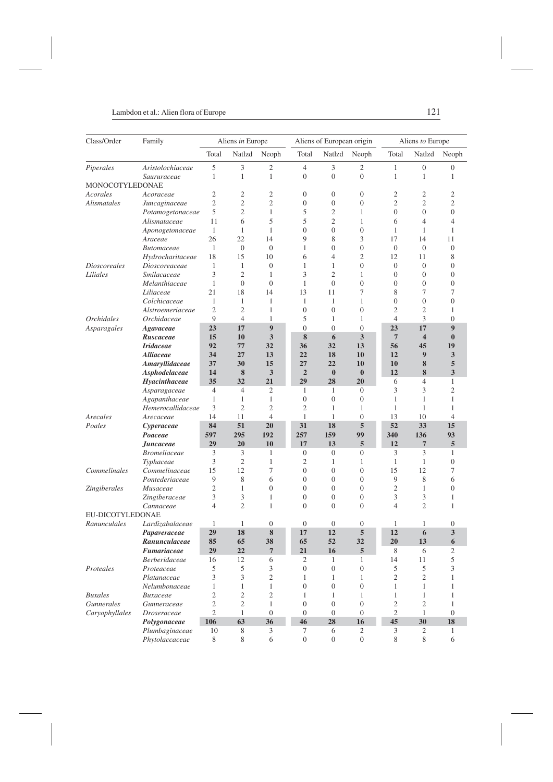| Class/Order                | Family                    |                      | Aliens in Europe               |                   |                      | Aliens of European origin      |                            | Aliens to Europe |                         |                                |
|----------------------------|---------------------------|----------------------|--------------------------------|-------------------|----------------------|--------------------------------|----------------------------|------------------|-------------------------|--------------------------------|
|                            |                           | Total                | Natlzd                         | Neoph             | Total                | Natlzd                         | Neoph                      | Total            | Natlzd                  | Neoph                          |
| Piperales                  | Aristolochiaceae          | 5                    | 3                              | 2                 | 4                    | 3                              | 2                          | 1                | 0                       | $\overline{0}$                 |
|                            | Saururaceae               | $\mathbf{1}$         | $\mathbf{1}$                   | $\mathbf{1}$      | $\overline{0}$       | $\boldsymbol{0}$               | $\overline{0}$             | $\mathbf{1}$     | 1                       | 1                              |
| MONOCOTYLEDONAE            |                           |                      |                                |                   |                      |                                |                            |                  |                         |                                |
| Acorales                   | Acoraceae                 | $\overline{2}$       | $\mathfrak{2}$                 | 2                 | $\overline{0}$       | $\boldsymbol{0}$               | $\boldsymbol{0}$           | $\mathfrak{2}$   | $\overline{c}$          | $\overline{c}$                 |
| <i>Alismatales</i>         | Juncaginaceae             | $\mathfrak{2}$       | $\mathfrak{2}$                 | $\overline{c}$    | $\boldsymbol{0}$     | $\boldsymbol{0}$               | $\boldsymbol{0}$           | $\overline{2}$   | $\overline{c}$          | $\overline{2}$                 |
|                            | Potamogetonaceae          | 5                    | $\overline{2}$                 | 1                 | 5                    | $\mathfrak{2}$                 | 1                          | $\overline{0}$   | $\overline{0}$          | $\overline{0}$                 |
|                            | Alismataceae              | 11                   | 6                              | 5                 | 5                    | $\overline{2}$                 | 1                          | 6                | 4                       | 4                              |
|                            | Aponogetonaceae           | 1                    | 1                              | 1                 | $\overline{0}$       | $\overline{0}$                 | $\overline{0}$             | 1                | 1                       | 1                              |
|                            | Araceae                   | 26                   | 22                             | 14                | 9                    | 8                              | 3                          | 17               | 14                      | 11                             |
|                            | <b>Butomaceae</b>         | $\mathbf{1}$         | $\boldsymbol{0}$               | $\boldsymbol{0}$  | 1                    | $\boldsymbol{0}$               | $\boldsymbol{0}$           | $\mathbf{0}$     | $\boldsymbol{0}$        | $\overline{0}$                 |
|                            | Hydrocharitaceae          | 18                   | 15                             | 10                | 6                    | 4                              | $\overline{c}$             | 12               | 11                      | 8                              |
| <i><u>Dioscoreales</u></i> | Dioscoreaceae             | $\mathbf{1}$         | 1                              | $\boldsymbol{0}$  | $\mathbf{1}$         | $\mathbf{1}$                   | $\overline{0}$             | $\overline{0}$   | $\overline{0}$          | $\overline{0}$                 |
| Liliales                   | Smilacaceae               | 3                    | $\overline{2}$                 | 1                 | 3                    | $\overline{2}$                 | 1                          | $\overline{0}$   | 0                       | $\overline{0}$                 |
|                            | Melanthiaceae             | $\mathbf{1}$         | $\mathbf{0}$                   | $\boldsymbol{0}$  | 1                    | $\mathbf{0}$                   | $\overline{0}$             | $\boldsymbol{0}$ | $\overline{0}$          | $\boldsymbol{0}$               |
|                            | Liliaceae                 | 21                   | 18                             | 14                | 13                   | 11                             | 7                          | 8                | 7                       | 7                              |
|                            | Colchicaceae              | 1                    | $\mathbf{1}$                   | 1                 | 1                    | $\mathbf{1}$                   | 1                          | $\overline{0}$   | $\overline{0}$          | $\overline{0}$                 |
|                            | Alstroemeriaceae          | $\overline{c}$       | $\overline{2}$                 | $\mathbf{1}$      | $\boldsymbol{0}$     | $\overline{0}$                 | $\overline{0}$             | $\overline{c}$   | $\overline{2}$          | $\mathbf{1}$                   |
| <i><b>Orchidales</b></i>   | Orchidaceae               | 9                    | $\overline{4}$                 | 1                 | 5                    | $\mathbf{1}$                   | 1                          | $\overline{4}$   | 3                       | $\overline{0}$                 |
| Asparagales                | Agavaceae                 | 23                   | 17                             | 9                 | $\overline{0}$       | $\mathbf{0}$                   | $\boldsymbol{0}$           | 23               | 17                      | $\boldsymbol{9}$               |
|                            | Ruscaceae                 | 15                   | 10                             | 3                 | 8                    | 6                              | 3                          | $7\phantom{.0}$  | $\overline{\mathbf{4}}$ | $\bf{0}$                       |
|                            | <b>Iridaceae</b>          | 92                   | 77                             | 32                | 36                   | 32                             | 13                         | 56               | 45                      | 19                             |
|                            | <i><b>Alliaceae</b></i>   | 34                   | 27                             | 13                | 22                   | 18                             | 10                         | 12               | 9                       | 3                              |
|                            | Amaryllidaceae            | 37                   | 30                             | 15                | 27                   | 22                             | 10                         | 10               | 8                       | 5                              |
|                            | Asphodelaceae             | 14                   | 8                              | 3                 | $\overline{2}$<br>29 | $\bf{0}$                       | $\bf{0}$                   | 12               | 8                       | 3                              |
|                            | Hyacinthaceae             | 35<br>$\overline{4}$ | 32                             | 21                |                      | 28                             | 20                         | 6<br>3           | 4<br>3                  | $\mathbf{1}$<br>$\overline{c}$ |
|                            | Asparagaceae              | $\mathbf{1}$         | $\overline{4}$<br>$\mathbf{1}$ | 2<br>$\mathbf{1}$ | 1<br>$\mathbf{0}$    | $\mathbf{1}$<br>$\overline{0}$ | $\theta$<br>$\overline{0}$ | $\mathbf{1}$     | $\mathbf{1}$            | $\mathbf{1}$                   |
|                            | Agapanthaceae             | 3                    | $\overline{2}$                 | $\overline{c}$    | $\overline{c}$       | 1                              | 1                          | 1                | 1                       | 1                              |
| Arecales                   | Hemerocallidaceae         | 14                   | 11                             | $\overline{4}$    | $\mathbf{1}$         | 1                              | $\boldsymbol{0}$           | 13               | 10                      | $\overline{4}$                 |
| Poales                     | Arecaceae                 | 84                   | 51                             | 20                | 31                   | 18                             | 5                          | 52               | 33                      | 15                             |
|                            | Cyperaceae<br>Poaceae     | 597                  | 295                            | 192               | 257                  | 159                            | 99                         | 340              | 136                     | 93                             |
|                            | Juncaceae                 | 29                   | 20                             | 10                | 17                   | 13                             | 5                          | 12               | $\overline{7}$          | 5                              |
|                            | <b>Bromeliaceae</b>       | 3                    | 3                              | 1                 | $\boldsymbol{0}$     | $\boldsymbol{0}$               | $\mathbf{0}$               | 3                | 3                       | 1                              |
|                            | Typhaceae                 | 3                    | $\overline{2}$                 | 1                 | $\overline{c}$       | $\mathbf{1}$                   | 1                          | 1                | 1                       | $\overline{0}$                 |
| Commelinales               | Commelinaceae             | 15                   | 12                             | 7                 | $\boldsymbol{0}$     | $\boldsymbol{0}$               | $\boldsymbol{0}$           | 15               | 12                      | 7                              |
|                            | Pontederiaceae            | 9                    | 8                              | 6                 | $\overline{0}$       | $\overline{0}$                 | $\overline{0}$             | 9                | 8                       | 6                              |
| Zingiberales               | Musaceae                  | $\overline{2}$       | $\mathbf{1}$                   | $\boldsymbol{0}$  | $\overline{0}$       | $\boldsymbol{0}$               | $\boldsymbol{0}$           | $\mathfrak{2}$   | $\mathbf{1}$            | $\overline{0}$                 |
|                            | Zingiberaceae             | 3                    | 3                              | 1                 | $\overline{0}$       | $\boldsymbol{0}$               | $\boldsymbol{0}$           | 3                | 3                       | 1                              |
|                            | Cannaceae                 | $\overline{4}$       | $\mathfrak{2}$                 | 1                 | $\theta$             | $\overline{0}$                 | $\overline{0}$             | 4                | $\overline{c}$          | $\mathbf{1}$                   |
| EU-DICOTYLEDONAE           |                           |                      |                                |                   |                      |                                |                            |                  |                         |                                |
| Ranunculales               | Lardizabalaceae           | 1                    | 1                              | $\overline{0}$    | $\overline{0}$       | $\overline{0}$                 | $\theta$                   | 1                | 1                       | $\theta$                       |
|                            | Papaveraceae              | 29                   | 18                             | 8                 | 17                   | 12                             | 5                          | 12               | 6                       | 3                              |
|                            | Ranunculaceae             | 85                   | 65                             | 38                | 65                   | 52                             | 32                         | 20               | 13                      | 6                              |
|                            | <i><b>Fumariaceae</b></i> | 29                   | 22                             |                   | 21                   | 16                             | 5                          | 8                | 6                       | 2                              |
|                            | <b>Berberidaceae</b>      | 16                   | 12                             | 6                 | $\mathfrak{2}$       | 1                              | 1                          | 14               | 11                      | 5                              |
| Proteales                  | Proteaceae                | 5                    | 5                              | 3                 | $\overline{0}$       | $\boldsymbol{0}$               | $\boldsymbol{0}$           | 5                | 5                       | 3                              |
|                            | Platanaceae               | 3                    | 3                              | $\overline{c}$    | $\mathbf{1}$         | 1                              | 1                          | $\mathfrak{2}$   | $\overline{c}$          | $\mathbf{1}$                   |
|                            | Nelumbonaceae             | $\mathbf{1}$         | $\mathbf{1}$                   | 1                 | $\boldsymbol{0}$     | $\boldsymbol{0}$               | $\boldsymbol{0}$           | 1                | 1                       | 1                              |
| <b>Buxales</b>             | Buxaceae                  | $\overline{2}$       | $\overline{2}$                 | $\mathfrak{2}$    | 1                    | 1                              | 1                          | 1                | $\mathbf{1}$            | $\mathbf{1}$                   |
| Gunnerales                 | Gunneraceae               | $\mathfrak{2}$       | $\overline{c}$                 | $\mathbf{1}$      | $\boldsymbol{0}$     | $\boldsymbol{0}$               | $\boldsymbol{0}$           | $\overline{c}$   | $\overline{c}$          | $\mathbf{1}$                   |
| Caryophyllales             | <b>Droseraceae</b>        | $\overline{2}$       | $\mathbf{1}$                   | $\boldsymbol{0}$  | $\overline{0}$       | $\mathbf{0}$                   | $\mathbf{0}$               | 2                | 1                       | $\theta$                       |
|                            | Polygonaceae              | 106                  | 63                             | 36                | 46                   | 28                             | 16                         | 45               | 30                      | 18                             |
|                            | Plumbaginaceae            | 10                   | 8                              | 3                 | 7                    | 6                              | 2                          | 3                | $\mathbf{2}$            | $\mathbf{1}$                   |
|                            | Phytolaccaceae            | $\,$ 8 $\,$          | 8                              | 6                 | $\boldsymbol{0}$     | $\mathbf{0}$                   | $\boldsymbol{0}$           | 8                | 8                       | 6                              |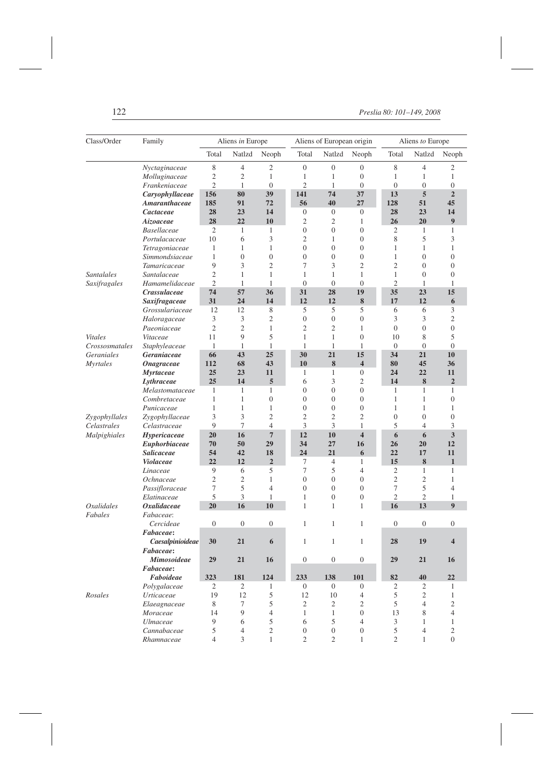| Class/Order                  | Family                         |                | Aliens in Europe |                   |                  | Aliens of European origin          |                                    |                   | Aliens to Europe |                      |  |
|------------------------------|--------------------------------|----------------|------------------|-------------------|------------------|------------------------------------|------------------------------------|-------------------|------------------|----------------------|--|
|                              |                                | Total          | Natlzd           | Neoph             | Total            | Natlzd                             | Neoph                              | Total             | Natlzd           | Neoph                |  |
|                              | Nyctaginaceae                  | 8              | 4                | 2                 | $\boldsymbol{0}$ | $\boldsymbol{0}$                   | $\boldsymbol{0}$                   | 8                 | 4                | 2                    |  |
|                              | Molluginaceae                  | $\mathfrak{2}$ | 2                | 1                 | 1                | 1                                  | $\boldsymbol{0}$                   | 1                 | 1                | 1                    |  |
|                              | Frankeniaceae                  | $\overline{2}$ | $\mathbf{1}$     | $\overline{0}$    | $\overline{c}$   | $\mathbf{1}$                       | $\overline{0}$                     | $\overline{0}$    | $\overline{0}$   | $\overline{0}$       |  |
|                              | Caryophyllaceae                | 156            | 80               | 39                | 141              | 74                                 | 37                                 | 13                | 5                | $\overline{2}$       |  |
|                              | Amaranthaceae                  | 185            | 91               | 72                | 56               | 40                                 | 27                                 | 128               | 51               | 45                   |  |
|                              | Cactaceae                      | 28             | 23               | 14                | $\mathbf{0}$     | $\mathbf{0}$                       | $\boldsymbol{0}$                   | 28                | 23               | 14                   |  |
|                              | Aizoaceae                      | 28             | 22               | 10                | $\overline{2}$   | 2                                  | 1                                  | 26                | 20               | 9                    |  |
|                              | <b>Basellaceae</b>             | $\mathfrak{2}$ | 1                | 1                 | $\mathbf{0}$     | $\overline{0}$                     | $\overline{0}$                     | 2                 | 1                | 1                    |  |
|                              | Portulacaceae                  | 10             | 6                | 3                 | $\overline{2}$   | 1                                  | $\boldsymbol{0}$                   | 8                 | 5                | 3                    |  |
|                              | Tetragoniaceae                 | 1              | 1                | $\mathbf{1}$      | $\mathbf{0}$     | $\boldsymbol{0}$                   | $\boldsymbol{0}$                   | 1                 | $\mathbf{1}$     | 1                    |  |
|                              | Simmondsiaceae                 | 1              | $\overline{0}$   | $\mathbf{0}$      | $\mathbf{0}$     | $\overline{0}$                     | $\boldsymbol{0}$                   | 1                 | $\overline{0}$   | $\boldsymbol{0}$     |  |
|                              | Tamaricaceae                   | 9              | 3                | $\mathfrak{2}$    | 7                | 3                                  | $\overline{2}$                     | $\overline{2}$    | $\overline{0}$   | $\overline{0}$       |  |
| <b>Santalales</b>            | Santalaceae                    | $\overline{c}$ | $\mathbf{1}$     | 1                 | 1                | 1                                  | $\mathbf{1}$                       | $\mathbf{1}$      | $\boldsymbol{0}$ | $\overline{0}$       |  |
| Saxifragales                 | Hamamelidaceae                 | $\overline{2}$ | 1                | 1                 | $\theta$         | $\mathbf{0}$                       | $\boldsymbol{0}$                   | $\overline{2}$    | 1                | 1                    |  |
|                              | Crassulaceae                   | 74             | 57               | 36                | 31               | 28                                 | 19                                 | 35                | 23               | 15                   |  |
|                              | Saxifragaceae                  | 31             | 24               | 14                | 12               | 12                                 | 8                                  | 17                | 12               | 6                    |  |
|                              | Grossulariaceae                | 12             | 12               | 8                 | 5                | 5                                  | 5                                  | 6                 | 6                | 3                    |  |
|                              | Haloragaceae                   | 3              | 3                | $\overline{c}$    | $\mathbf{0}$     | $\boldsymbol{0}$                   | $\boldsymbol{0}$                   | 3                 | 3                | $\overline{c}$       |  |
|                              | Paeoniaceae                    | $\overline{2}$ | $\overline{2}$   | 1                 | $\overline{c}$   | $\overline{c}$                     | 1                                  | $\boldsymbol{0}$  | $\overline{0}$   | $\boldsymbol{0}$     |  |
| <b>Vitales</b>               | Vitaceae                       | 11             | 9                | 5                 | $\mathbf{1}$     | $\mathbf{1}$                       | $\overline{0}$                     | 10                | 8                | 5                    |  |
| Crossosmatales               | Staphyleaceae                  | 1              | 1                | 1<br>25           | 1<br>30          | $\mathbf{1}$<br>21                 | 1                                  | $\theta$          | $\boldsymbol{0}$ | $\overline{0}$<br>10 |  |
| <b>Geraniales</b>            | Geraniaceae                    | 66             | 43               |                   |                  |                                    | 15                                 | 34                | 21               |                      |  |
| <b>Myrtales</b>              | <b>Onagraceae</b>              | 112            | 68               | 43                | 10               | 8                                  | $\overline{\mathbf{4}}$            | 80                | 45               | 36                   |  |
|                              | <b>Myrtaceae</b>               | 25<br>25       | 23<br>14         | 11                | 1<br>6           | 1                                  | $\boldsymbol{0}$                   | 24<br>14          | 22               | 11<br>$\overline{2}$ |  |
|                              | Lythraceae                     |                |                  | 5                 | $\mathbf{0}$     | 3                                  | $\mathfrak{2}$                     |                   | 8                |                      |  |
|                              | Melastomataceae                | 1<br>1         | 1<br>1           | 1<br>$\mathbf{0}$ | $\mathbf{0}$     | $\boldsymbol{0}$<br>$\overline{0}$ | $\boldsymbol{0}$<br>$\overline{0}$ | 1<br>1            | 1<br>1           | 1<br>$\overline{0}$  |  |
|                              | Combretaceae                   | $\mathbf{1}$   | $\mathbf{1}$     | $\mathbf{1}$      | $\mathbf{0}$     | $\overline{0}$                     | $\overline{0}$                     | 1                 | $\mathbf{1}$     | 1                    |  |
|                              | Punicaceae                     | 3              | 3                | $\overline{2}$    | $\mathfrak{2}$   | 2                                  | $\overline{2}$                     |                   | $\overline{0}$   | $\boldsymbol{0}$     |  |
| Zygophyllales<br>Celastrales | Zygophyllaceae<br>Celastraceae | 9              | 7                | $\overline{4}$    | 3                | 3                                  | 1                                  | $\mathbf{0}$<br>5 | 4                | 3                    |  |
|                              | Hypericaceae                   | 20             | 16               | $\overline{7}$    | 12               | 10                                 | $\overline{\mathbf{4}}$            | 6                 | 6                | 3                    |  |
| Malpighiales                 | Euphorbiaceae                  | 70             | 50               | 29                | 34               | 27                                 | 16                                 | 26                | 20               | 12                   |  |
|                              | <b>Salicaceae</b>              | 54             | 42               | 18                | 24               | 21                                 | 6                                  | 22                | 17               | 11                   |  |
|                              | <b>Violaceae</b>               | 22             | 12               | $\overline{2}$    | 7                | 4                                  | $\mathbf{1}$                       | 15                | 8                | $\mathbf{1}$         |  |
|                              | Linaceae                       | 9              | 6                | 5                 | 7                | 5                                  | $\overline{4}$                     | $\overline{2}$    | $\mathbf{1}$     | 1                    |  |
|                              | Ochnaceae                      | $\overline{2}$ | 2                | 1                 | $\mathbf{0}$     | $\boldsymbol{0}$                   | $\boldsymbol{0}$                   | $\overline{c}$    | $\overline{c}$   | 1                    |  |
|                              | Passifloraceae                 | 7              | 5                | $\overline{4}$    | $\mathbf{0}$     | $\overline{0}$                     | $\overline{0}$                     | 7                 | 5                | 4                    |  |
|                              | Elatinaceae                    | 5              | 3                | 1                 | 1                | $\mathbf{0}$                       | $\overline{0}$                     | $\overline{c}$    | $\overline{c}$   | 1                    |  |
| <i>Oxalidales</i>            | <i><b>Oxalidaceae</b></i>      | 20             | 16               | 10                | 1                | 1                                  | 1                                  | 16                | 13               | $\boldsymbol{9}$     |  |
| Fabales                      | Fabaceae:                      |                |                  |                   |                  |                                    |                                    |                   |                  |                      |  |
|                              | Cercideae                      | $\theta$       | $\boldsymbol{0}$ | $\mathbf{0}$      | 1                | 1                                  | 1                                  | $\overline{0}$    | $\overline{0}$   | $\boldsymbol{0}$     |  |
|                              | Fabaceae:                      |                |                  |                   |                  |                                    |                                    |                   |                  |                      |  |
|                              | Caesalpinioideae               | 30             | 21               | 6                 | 1                | 1                                  | $\mathbf{1}$                       | 28                | 19               | 4                    |  |
|                              | Fabaceae:                      |                |                  |                   |                  |                                    |                                    |                   |                  |                      |  |
|                              | Mimosoideae                    | 29             | 21               | 16                | $\boldsymbol{0}$ | $\mathbf{0}$                       | $\boldsymbol{0}$                   | 29                | 21               | 16                   |  |
|                              | Fabaceae:                      |                |                  |                   |                  |                                    |                                    |                   |                  |                      |  |
|                              | Faboideae                      | 323            | 181              | 124               | 233              | 138                                | 101                                | 82                | 40               | $\bf{22}$            |  |
|                              | Polygalaceae                   | $\overline{2}$ | $\mathbf{2}$     | $\mathbf{1}$      | $\overline{0}$   | $\boldsymbol{0}$                   | $\overline{0}$                     | 2                 | $\mathfrak{2}$   | $\mathbf{1}$         |  |
| Rosales                      | <b>Urticaceae</b>              | 19             | 12               | 5                 | 12               | 10                                 | $\overline{4}$                     | 5                 | $\overline{c}$   | $\mathbf{1}$         |  |
|                              | Elaeagnaceae                   | 8              | 7                | 5                 | $\overline{c}$   | 2                                  | $\overline{2}$                     | 5                 | $\overline{4}$   | $\overline{2}$       |  |
|                              | Moraceae                       | 14             | 9                | $\overline{4}$    | $\mathbf{1}$     | $\mathbf{1}$                       | $\boldsymbol{0}$                   | 13                | 8                | $\overline{4}$       |  |
|                              | <b>Ulmaceae</b>                | 9              | 6                | 5                 | 6                | 5                                  | $\overline{4}$                     | $\mathfrak{Z}$    | $\mathbf{1}$     | $\mathbf{1}$         |  |
|                              | Cannabaceae                    | 5              | 4                | $\mathbf{2}$      | $\boldsymbol{0}$ | $\boldsymbol{0}$                   | $\boldsymbol{0}$                   | 5                 | $\overline{4}$   | $\sqrt{2}$           |  |
|                              | Rhamnaceae                     | $\overline{4}$ | $\overline{3}$   | $\mathbf{1}$      | $\overline{2}$   | $\overline{2}$                     | $\mathbf{1}$                       | $\overline{2}$    | $\mathbf{1}$     | $\boldsymbol{0}$     |  |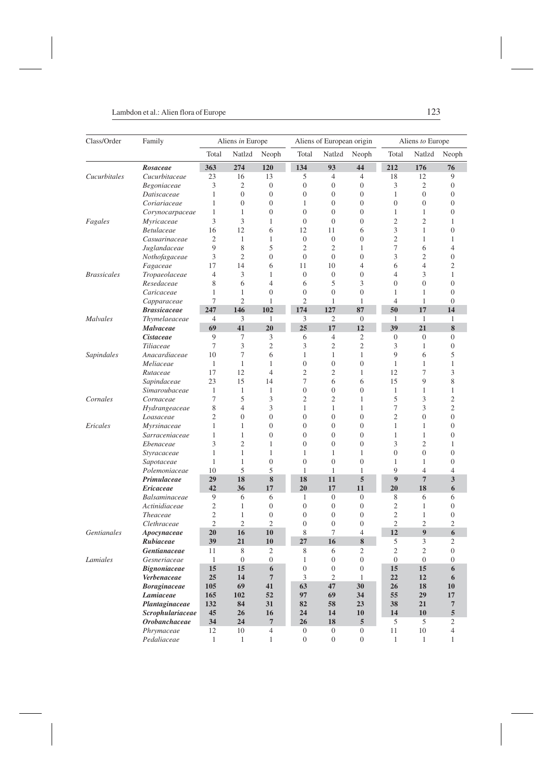| Class/Order        | Family                               | Aliens in Europe      |                  |                     |                  | Aliens of European origin |                      |                  | Aliens to Europe |                  |  |
|--------------------|--------------------------------------|-----------------------|------------------|---------------------|------------------|---------------------------|----------------------|------------------|------------------|------------------|--|
|                    |                                      | Total                 | Natlzd           | Neoph               | Total            | Natlzd                    | Neoph                | Total            | Natlzd           | Neoph            |  |
|                    | Rosaceae                             | 363                   | 274              | 120                 | 134              | 93                        | 44                   | 212              | 176              | 76               |  |
| Cucurbitales       | Cucurbitaceae                        | 23                    | 16               | 13                  | 5                | 4                         | $\overline{4}$       | 18               | 12               | 9                |  |
|                    | Begoniaceae                          | 3                     | $\overline{c}$   | $\boldsymbol{0}$    | $\boldsymbol{0}$ | $\boldsymbol{0}$          | $\overline{0}$       | 3                | $\overline{c}$   | $\overline{0}$   |  |
|                    | Datiscaceae                          | 1                     | $\overline{0}$   | $\boldsymbol{0}$    | $\overline{0}$   | $\boldsymbol{0}$          | $\boldsymbol{0}$     | 1                | $\mathbf{0}$     | $\overline{0}$   |  |
|                    | Coriariaceae                         | 1                     | $\overline{0}$   | $\boldsymbol{0}$    | $\mathbf{1}$     | $\overline{0}$            | $\mathbf{0}$         | $\boldsymbol{0}$ | 0                | $\overline{0}$   |  |
|                    | Corynocarpaceae                      | $\mathbf{1}$          | 1                | $\mathbf{0}$        | $\overline{0}$   | $\overline{0}$            | $\overline{0}$       | 1                | 1                | $\overline{0}$   |  |
| Fagales            | Myricaceae                           | 3                     | 3                | 1                   | $\overline{0}$   | $\boldsymbol{0}$          | $\overline{0}$       | $\mathfrak{2}$   | $\overline{c}$   | 1                |  |
|                    | Betulaceae                           | 16                    | 12               | 6                   | 12               | 11                        | 6                    | 3                | 1                | $\boldsymbol{0}$ |  |
|                    | Casuarinaceae                        | $\overline{2}$        | 1                | 1                   | $\boldsymbol{0}$ | $\boldsymbol{0}$          | $\mathbf{0}$         | $\overline{2}$   | 1                | 1                |  |
|                    | Juglandaceae                         | 9                     | 8                | 5                   | $\overline{2}$   | $\mathfrak{2}$            | 1                    | 7                | 6                | $\overline{4}$   |  |
|                    | Nothofagaceae                        | 3                     | 2                | $\boldsymbol{0}$    | $\boldsymbol{0}$ | $\mathbf{0}$              | $\overline{0}$       | 3                | $\overline{c}$   | $\overline{0}$   |  |
|                    | Fagaceae                             | 17                    | 14               | 6                   | 11               | 10                        | 4                    | 6                | 4                | $\overline{2}$   |  |
| <b>Brassicales</b> | Tropaeolaceae                        | $\overline{4}$        | 3                | 1                   | $\boldsymbol{0}$ | $\boldsymbol{0}$          | $\overline{0}$       | $\overline{4}$   | 3                | $\mathbf{1}$     |  |
|                    | Resedaceae                           | 8                     | 6                | 4                   | 6                | 5                         | 3                    | $\overline{0}$   | $\overline{0}$   | $\overline{0}$   |  |
|                    | Caricaceae                           | 1                     | 1                | $\overline{0}$      | $\overline{0}$   | $\mathbf{0}$              | $\overline{0}$       | 1                | 1                | $\overline{0}$   |  |
|                    | Capparaceae                          | 7                     | $\overline{c}$   | 1                   | $\overline{2}$   | 1                         | 1                    | $\overline{4}$   | 1                | $\overline{0}$   |  |
| <b>Malvales</b>    | <b>Brassicaceae</b><br>Thymelaeaceae | 247<br>$\overline{4}$ | 146<br>3         | 102<br>$\mathbf{1}$ | 174<br>3         | 127<br>$\overline{2}$     | 87<br>$\overline{0}$ | 50<br>1          | 17<br>1          | 14<br>1          |  |
|                    | Malvaceae                            | 69                    | 41               | 20                  | 25               | 17                        | 12                   | 39               | 21               | 8                |  |
|                    | <i>Cistaceae</i>                     | 9                     | 7                | 3                   | 6                | $\overline{4}$            | $\overline{2}$       | $\boldsymbol{0}$ | $\overline{0}$   | $\overline{0}$   |  |
|                    | Tiliaceae                            | 7                     | 3                | $\overline{c}$      | 3                | $\mathfrak{2}$            | $\overline{c}$       | 3                | 1                | $\overline{0}$   |  |
| Sapindales         | Anacardiaceae                        | 10                    | 7                | 6                   | $\mathbf{1}$     | $\mathbf{1}$              | 1                    | 9                | 6                | 5                |  |
|                    | Meliaceae                            | $\mathbf{1}$          | 1                | 1                   | $\boldsymbol{0}$ | $\boldsymbol{0}$          | $\overline{0}$       | $\mathbf{1}$     | $\mathbf{1}$     | $\mathbf{1}$     |  |
|                    | Rutaceae                             | 17                    | 12               | 4                   | $\overline{2}$   | $\mathfrak{2}$            | 1                    | 12               | 7                | 3                |  |
|                    | Sapindaceae                          | 23                    | 15               | 14                  | 7                | 6                         | 6                    | 15               | 9                | 8                |  |
|                    | Simaroubaceae                        | 1                     | 1                | 1                   | $\boldsymbol{0}$ | $\mathbf{0}$              | $\overline{0}$       | 1                | 1                | 1                |  |
| Cornales           | Cornaceae                            | 7                     | 5                | 3                   | $\overline{2}$   | $\overline{2}$            | 1                    | 5                | 3                | $\overline{2}$   |  |
|                    | Hydrangeaceae                        | 8                     | $\overline{4}$   | 3                   | $\mathbf{1}$     | $\mathbf{1}$              | 1                    | 7                | 3                | $\overline{2}$   |  |
|                    | Loasaceae                            | $\overline{2}$        | $\overline{0}$   | $\boldsymbol{0}$    | $\overline{0}$   | $\overline{0}$            | $\overline{0}$       | $\overline{2}$   | $\overline{0}$   | $\overline{0}$   |  |
| Ericales           | Myrsinaceae                          | 1                     | 1                | $\overline{0}$      | $\overline{0}$   | $\overline{0}$            | $\mathbf{0}$         | $\mathbf{1}$     | 1                | $\overline{0}$   |  |
|                    | Sarraceniaceae                       | 1                     | 1                | $\overline{0}$      | $\overline{0}$   | $\overline{0}$            | $\overline{0}$       | 1                | 1                | $\mathbf{0}$     |  |
|                    | Ebenaceae                            | 3                     | $\overline{c}$   | 1                   | $\overline{0}$   | $\boldsymbol{0}$          | $\overline{0}$       | 3                | $\overline{2}$   | 1                |  |
|                    | Styracaceae                          | $\mathbf{1}$          | 1                | 1                   | $\mathbf{1}$     | $\mathbf{1}$              | 1                    | $\boldsymbol{0}$ | $\overline{0}$   | $\overline{0}$   |  |
|                    | Sapotaceae                           | 1                     | 1                | $\overline{0}$      | $\overline{0}$   | $\overline{0}$            | $\overline{0}$       | 1                | 1                | $\mathbf{0}$     |  |
|                    | Polemoniaceae                        | 10                    | 5                | 5                   | $\mathbf{1}$     | 1                         | 1                    | 9                | 4                | $\overline{4}$   |  |
|                    | Primulaceae                          | 29                    | 18               | 8                   | 18               | 11                        | 5                    | 9                | $\overline{7}$   | 3                |  |
|                    | <b>Ericaceae</b>                     | 42                    | 36               | 17                  | 20               | 17                        | 11                   | 20               | 18               | 6                |  |
|                    | Balsaminaceae                        | 9                     | 6                | 6                   | 1                | $\mathbf{0}$              | $\mathbf{0}$         | 8                | 6                | 6                |  |
|                    | Actinidiaceae                        | $\overline{2}$        | 1                | $\boldsymbol{0}$    | $\mathbf{0}$     | $\mathbf{0}$              | $\boldsymbol{0}$     | $\overline{2}$   | $\mathbf{1}$     | $\mathbf{0}$     |  |
|                    | <i>Theaceae</i>                      | $\mathfrak{2}$        | 1                | $\mathbf{0}$        | $\overline{0}$   | $\mathbf{0}$              | $\boldsymbol{0}$     | $\mathfrak{2}$   | 1                | $\overline{0}$   |  |
|                    | Clethraceae                          | $\overline{2}$        | $\overline{c}$   | $\mathfrak{2}$      | $\overline{0}$   | $\overline{0}$            | $\mathbf{0}$         | $\mathfrak{2}$   | $\overline{c}$   | $\mathfrak{2}$   |  |
| <b>Gentianales</b> | Apocynaceae                          | 20                    | 16               | 10                  | 8                | 7                         | 4                    | 12               | $\boldsymbol{9}$ | 6                |  |
|                    | Rubiaceae                            | 39                    | 21               | 10                  | 27               | 16                        | 8                    | 5                | 3                | $\overline{2}$   |  |
|                    | <i><b>Gentianaceae</b></i>           | 11                    | 8                | 2                   | 8                | 6                         | 2                    | 2                | 2                | $\mathbf{0}$     |  |
| Lamiales           | Gesneriaceae                         | $\mathbf{1}$          | $\boldsymbol{0}$ | $\boldsymbol{0}$    | $\mathbf{1}$     | $\mathbf{0}$              | $\boldsymbol{0}$     | $\boldsymbol{0}$ | $\boldsymbol{0}$ | $\boldsymbol{0}$ |  |
|                    | <b>Bignoniaceae</b>                  | 15                    | 15               | 6                   | $\mathbf{0}$     | $\boldsymbol{0}$          | $\boldsymbol{0}$     | 15               | 15               | 6                |  |
|                    | Verbenaceae                          | 25                    | 14               | $\overline{7}$      | $\overline{3}$   | 2                         | $\mathbf{1}$         | 22               | 12               | 6                |  |
|                    | <b>Boraginaceae</b>                  | 105                   | 69               | 41                  | 63               | 47                        | 30                   | 26               | 18               | 10               |  |
|                    | Lamiaceae                            | 165                   | 102              | 52                  | 97               | 69                        | 34                   | 55               | 29               | 17               |  |
|                    | Plantaginaceae                       | 132                   | 84               | 31                  | 82               | 58                        | 23                   | 38               | 21               | 7                |  |
|                    | Scrophulariaceae                     | 45                    | 26               | 16                  | 24               | 14                        | <b>10</b>            | 14               | 10               | $\overline{5}$   |  |
|                    | Orobanchaceae                        | 34                    | 24               | $\overline{7}$      | 26               | 18                        | 5                    | 5                | 5                | 2                |  |
|                    | Phrymaceae                           | 12                    | 10               | $\overline{4}$      | $\overline{0}$   | $\mathbf{0}$              | $\boldsymbol{0}$     | 11               | $10\,$           | $\overline{4}$   |  |
|                    | Pedaliaceae                          | $\mathbf{1}$          | $\mathbf{1}$     | $\mathbf{1}$        | $\overline{0}$   | $\mathbf{0}$              | $\overline{0}$       | $\mathbf{1}$     | 1                | $\mathbf{1}$     |  |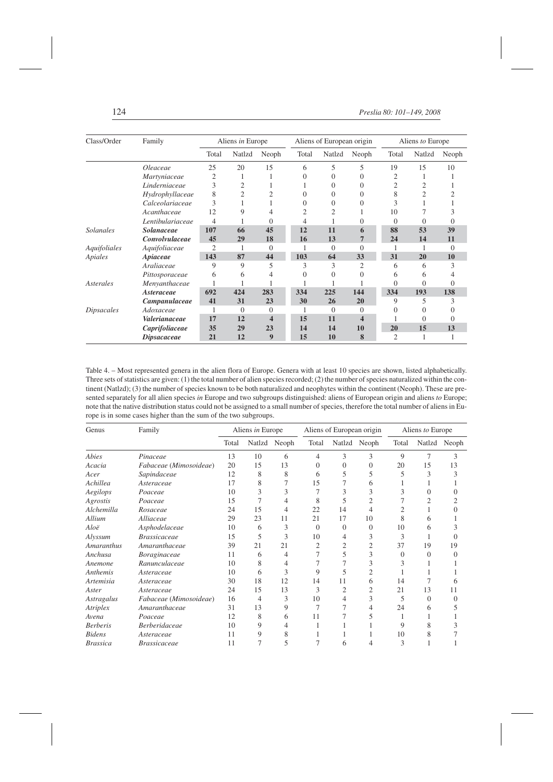| Class/Order       | Family             |                | Aliens in Europe |                |       | Aliens of European origin |                | Aliens to Europe |          |          |  |
|-------------------|--------------------|----------------|------------------|----------------|-------|---------------------------|----------------|------------------|----------|----------|--|
|                   |                    | Total          | Natlzd           | Neoph          | Total | Natlzd                    | Neoph          | Total            | Natlzd   | Neoph    |  |
|                   | Oleaceae           | 25             | 20               | 15             | 6     | 5                         | 5              | 19               | 15       | 10       |  |
|                   | Martyniaceae       | 2              | 1                | 1              | 0     | 0                         | $\Omega$       | 2                | 1        |          |  |
|                   | Linderniaceae      | 3              | $\overline{2}$   |                |       | 0                         | $\Omega$       | 2                | 2        |          |  |
|                   | Hydrophyllaceae    | 8              | $\overline{2}$   | $\overline{2}$ | 0     | 0                         | $\Omega$       | 8                | 2        |          |  |
|                   | Calceolariaceae    | 3              |                  |                | 0     | 0                         | $\Omega$       | 3                |          |          |  |
|                   | Acanthaceae        | 12             | 9                | 4              |       | 2                         |                | 10               |          |          |  |
|                   | Lentibulariaceae   | 4              |                  | 0              |       |                           | $\theta$       | $\Omega$         | 0        |          |  |
| <b>Solanales</b>  | <b>Solanaceae</b>  | 107            | 66               | 45             | 12    | 11                        | 6              | 88               | 53       | 39       |  |
|                   | Convolvulaceae     | 45             | 29               | 18             | 16    | 13                        | $\overline{7}$ | 24               | 14       | 11       |  |
| Aquifoliales      | Aquifoliaceae      | $\overline{c}$ |                  | $\overline{0}$ |       | $\Omega$                  | $\overline{0}$ |                  |          | $\Omega$ |  |
| Apiales           | Apiaceae           | 143            | 87               | 44             | 103   | 64                        | 33             | 31               | 20       | 10       |  |
|                   | Araliaceae         | 9              | 9                | 5              | 3     | 3                         | $\overline{c}$ | 6                | 6        | 3        |  |
|                   | Pittosporaceae     | 6              | 6                | 4              | 0     | 0                         | $\Omega$       | 6                | 6        |          |  |
| Asterales         | Menyanthaceae      |                |                  |                |       |                           |                |                  | $\Omega$ | 0        |  |
|                   | Asteraceae         | 692            | 424              | 283            | 334   | 225                       | 144            | 334              | 193      | 138      |  |
|                   | Campanulaceae      | 41             | 31               | 23             | 30    | 26                        | 20             | 9                | 5        | 3        |  |
| <i>Dipsacales</i> | Adoxaceae          |                | $\Omega$         | $\overline{0}$ |       | $\Omega$                  | $\overline{0}$ | $\Omega$         | 0        |          |  |
|                   | Valerianaceae      | 17             | 12               | 4              | 15    | 11                        | 4              |                  | $\Omega$ | 0        |  |
|                   | Caprifoliaceae     | 35             | 29               | 23             | 14    | 14                        | 10             | 20               | 15       | 13       |  |
|                   | <i>Dipsacaceae</i> | 21             | 12               | 9              | 15    | 10                        | 8              | 2                |          |          |  |

Table 4. – Most represented genera in the alien flora of Europe. Genera with at least 10 species are shown, listed alphabetically. Three sets of statistics are given: (1) the total number of alien species recorded; (2) the number of species naturalized within the continent (Natlzd); (3) the number of species known to be both naturalized and neophytes within the continent (Neoph). These are presented separately for all alien species *in* Europe and two subgroups distinguished: aliens of European origin and aliens *to* Europe; note that the native distribution status could not be assigned to a small number of species, therefore the total number of aliens in Europe is in some cases higher than the sum of the two subgroups.

| Genus             | Family                 |       | Aliens in Europe |       |          | Aliens of European origin |              | Aliens to Europe |                |          |
|-------------------|------------------------|-------|------------------|-------|----------|---------------------------|--------------|------------------|----------------|----------|
|                   |                        | Total | Natlzd           | Neoph | Total    |                           | Natlzd Neoph | Total            | Natlzd         | Neoph    |
| Abies             | Pinaceae               | 13    | 10               | 6     | 4        | 3                         | 3            | 9                | $\overline{7}$ | 3        |
| Acacia            | Fabaceae (Mimosoideae) | 20    | 15               | 13    | 0        | $\Omega$                  | $\Omega$     | 20               | 15             | 13       |
| Acer              | Sapindaceae            | 12    | 8                | 8     | 6        | 5                         | 5            | 5                | 3              |          |
| Achillea          | Asteraceae             | 17    | 8                |       | 15       |                           | 6            |                  |                |          |
| Aegilops          | Poaceae                | 10    | 3                | 3     |          | 3                         | 3            | 3                | 0              |          |
| Agrostis          | Poaceae                | 15    |                  | 4     | 8        | 5                         | 2            |                  | 2              |          |
| Alchemilla        | Rosaceae               | 24    | 15               | 4     | 22       | 14                        | 4            | 2                |                |          |
| Allium            | Alliaceae              | 29    | 23               | 11    | 21       | 17                        | 10           | 8                | 6              |          |
| Aloë              | Asphodelaceae          | 10    | 6                | 3     | $\theta$ | $\Omega$                  | $\Omega$     | 10               | 6              |          |
| Alyssum           | <b>Brassicaceae</b>    | 15    | 5                | 3     | 10       | 4                         | 3            | 3                |                |          |
| <b>Amaranthus</b> | Amaranthaceae          | 39    | 21               | 21    | 2        | 2                         | 2            | 37               | 19             | 19       |
| Anchusa           | Boraginaceae           | 11    | 6                | 4     |          | 5                         | 3            | 0                | 0              | $\Omega$ |
| Anemone           | Ranunculaceae          | 10    | 8                | 4     |          | 7                         | 3            | 3                |                |          |
| Anthemis          | Asteraceae             | 10    | 6                | 3     | 9        | 5                         | 2            |                  |                |          |
| Artemisia         | Asteraceae             | 30    | 18               | 12    | 14       | 11                        | 6            | 14               | 7              | h        |
| Aster             | Asteraceae             | 24    | 15               | 13    | 3        | 2                         | 2            | 21               | 13             | 11       |
| Astragalus        | Fabaceae (Mimosoideae) | 16    | 4                | 3     | 10       | 4                         | 3            | 5                | 0              | $\Omega$ |
| Atriplex          | Amaranthaceae          | 31    | 13               | 9     |          |                           | 4            | 24               | 6              |          |
| Avena             | Poaceae                | 12    | 8                | 6     | 11       |                           | 5            |                  |                |          |
| <b>Berberis</b>   | <b>Berberidaceae</b>   | 10    | 9                | 4     |          |                           |              | 9                | 8              |          |
| <b>Bidens</b>     | Asteraceae             | 11    | 9                | 8     |          |                           |              | 10               | 8              |          |
| <i>Brassica</i>   | <b>Brassicaceae</b>    | 11    |                  | 5     | 7        | 6                         | 4            | 3                |                |          |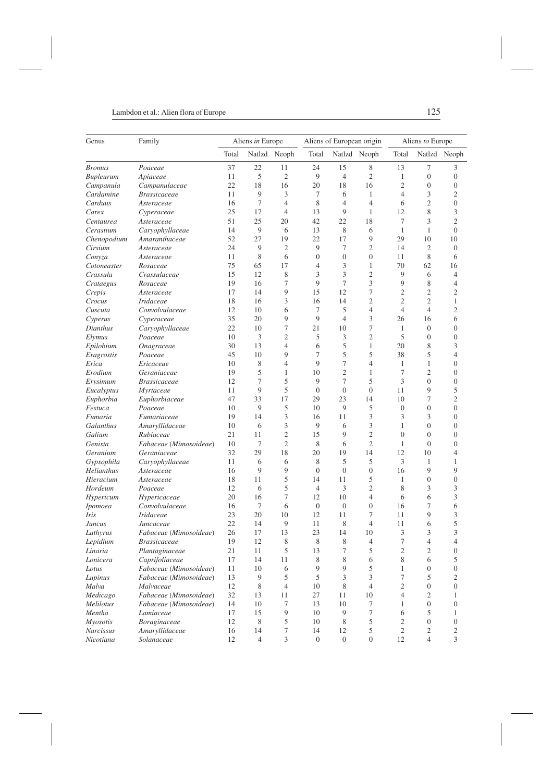| Genus               | Family                              |          | Aliens in Europe |                | Aliens of European origin |                  |                  | Aliens to Europe |                     |                                      |  |
|---------------------|-------------------------------------|----------|------------------|----------------|---------------------------|------------------|------------------|------------------|---------------------|--------------------------------------|--|
|                     |                                     | Total    |                  | Natlzd Neoph   | Total                     |                  | Natlzd Neoph     | Total            |                     | Natlzd Neoph                         |  |
| <b>Bromus</b>       | Poaceae                             | 37       | 22               | 11             | 24                        | 15               | 8                | 13               | 7                   | 3                                    |  |
| <b>Bupleurum</b>    | Apiaceae                            | 11       | 5                | $\mathfrak{2}$ | 9                         | $\overline{4}$   | $\mathfrak{2}$   | $\mathbf{1}$     | $\boldsymbol{0}$    | $\mathbf{0}$                         |  |
| Campanula           | Campanulaceae                       | 22       | 18               | 16             | 20                        | 18               | 16               | $\overline{2}$   | $\overline{0}$      | $\boldsymbol{0}$                     |  |
| Cardamine           | Brassicaceae                        | 11       | 9                | 3              | 7                         | 6                | $\mathbf{1}$     | $\overline{4}$   | 3                   | $\mathfrak{2}$                       |  |
| Carduus             | Asteraceae                          | 16       | $\tau$           | $\overline{4}$ | 8                         | $\overline{4}$   | $\overline{4}$   | 6                | $\overline{2}$      | $\boldsymbol{0}$                     |  |
| Carex               | Cyperaceae                          | 25       | 17               | $\overline{4}$ | 13                        | 9                | 1                | 12               | 8                   | 3                                    |  |
| Centaurea           | Asteraceae                          | 51       | 25               | 20             | 42                        | 22               | 18               | 7                | 3                   | $\mathfrak{2}$                       |  |
| Cerastium           | Caryophyllaceae                     | 14       | 9                | 6              | 13                        | 8                | 6                | 1                | 1                   | $\overline{0}$                       |  |
| Chenopodium         | Amaranthaceae                       | 52       | 27               | 19             | 22                        | 17               | 9                | 29               | 10                  | 10                                   |  |
| Cirsium             | Asteraceae                          | 24       | 9                | $\overline{2}$ | 9                         | 7                | 2                | 14               | 2                   | $\mathbf{0}$                         |  |
| Conyza              | Asteraceae                          | 11       | 8                | 6              | $\Omega$                  | $\overline{0}$   | $\overline{0}$   | 11               | 8                   | 6                                    |  |
| Cotoneaster         | Rosaceae                            | 75       | 65               | 17             | $\overline{4}$            | 3                | $\mathbf{1}$     | 70               | 62                  | 16                                   |  |
| Crassula            | Crassulaceae                        | 15       | 12               | 8              | 3                         | 3                | $\mathfrak{2}$   | 9                | 6                   | $\overline{4}$                       |  |
| Crataegus           | Rosaceae                            | 19       | 16               | 7              | 9                         | 7                | 3                | 9                | 8                   | 4                                    |  |
| Crepis              | Asteraceae                          | 17       | 14               | 9              | 15                        | 12               | $\tau$           | $\mathfrak{2}$   | $\overline{2}$      | $\mathfrak{2}$                       |  |
| Crocus              | <b>Iridaceae</b>                    | 18       | 16               | 3              | 16                        | 14               | $\overline{2}$   | $\overline{c}$   | $\overline{2}$      | 1                                    |  |
| Cuscuta             | Convolvulaceae                      | 12       | 10               | 6              | 7                         | 5                | $\overline{4}$   | $\overline{4}$   | $\overline{4}$      | $\overline{c}$                       |  |
| Cyperus             | Cyperaceae                          | 35       | 20               | 9              | 9                         | $\overline{4}$   | 3                | 26               | 16                  | 6                                    |  |
| Dianthus            | Caryophyllaceae                     | 22       | 10               | 7              | 21                        | 10               | 7                | 1                | $\boldsymbol{0}$    | $\mathbf{0}$                         |  |
| <i>Elymus</i>       | Poaceae                             | 10       | 3                | 2              | 5                         | 3                | $\mathfrak{2}$   | 5                | $\overline{0}$      | $\boldsymbol{0}$                     |  |
| Epilobium           | Onagraceae                          | 30       | 13               | $\overline{4}$ | 6                         | 5                | $\mathbf{1}$     | 20               | 8                   | 3                                    |  |
| Eragrostis          | Poaceae                             | 45       | 10               | 9              | 7                         | 5                | 5                | 38               | 5                   | $\overline{4}$                       |  |
| Erica               | Ericaceae                           | 10       | 8                | $\overline{4}$ | 9                         | 7                | $\overline{4}$   | 1                | 1                   | $\mathbf{0}$                         |  |
| Erodium             | Geraniaceae                         | 19       | 5                | 1              | 10                        | $\overline{c}$   | $\mathbf{1}$     | $\tau$           | $\overline{2}$      | $\boldsymbol{0}$                     |  |
| Erysimum            | <b>Brassicaceae</b>                 | 12       | $\tau$           | 5              | 9                         | 7                | 5                | 3                | $\overline{0}$      | $\boldsymbol{0}$                     |  |
| Eucalyptus          | Myrtaceae                           | 11       | 9                | 5              | $\Omega$                  | $\overline{0}$   | $\overline{0}$   | 11               | 9                   | 5                                    |  |
| Euphorbia           | Euphorbiaceae                       | 47       | 33               | 17             | 29                        | 23               | 14               | 10               | 7                   | $\mathfrak{2}$                       |  |
| Festuca             | Poaceae                             | 10       | 9                | 5              | 10                        | 9                | 5                | $\overline{0}$   | $\overline{0}$      | $\overline{0}$                       |  |
| Fumaria             | Fumariaceae                         | 19       | 14               | 3<br>3         | 16<br>9                   | 11               | 3<br>3           | 3<br>1           | 3<br>$\overline{0}$ | $\boldsymbol{0}$<br>$\boldsymbol{0}$ |  |
| Galanthus<br>Galium | Amaryllidaceae                      | 10<br>21 | 6<br>11          | $\overline{c}$ | 15                        | 6<br>9           | $\overline{2}$   | $\overline{0}$   | $\overline{0}$      | $\overline{0}$                       |  |
| Genista             | Rubiaceae<br>Fabaceae (Mimosoideae) | 10       | 7                | $\mathfrak{2}$ | 8                         | 6                | $\overline{c}$   | $\mathbf{1}$     | $\boldsymbol{0}$    | $\boldsymbol{0}$                     |  |
| Geranium            | Geraniaceae                         | 32       | 29               | 18             | 20                        | 19               | 14               | 12               | 10                  | $\overline{4}$                       |  |
| Gypsophila          | Caryophyllaceae                     | 11       | 6                | 6              | 8                         | 5                | 5                | 3                | 1                   | 1                                    |  |
| Helianthus          | Asteraceae                          | 16       | 9                | 9              | $\mathbf{0}$              | $\overline{0}$   | $\boldsymbol{0}$ | 16               | 9                   | 9                                    |  |
| Hieracium           | Asteraceae                          | 18       | 11               | 5              | 14                        | 11               | 5                | 1                | $\overline{0}$      | $\overline{0}$                       |  |
| Hordeum             | Poaceae                             | 12       | 6                | 5              | $\overline{4}$            | 3                | $\overline{c}$   | 8                | 3                   | 3                                    |  |
| Hypericum           | Hypericaceae                        | 20       | 16               | 7              | 12                        | 10               | $\overline{4}$   | 6                | 6                   | 3                                    |  |
| <i>Ipomoea</i>      | Convolvulaceae                      | 16       | 7                | 6              | $\boldsymbol{0}$          | $\boldsymbol{0}$ | $\boldsymbol{0}$ | 16               | 7                   | 6                                    |  |
| Iris                | Iridaceae                           | 23       | 20               | 10             | 12                        | 11               | 7                | 11               | 9                   | 3                                    |  |
| Juncus              | Juncaceae                           | 22       | 14               | 9              | 11                        | 8                | $\overline{4}$   | 11               | 6                   | 5                                    |  |
| Lathyrus            | Fabaceae (Mimosoideae)              | 26       | 17               | 13             | 23                        | 14               | 10               | 3                | 3                   | 3                                    |  |
| Lepidium            | Brassicaceae                        | 19       | 12               | 8              | 8                         | 8                | 4                | 7                | 4                   | 4                                    |  |
| Linaria             | Plantaginaceae                      | 21       | 11               | 5              | 13                        | 7                | 5                | 2                | 2                   | $\theta$                             |  |
| Lonicera            | Caprifoliaceae                      | 17       | 14               | 11             | $\,$ 8 $\,$               | 8                | 6                | $\,$ 8 $\,$      | 6                   | 5                                    |  |
| Lotus               | Fabaceae (Mimosoideae)              | 11       | 10               | 6              | 9                         | 9                | 5                | 1                | $\boldsymbol{0}$    | $\mathbf{0}$                         |  |
| Lupinus             | Fabaceae (Mimosoideae)              | 13       | 9                | 5              | 5                         | 3                | 3                | $\tau$           | 5                   | $\mathfrak{2}$                       |  |
| Malva               | Malvaceae                           | 12       | $\,$ 8 $\,$      | $\overline{4}$ | 10                        | $\,$ 8 $\,$      | $\overline{4}$   | $\mathfrak{2}$   | $\overline{0}$      | $\mathbf{0}$                         |  |
| Medicago            | Fabaceae (Mimosoideae)              | 32       | 13               | 11             | 27                        | 11               | 10               | $\overline{4}$   | $\overline{c}$      | $\mathbf{1}$                         |  |
| Melilotus           | Fabaceae (Mimosoideae)              | 14       | 10               | 7              | 13                        | 10               | 7                | $\mathbf{1}$     | $\overline{0}$      | $\mathbf{0}$                         |  |
| Mentha              | Lamiaceae                           | 17       | 15               | 9              | 10                        | 9                | 7                | 6                | 5                   | 1                                    |  |
| <b>Myosotis</b>     | Boraginaceae                        | 12       | 8                | 5              | 10                        | 8                | 5                | $\overline{c}$   | $\overline{0}$      | $\mathbf{0}$                         |  |
| <b>Narcissus</b>    | Amaryllidaceae                      | 16       | 14               | 7              | 14                        | 12               | 5                | $\overline{c}$   | $\mathbf{2}$        | $\sqrt{2}$                           |  |
| Nicotiana           | Solanaceae                          | 12       | $\overline{4}$   | 3              | $\mathbf{0}$              | $\boldsymbol{0}$ | $\boldsymbol{0}$ | 12               | $\overline{4}$      | $\mathfrak{Z}$                       |  |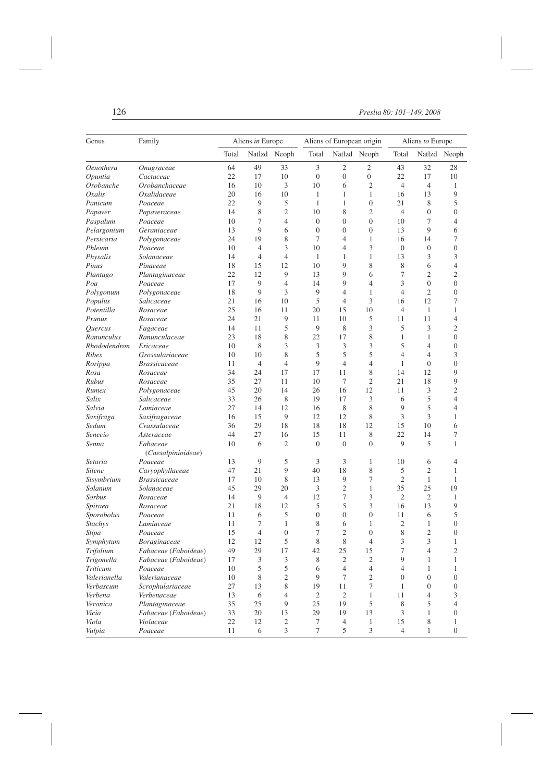| Genus          | Family               |       | Aliens in Europe            |                             | Aliens of European origin |                  |                             | Aliens to Europe |                  |                  |  |
|----------------|----------------------|-------|-----------------------------|-----------------------------|---------------------------|------------------|-----------------------------|------------------|------------------|------------------|--|
|                |                      | Total |                             | Natlzd Neoph                | Total                     |                  | Natlzd Neoph                | Total            |                  | Natlzd Neoph     |  |
| Oenothera      | Onagraceae           | 64    | 49                          | 33                          | 3                         | 2                | 2                           | 43               | 32               | 28               |  |
| Opuntia        | Cactaceae            | 22    | 17                          | 10                          | $\boldsymbol{0}$          | $\boldsymbol{0}$ | $\boldsymbol{0}$            | 22               | 17               | 10               |  |
| Orobanche      | Orobanchaceae        | 16    | 10                          | 3                           | 10                        | 6                | $\mathfrak{2}$              | $\overline{4}$   | $\overline{4}$   | $\mathbf{1}$     |  |
| Oxalis         | Oxalidaceae          | 20    | 16                          | 10                          | 1                         | 1                | 1                           | 16               | 13               | 9                |  |
| Panicum        | Poaceae              | 22    | 9                           | 5                           | 1                         | $\mathbf{1}$     | $\boldsymbol{0}$            | 21               | 8                | 5                |  |
| Papaver        | Papaveraceae         | 14    | 8                           | $\mathfrak{2}$              | 10                        | 8                | $\overline{c}$              | $\overline{4}$   | $\overline{0}$   | $\boldsymbol{0}$ |  |
| Paspalum       | Poaceae              | 10    | 7                           | $\overline{4}$              | $\boldsymbol{0}$          | $\mathbf{0}$     | $\boldsymbol{0}$            | 10               | 7                | $\overline{4}$   |  |
| Pelargonium    | Geraniaceae          | 13    | 9                           | 6                           | $\overline{0}$            | $\boldsymbol{0}$ | $\boldsymbol{0}$            | 13               | 9                | 6                |  |
| Persicaria     | Polygonaceae         | 24    | 19                          | 8                           | 7                         | $\overline{4}$   | 1                           | 16               | 14               | 7                |  |
| Phleum         | Poaceae              | 10    | $\overline{4}$              | 3                           | 10                        | $\overline{4}$   | 3                           | $\mathbf{0}$     | $\overline{0}$   | $\boldsymbol{0}$ |  |
| Physalis       | Solanaceae           | 14    | $\overline{4}$              | $\overline{4}$              | 1                         | 1                | 1                           | 13               | 3                | 3                |  |
| Pinus          | Pinaceae             | 18    | 15                          | 12                          | 10                        | 9                | 8                           | 8                | 6                | $\overline{4}$   |  |
| Plantago       | Plantaginaceae       | 22    | 12                          | 9                           | 13                        | 9                | 6                           | 7                | $\overline{2}$   | 2                |  |
| Poa            | Poaceae              | 17    | 9                           | $\overline{4}$              | 14                        | 9                | $\overline{4}$              | 3                | $\overline{0}$   | $\boldsymbol{0}$ |  |
| Polygonum      | Polygonaceae         | 18    | 9                           | 3                           | 9                         | $\overline{4}$   | 1                           | $\overline{4}$   | $\overline{2}$   | $\boldsymbol{0}$ |  |
| Populus        | Salicaceae           | 21    | 16                          | 10                          | 5                         | $\overline{4}$   | 3                           | 16               | 12               | 7                |  |
| Potentilla     | Rosaceae             | 25    | 16                          | 11                          | 20                        | 15               | 10                          | $\overline{4}$   | 1                | 1                |  |
| Prunus         | Rosaceae             | 24    | 21                          | 9                           | 11                        | 10               | 5                           | 11               | 11               | $\overline{4}$   |  |
| Quercus        | Fagaceae             | 14    | 11                          | 5                           | 9                         | 8                | 3                           | 5                | 3                | 2                |  |
| Ranunculus     | Ranunculaceae        | 23    | 18                          | 8                           | 22                        | 17               | 8                           | $\mathbf{1}$     | 1                | $\boldsymbol{0}$ |  |
| Rhododendron   | Ericaceae            | 10    | 8                           | 3                           | 3                         | 3                | 3                           | 5                | $\overline{4}$   | $\boldsymbol{0}$ |  |
| <b>Ribes</b>   | Grossulariaceae      | 10    | 10                          | 8                           | 5                         | 5                | 5                           | $\overline{4}$   | 4                | 3                |  |
| Rorippa        | <b>Brassicaceae</b>  | 11    | $\overline{4}$              | $\overline{4}$              | 9                         | $\overline{4}$   | $\overline{4}$              | $\mathbf{1}$     | $\boldsymbol{0}$ | $\boldsymbol{0}$ |  |
| Rosa           | Rosaceae             | 34    | 24                          | 17                          | 17                        | 11               | 8                           | 14               | 12               | 9                |  |
| Rubus          | Rosaceae             | 35    | 27                          | 11                          | 10                        | 7                | $\overline{c}$              | 21               | 18               | 9                |  |
| Rumex          | Polygonaceae         | 45    | 20                          | 14                          | 26                        | 16               | 12                          | 11               | 3                | 2                |  |
| Salix          | Salicaceae           | 33    | 26                          | 8                           | 19                        | 17               | 3                           | 6                | 5                | $\overline{4}$   |  |
| Salvia         | Lamiaceae            | 27    | 14                          | 12                          | 16                        | 8                | 8                           | 9                | 5                | $\overline{4}$   |  |
| Saxifraga      | Saxifragaceae        | 16    | 15                          | 9                           | 12                        | 12               | 8                           | 3                | 3                | 1                |  |
| Sedum          | Crassulaceae         | 36    | 29                          | 18                          | 18                        | 18               | 12                          | 15               | 10               | 6                |  |
| Senecio        | Asteraceae           | 44    | 27                          | 16                          | 15                        | 11               | 8                           | 22               | 14               | 7                |  |
| Senna          | Fabaceae             | 10    | 6                           | $\overline{2}$              | $\overline{0}$            | $\mathbf{0}$     | $\boldsymbol{0}$            | 9                | 5                | 1                |  |
|                | (Caesalpinioideae)   |       |                             |                             |                           |                  |                             |                  |                  |                  |  |
| Setaria        | Poaceae              | 13    | 9                           | 5                           | 3                         | 3                | 1                           | 10               | 6                | 4                |  |
| Silene         | Caryophyllaceae      | 47    | 21                          | 9                           | 40                        | 18               | 8                           | 5                | $\mathfrak{2}$   | 1                |  |
| Sisymbrium     | <b>Brassicaceae</b>  | 17    | 10                          | 8                           | 13                        | 9                | 7                           | $\mathfrak{2}$   | $\mathbf{1}$     | 1                |  |
| Solanum        | Solanaceae           | 45    | 29                          | 20                          | 3                         | $\mathfrak{2}$   | 1                           | 35               | 25               | 19               |  |
| Sorbus         | Rosaceae             | 14    | 9                           | $\overline{4}$              | 12                        | 7                | 3                           | $\mathfrak{2}$   | $\overline{2}$   | $\mathbf{1}$     |  |
| Spiraea        | Rosaceae             | 21    | 18                          | 12                          | 5                         | 5                | 3                           | 16               | 13               | 9                |  |
| Sporobolus     | Poaceae              | 11    | 6                           | 5                           | $\overline{0}$            | $\boldsymbol{0}$ | $\boldsymbol{0}$            | 11               | 6                | 5                |  |
| <b>Stachys</b> | Lamiaceae            | 11    | 7                           | 1                           | 8                         | 6                | 1                           | $\mathfrak{2}$   | 1                | $\boldsymbol{0}$ |  |
| Stipa          | Poaceae              | 15    | 4                           | $\mathbf{0}$                | 7                         | $\overline{2}$   | $\boldsymbol{0}$            | 8                | $\overline{c}$   | $\boldsymbol{0}$ |  |
| Symphytum      | Boraginaceae         | 12    | 12                          | 5                           | 8                         | 8                | 4                           | 3                | 3                | 1                |  |
| Trifolium      | Fabaceae (Faboideae) | 49    | 29                          | 17                          | 42                        | 25               | 15                          | 7                | 4                | 2                |  |
| Trigonella     | Fabaceae (Faboideae) | 17    | $\ensuremath{\mathfrak{Z}}$ | $\ensuremath{\mathfrak{Z}}$ | $\,$ 8 $\,$               | $\sqrt{2}$       | $\sqrt{2}$                  | $\boldsymbol{9}$ | $\mathbf{1}$     | $\mathbf{1}$     |  |
| Triticum       | Poaceae              | 10    | 5                           | $\sqrt{5}$                  | 6                         | $\overline{4}$   | $\overline{\mathcal{L}}$    | $\overline{4}$   | $\mathbf{1}$     | 1                |  |
| Valerianella   | Valerianaceae        | 10    | 8                           | $\sqrt{2}$                  | 9                         | $\tau$           | $\sqrt{2}$                  | $\mathbf{0}$     | $\overline{0}$   | $\mathbf{0}$     |  |
| Verbascum      | Scrophulariaceae     | 27    | 13                          | $\,$ 8 $\,$                 | 19                        | 11               | $\boldsymbol{7}$            | $\mathbf{1}$     | $\overline{0}$   | $\boldsymbol{0}$ |  |
| Verbena        | Verbenaceae          | 13    | 6                           | $\overline{4}$              | 2                         | 2                | 1                           | 11               | $\overline{4}$   | 3                |  |
| Veronica       | Plantaginaceae       | 35    | 25                          | 9                           | 25                        | 19               | 5                           | $\,$ 8 $\,$      | 5                | $\overline{4}$   |  |
| Vicia          | Fabaceae (Faboideae) | 33    | 20                          | 13                          | 29                        | 19               | 13                          | $\mathfrak{Z}$   | $\mathbf{1}$     | $\mathbf{0}$     |  |
| Viola          | Violaceae            | 22    | 12                          | $\overline{2}$              | 7                         | $\overline{4}$   | $\mathbf{1}$                | 15               | 8                | $\mathbf{1}$     |  |
| Vulpia         | Poaceae              | 11    | 6                           | $\mathfrak{Z}$              | $\tau$                    | 5                | $\ensuremath{\mathfrak{Z}}$ | $\overline{4}$   | $\mathbf{1}$     | $\boldsymbol{0}$ |  |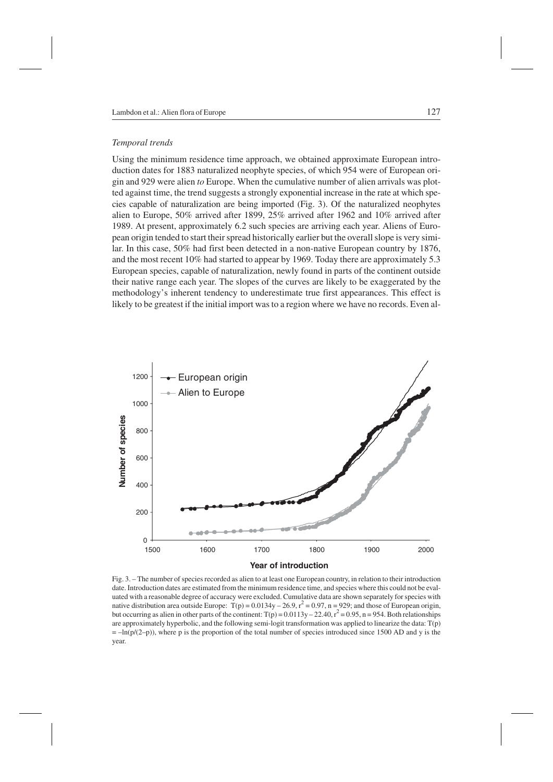### *Temporal trends*

Using the minimum residence time approach, we obtained approximate European introduction dates for 1883 naturalized neophyte species, of which 954 were of European origin and 929 were alien *to* Europe. When the cumulative number of alien arrivals was plotted against time, the trend suggests a strongly exponential increase in the rate at which species capable of naturalization are being imported (Fig. 3). Of the naturalized neophytes alien to Europe, 50% arrived after 1899, 25% arrived after 1962 and 10% arrived after 1989. At present, approximately 6.2 such species are arriving each year. Aliens of European origin tended to start their spread historically earlier but the overall slope is very similar. In this case, 50% had first been detected in a non-native European country by 1876, and the most recent 10% had started to appear by 1969. Today there are approximately 5.3 European species, capable of naturalization, newly found in parts of the continent outside their native range each year. The slopes of the curves are likely to be exaggerated by the methodology's inherent tendency to underestimate true first appearances. This effect is likely to be greatest if the initial import was to a region where we have no records. Even al-



Fig. 3. – The number of species recorded as alien to at least one European country, in relation to their introduction date. Introduction dates are estimated from the minimum residence time, and species where this could not be evaluated with a reasonable degree of accuracy were excluded. Cumulative data are shown separately for species with native distribution area outside Europe:  $T(p) = 0.0134y - 26.9$ ,  $r^2 = 0.97$ , n = 929; and those of European origin, but occurring as alien in other parts of the continent:  $T(p) = 0.0113y - 22.40$ ,  $r^2 = 0.95$ , n = 954. Both relationships are approximately hyperbolic, and the following semi-logit transformation was applied to linearize the data: T(p)  $=$  –ln(p/(2–p)), where p is the proportion of the total number of species introduced since 1500 AD and y is the year.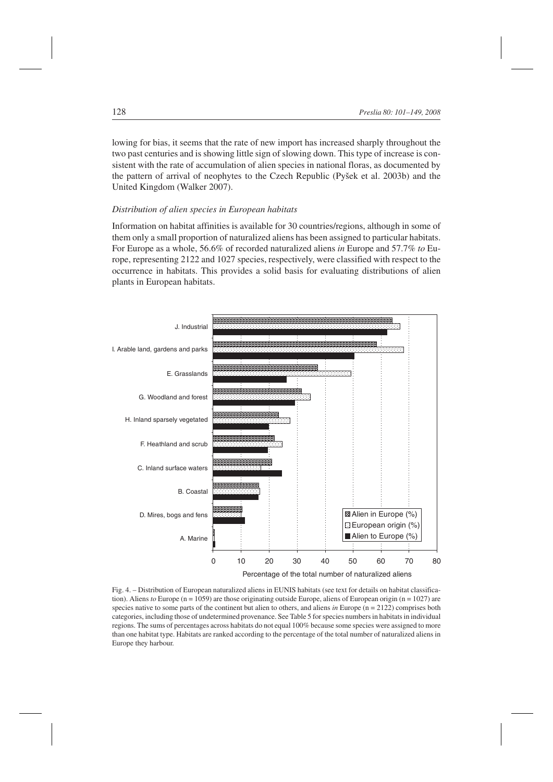lowing for bias, it seems that the rate of new import has increased sharply throughout the two past centuries and is showing little sign of slowing down. This type of increase is consistent with the rate of accumulation of alien species in national floras, as documented by the pattern of arrival of neophytes to the Czech Republic (Pyšek et al. 2003b) and the United Kingdom (Walker 2007).

# *Distribution of alien species in European habitats*

Information on habitat affinities is available for 30 countries/regions, although in some of them only a small proportion of naturalized aliens has been assigned to particular habitats. For Europe as a whole, 56.6% of recorded naturalized aliens *in* Europe and 57.7% *to* Europe, representing 2122 and 1027 species, respectively, were classified with respect to the occurrence in habitats. This provides a solid basis for evaluating distributions of alien plants in European habitats.



Fig. 4. – Distribution of European naturalized aliens in EUNIS habitats (see text for details on habitat classification). Aliens *to* Europe (n = 1059) are those originating outside Europe, aliens of European origin (n = 1027) are species native to some parts of the continent but alien to others, and aliens  $in$  Europe ( $n = 2122$ ) comprises both categories, including those of undetermined provenance. See Table 5 for species numbers in habitats in individual regions. The sums of percentages across habitats do not equal 100% because some species were assigned to more than one habitat type. Habitats are ranked according to the percentage of the total number of naturalized aliens in Europe they harbour.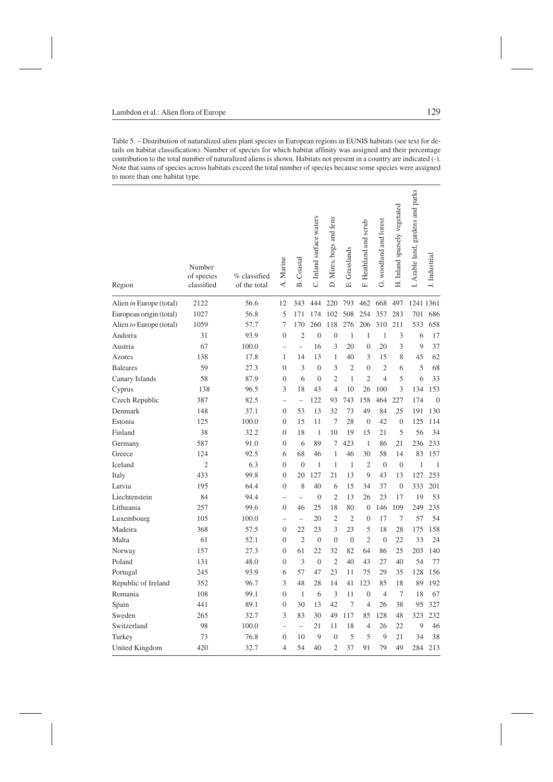Table 5. – Distribution of naturalized alien plant species in European regions in EUNIS habitats (see text for details on habitat classification). Number of species for which habitat affinity was assigned and their percentage contribution to the total number of naturalized aliens is shown. Habitats not present in a country are indicated (-). Note that sums of species across habitats exceed the total number of species because some species were assigned to more than one habitat type.

| Region                  | Number<br>of species<br>classified | % classified<br>of the total | A. Marine                | <b>B.</b> Coastal        | C. Inland surface waters | D. Mires, bogs and fens | Grasslands<br>Ξi | F. Heathland and scrub | G. woodland and forest | H. Inland sparsely vegetated | Arable land, gardens and parks | J. Industrial  |
|-------------------------|------------------------------------|------------------------------|--------------------------|--------------------------|--------------------------|-------------------------|------------------|------------------------|------------------------|------------------------------|--------------------------------|----------------|
| Alien in Europe (total) | 2122                               | 56.6                         | 12                       | 343                      | 444                      | 220                     | 793              | 462                    | 668                    | 497                          | 1241 1361                      |                |
| European origin (total) | 1027                               | 56.8                         | 5                        | 171                      | 174                      | 102                     | 508              | 254                    | 357                    | 283                          | 701                            | 686            |
| Alien to Europe (total) | 1059                               | 57.7                         | 7                        | 170                      | 260                      | 118                     | 276              | 206                    | 310                    | 211                          | 533                            | 658            |
| Andorra                 | 31                                 | 93.9                         | $\overline{0}$           | $\overline{2}$           | $\overline{0}$           | $\overline{0}$          | $\mathbf{1}$     | $\mathbf{1}$           | 1                      | 3                            | 6                              | 17             |
| Austria                 | 67                                 | 100.0                        | $\overline{a}$           | $\overline{a}$           | 16                       | 3                       | 20               | $\overline{0}$         | 20                     | 3                            | 9                              | 37             |
| Azores                  | 138                                | 17.8                         | 1                        | 14                       | 13                       | 1                       | 40               | 3                      | 15                     | 8                            | 45                             | 62             |
| <b>Baleares</b>         | 59                                 | 27.3                         | $\overline{0}$           | 3                        | $\overline{0}$           | 3                       | $\overline{2}$   | $\overline{0}$         | $\overline{2}$         | 6                            | 5                              | 68             |
| Canary Islands          | 58                                 | 87.9                         | $\overline{0}$           | 6                        | $\overline{0}$           | $\overline{2}$          | $\mathbf{1}$     | $\overline{2}$         | $\overline{4}$         | 5                            | 6                              | 33             |
| Cyprus                  | 138                                | 96.5                         | 3                        | 18                       | 43                       | $\overline{4}$          | 10               | 26                     | 100                    | 3                            | 134                            | 153            |
| Czech Republic          | 387                                | 82.5                         | $\overline{a}$           | $\overline{\phantom{a}}$ | 122                      | 93                      | 743              | 158                    | 464                    | 227                          | 174                            | $\overline{0}$ |
| Denmark                 | 148                                | 37.1                         | $\boldsymbol{0}$         | 53                       | 13                       | 32                      | 73               | 49                     | 84                     | 25                           | 191                            | 130            |
| Estonia                 | 125                                | 100.0                        | $\overline{0}$           | 15                       | 11                       | $\tau$                  | 28               | $\mathbf{0}$           | 42                     | $\overline{0}$               | 125                            | 114            |
| Finland                 | 38                                 | 32.2                         | $\Omega$                 | 18                       | 1                        | 10                      | 19               | 15                     | 21                     | 5                            | 56                             | 34             |
| Germany                 | 587                                | 91.0                         | $\overline{0}$           | 6                        | 89                       | 7                       | 423              | $\mathbf{1}$           | 86                     | 21                           | 236                            | 233            |
| Greece                  | 124                                | 92.5                         | 6                        | 68                       | 46                       | 1                       | 46               | 30                     | 58                     | 14                           | 83                             | 157            |
| Iceland                 | $\overline{2}$                     | 6.3                          | $\overline{0}$           | $\overline{0}$           | 1                        | 1                       | $\mathbf{1}$     | $\overline{2}$         | $\overline{0}$         | $\overline{0}$               | $\mathbf{1}$                   | $\mathbf{1}$   |
| Italy                   | 433                                | 99.8                         | $\overline{0}$           | 20                       | 127                      | 21                      | 13               | 9                      | 43                     | 13                           | 127                            | 253            |
| Latvia                  | 195                                | 64.4                         | $\overline{0}$           | 8                        | 40                       | 6                       | 15               | 34                     | 37                     | $\mathbf{0}$                 | 333                            | 201            |
| Liechtenstein           | 84                                 | 94.4                         | $\overline{\phantom{0}}$ | $\overline{\phantom{0}}$ | $\overline{0}$           | $\overline{2}$          | 13               | 26                     | 23                     | 17                           | 19                             | 53             |
| Lithuania               | 257                                | 99.6                         | $\mathbf{0}$             | 46                       | 25                       | 18                      | 80               | $\boldsymbol{0}$       | 146                    | 109                          | 249                            | 235            |
| Luxembourg              | 105                                | 100.0                        |                          | $\overline{a}$           | 20                       | $\overline{2}$          | $\overline{c}$   | $\overline{0}$         | 17                     | $\overline{7}$               | 57                             | 54             |
| Madeira                 | 368                                | 57.5                         | $\theta$                 | 22                       | 23                       | 3                       | 23               | 5                      | 18                     | 28                           | 175                            | 158            |
| Malta                   | 61                                 | 52.1                         | $\overline{0}$           | $\overline{2}$           | $\overline{0}$           | $\overline{0}$          | $\mathbf{0}$     | $\overline{2}$         | $\overline{0}$         | 22                           | 33                             | 24             |
| Norway                  | 157                                | 27.3                         | $\Omega$                 | 61                       | 22                       | 32                      | 82               | 64                     | 86                     | 25                           | 203                            | 140            |
| Poland                  | 131                                | 48.0                         | $\overline{0}$           | 3                        | $\overline{0}$           | $\overline{2}$          | 40               | 43                     | 27                     | 40                           | 54                             | 77             |
| Portugal                | 245                                | 93.9                         | 6                        | 57                       | 47                       | 23                      | 11               | 75                     | 29                     | 35                           | 128                            | 156            |
| Republic of Ireland     | 352                                | 96.7                         | 3                        | 48                       | 28                       | 14                      | 41               | 123                    | 85                     | 18                           | 89                             | 192            |
| Romania                 | 108                                | 99.1                         | $\Omega$                 | $\mathbf{1}$             | 6                        | 3                       | 11               | $\overline{0}$         | $\overline{4}$         | $\tau$                       | 18                             | 67             |
| Spain                   | 441                                | 89.1                         | $\mathbf{0}$             | 30                       | 13                       | 42                      | $\tau$           | $\overline{4}$         | 26                     | 38                           | 95                             | 327            |
| Sweden                  | 265                                | 32.7                         | 3                        | 83                       | 30                       | 49                      | 117              | 85                     | 128                    | 48                           | 323                            | 232            |
| Switzerland             | 98                                 | 100.0                        | $\overline{\phantom{0}}$ | $\overline{a}$           | 21                       | 11                      | 18               | 4                      | 26                     | 22                           | 9                              | 46             |
| Turkey                  | 73                                 | 76.8                         | $\overline{0}$           | 10                       | 9                        | $\overline{0}$          | 5                | 5                      | 9                      | 21                           | 34                             | 38             |
| United Kingdom          | 420                                | 32.7                         | $\overline{4}$           | 54                       | 40                       | $\overline{2}$          | 37               | 91                     | 79                     | 49                           | 284                            | 213            |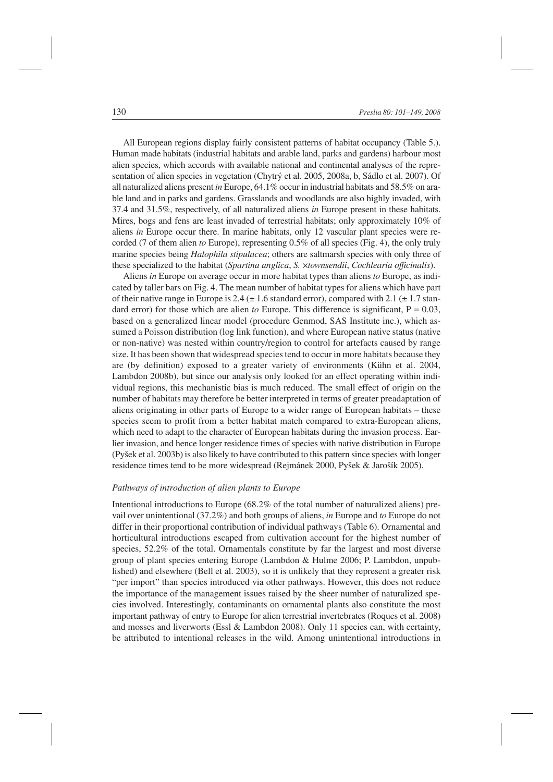All European regions display fairly consistent patterns of habitat occupancy (Table 5.). Human made habitats (industrial habitats and arable land, parks and gardens) harbour most alien species, which accords with available national and continental analyses of the representation of alien species in vegetation (Chytrý et al. 2005, 2008a, b, Sádlo et al. 2007). Of all naturalized aliens present *in* Europe, 64.1% occur in industrial habitats and 58.5% on arable land and in parks and gardens. Grasslands and woodlands are also highly invaded, with 37.4 and 31.5%, respectively, of all naturalized aliens *in* Europe present in these habitats. Mires, bogs and fens are least invaded of terrestrial habitats; only approximately 10% of aliens *in* Europe occur there. In marine habitats, only 12 vascular plant species were recorded (7 of them alien *to* Europe), representing 0.5% of all species (Fig. 4), the only truly marine species being *Halophila stipulacea*; others are saltmarsh species with only three of these specialized to the habitat (*Spartina anglica*, *S.* ×*townsendii*, *Cochlearia officinalis*).

Aliens *in* Europe on average occur in more habitat types than aliens *to* Europe, as indicated by taller bars on Fig. 4. The mean number of habitat types for aliens which have part of their native range in Europe is 2.4 ( $\pm$  1.6 standard error), compared with 2.1 ( $\pm$  1.7 standard error) for those which are alien *to* Europe. This difference is significant,  $P = 0.03$ , based on a generalized linear model (procedure Genmod, SAS Institute inc.), which assumed a Poisson distribution (log link function), and where European native status (native or non-native) was nested within country/region to control for artefacts caused by range size. It has been shown that widespread species tend to occur in more habitats because they are (by definition) exposed to a greater variety of environments (Kühn et al. 2004, Lambdon 2008b), but since our analysis only looked for an effect operating within individual regions, this mechanistic bias is much reduced. The small effect of origin on the number of habitats may therefore be better interpreted in terms of greater preadaptation of aliens originating in other parts of Europe to a wider range of European habitats – these species seem to profit from a better habitat match compared to extra-European aliens, which need to adapt to the character of European habitats during the invasion process. Earlier invasion, and hence longer residence times of species with native distribution in Europe (Pyšek et al. 2003b) is also likely to have contributed to this pattern since species with longer residence times tend to be more widespread (Rejmánek 2000, Pyšek & Jarošík 2005).

# *Pathways of introduction of alien plants to Europe*

Intentional introductions to Europe (68.2% of the total number of naturalized aliens) prevail over unintentional (37.2%) and both groups of aliens, *in* Europe and *to* Europe do not differ in their proportional contribution of individual pathways (Table 6). Ornamental and horticultural introductions escaped from cultivation account for the highest number of species, 52.2% of the total. Ornamentals constitute by far the largest and most diverse group of plant species entering Europe (Lambdon & Hulme 2006; P. Lambdon, unpublished) and elsewhere (Bell et al. 2003), so it is unlikely that they represent a greater risk "per import" than species introduced via other pathways. However, this does not reduce the importance of the management issues raised by the sheer number of naturalized species involved. Interestingly, contaminants on ornamental plants also constitute the most important pathway of entry to Europe for alien terrestrial invertebrates (Roques et al. 2008) and mosses and liverworts (Essl & Lambdon 2008). Only 11 species can, with certainty, be attributed to intentional releases in the wild. Among unintentional introductions in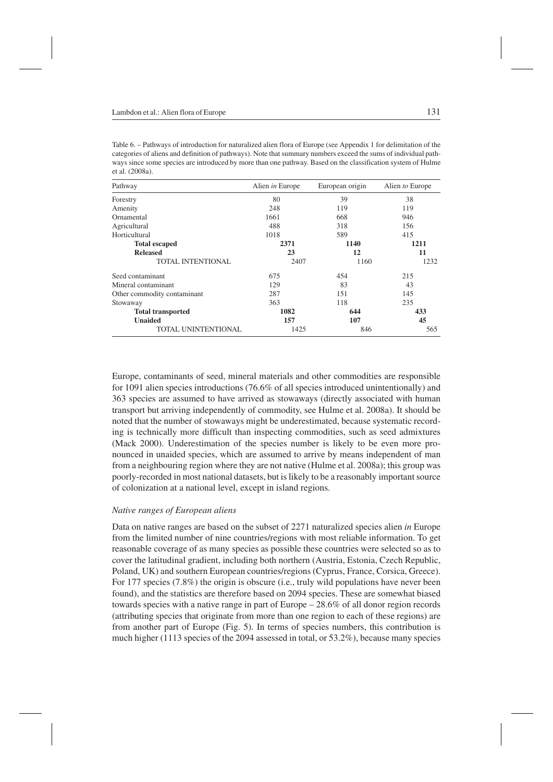| Pathway                     | Alien in Europe | European origin | Alien to Europe |
|-----------------------------|-----------------|-----------------|-----------------|
| Forestry                    | 80              | 39              | 38              |
| Amenity                     | 248             | 119             | 119             |
| Ornamental                  | 1661            | 668             | 946             |
| Agricultural                | 488             | 318             | 156             |
| Horticultural               | 1018            | 589             | 415             |
| <b>Total escaped</b>        | 2371            | 1140            | 1211            |
| <b>Released</b>             | 23              | 12              | 11              |
| TOTAL INTENTIONAL           | 2407            | 1160            | 1232            |
| Seed contaminant            | 675             | 454             | 215             |
| Mineral contaminant         | 129             | 83              | 43              |
| Other commodity contaminant | 287             | 151             | 145             |
| Stowaway                    | 363             | 118             | 235             |
| <b>Total transported</b>    | 1082            | 644             | 433             |
| <b>Unaided</b>              | 157             | 107             | 45              |
| TOTAL UNINTENTIONAL         | 1425            | 846             | 565             |

Table 6. – Pathways of introduction for naturalized alien flora of Europe (see Appendix 1 for delimitation of the categories of aliens and definition of pathways). Note that summary numbers exceed the sums of individual pathways since some species are introduced by more than one pathway. Based on the classification system of Hulme et al. (2008a).

Europe, contaminants of seed, mineral materials and other commodities are responsible for 1091 alien species introductions (76.6% of all species introduced unintentionally) and 363 species are assumed to have arrived as stowaways (directly associated with human transport but arriving independently of commodity, see Hulme et al. 2008a). It should be noted that the number of stowaways might be underestimated, because systematic recording is technically more difficult than inspecting commodities, such as seed admixtures (Mack 2000). Underestimation of the species number is likely to be even more pronounced in unaided species, which are assumed to arrive by means independent of man from a neighbouring region where they are not native (Hulme et al. 2008a); this group was poorly-recorded in most national datasets, but is likely to be a reasonably important source of colonization at a national level, except in island regions.

# *Native ranges of European aliens*

Data on native ranges are based on the subset of 2271 naturalized species alien *in* Europe from the limited number of nine countries/regions with most reliable information. To get reasonable coverage of as many species as possible these countries were selected so as to cover the latitudinal gradient, including both northern (Austria, Estonia, Czech Republic, Poland, UK) and southern European countries/regions (Cyprus, France, Corsica, Greece). For 177 species (7.8%) the origin is obscure (i.e., truly wild populations have never been found), and the statistics are therefore based on 2094 species. These are somewhat biased towards species with a native range in part of Europe – 28.6% of all donor region records (attributing species that originate from more than one region to each of these regions) are from another part of Europe (Fig. 5). In terms of species numbers, this contribution is much higher (1113 species of the 2094 assessed in total, or 53.2%), because many species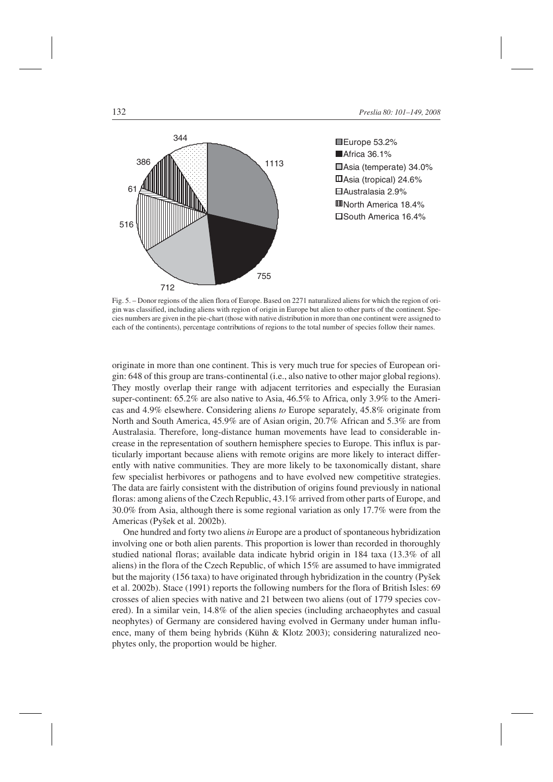

■Africa 36.1% Asia (temperate) 34.0% Asia (tropical) 24.6% Australasia 2.9% North America 18.4% South America 16.4%

Fig. 5. – Donor regions of the alien flora of Europe. Based on 2271 naturalized aliens for which the region of origin was classified, including aliens with region of origin in Europe but alien to other parts of the continent. Species numbers are given in the pie-chart (those with native distribution in more than one continent were assigned to each of the continents), percentage contributions of regions to the total number of species follow their names.

originate in more than one continent. This is very much true for species of European origin: 648 of this group are trans-continental (i.e., also native to other major global regions). They mostly overlap their range with adjacent territories and especially the Eurasian super-continent: 65.2% are also native to Asia, 46.5% to Africa, only 3.9% to the Americas and 4.9% elsewhere. Considering aliens *to* Europe separately, 45.8% originate from North and South America, 45.9% are of Asian origin, 20.7% African and 5.3% are from Australasia. Therefore, long-distance human movements have lead to considerable increase in the representation of southern hemisphere species to Europe. This influx is particularly important because aliens with remote origins are more likely to interact differently with native communities. They are more likely to be taxonomically distant, share few specialist herbivores or pathogens and to have evolved new competitive strategies. The data are fairly consistent with the distribution of origins found previously in national floras: among aliens of the Czech Republic, 43.1% arrived from other parts of Europe, and 30.0% from Asia, although there is some regional variation as only 17.7% were from the Americas (Pyšek et al. 2002b).

One hundred and forty two aliens*in* Europe are a product of spontaneous hybridization involving one or both alien parents. This proportion is lower than recorded in thoroughly studied national floras; available data indicate hybrid origin in 184 taxa (13.3% of all aliens) in the flora of the Czech Republic, of which 15% are assumed to have immigrated but the majority (156 taxa) to have originated through hybridization in the country (Pyšek et al. 2002b). Stace (1991) reports the following numbers for the flora of British Isles: 69 crosses of alien species with native and 21 between two aliens (out of 1779 species covered). In a similar vein, 14.8% of the alien species (including archaeophytes and casual neophytes) of Germany are considered having evolved in Germany under human influence, many of them being hybrids (Kühn & Klotz 2003); considering naturalized neophytes only, the proportion would be higher.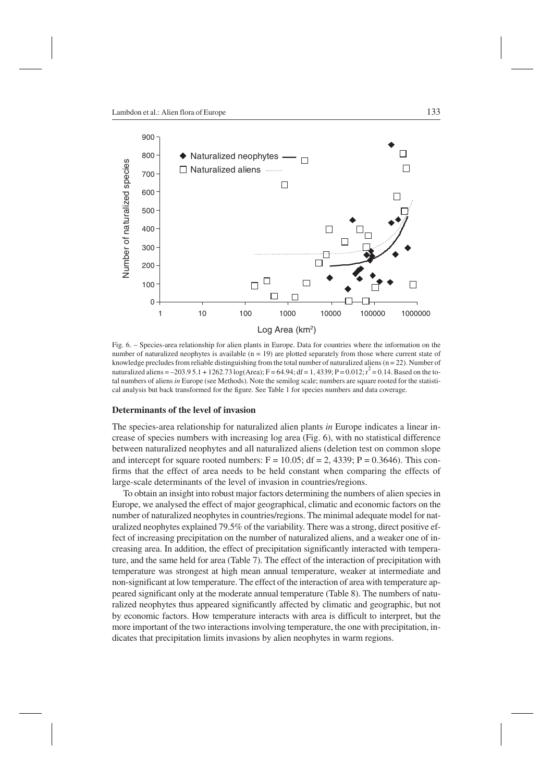

Fig. 6. – Species-area relationship for alien plants in Europe. Data for countries where the information on the number of naturalized neophytes is available  $(n = 19)$  are plotted separately from those where current state of knowledge precludes from reliable distinguishing from the total number of naturalized aliens  $(n = 22)$ . Number of naturalized aliens = -203.9 5.1 + 1262.73 log(Area); F = 64.94; df = 1, 4339; P = 0.012;  $r^2$  = 0.14. Based on the total numbers of aliens *in* Europe (see Methods). Note the semilog scale; numbers are square rooted for the statistical analysis but back transformed for the figure. See Table 1 for species numbers and data coverage.

### **Determinants of the level of invasion**

The species-area relationship for naturalized alien plants *in* Europe indicates a linear increase of species numbers with increasing log area (Fig. 6), with no statistical difference between naturalized neophytes and all naturalized aliens (deletion test on common slope and intercept for square rooted numbers:  $F = 10.05$ ; df = 2, 4339; P = 0.3646). This confirms that the effect of area needs to be held constant when comparing the effects of large-scale determinants of the level of invasion in countries/regions.

To obtain an insight into robust major factors determining the numbers of alien species in Europe, we analysed the effect of major geographical, climatic and economic factors on the number of naturalized neophytes in countries/regions. The minimal adequate model for naturalized neophytes explained 79.5% of the variability. There was a strong, direct positive effect of increasing precipitation on the number of naturalized aliens, and a weaker one of increasing area. In addition, the effect of precipitation significantly interacted with temperature, and the same held for area (Table 7). The effect of the interaction of precipitation with temperature was strongest at high mean annual temperature, weaker at intermediate and non-significant at low temperature. The effect of the interaction of area with temperature appeared significant only at the moderate annual temperature (Table 8). The numbers of naturalized neophytes thus appeared significantly affected by climatic and geographic, but not by economic factors. How temperature interacts with area is difficult to interpret, but the more important of the two interactions involving temperature, the one with precipitation, indicates that precipitation limits invasions by alien neophytes in warm regions.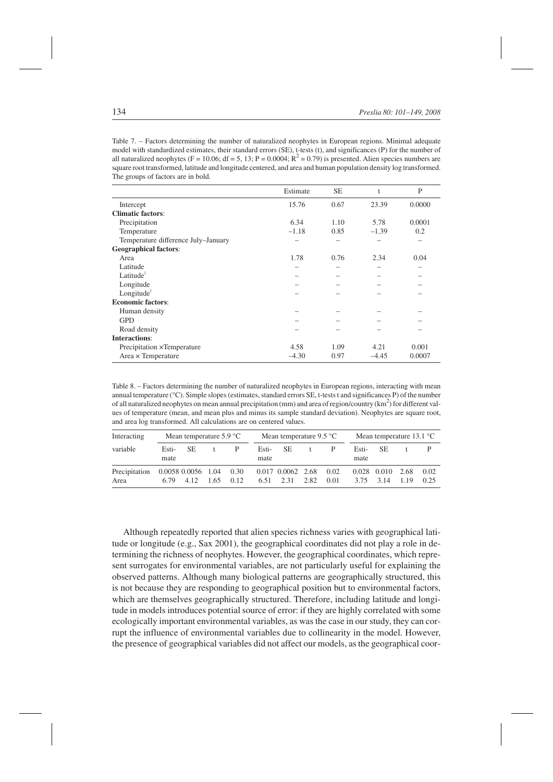Table 7. – Factors determining the number of naturalized neophytes in European regions. Minimal adequate model with standardized estimates, their standard errors (SE), t-tests (t), and significances (P) for the number of all naturalized neophytes (F = 10.06; df = 5, 13; P = 0.0004;  $R^2$  = 0.79) is presented. Alien species numbers are square root transformed, latitude and longitude centered, and area and human population density log transformed. The groups of factors are in bold.

|                                     | Estimate | <b>SE</b> | t       | P      |
|-------------------------------------|----------|-----------|---------|--------|
| Intercept                           | 15.76    | 0.67      | 23.39   | 0.0000 |
| <b>Climatic factors:</b>            |          |           |         |        |
| Precipitation                       | 6.34     | 1.10      | 5.78    | 0.0001 |
| Temperature                         | $-1.18$  | 0.85      | $-1.39$ | 0.2    |
| Temperature difference July-January |          |           |         |        |
| <b>Geographical factors:</b>        |          |           |         |        |
| Area                                | 1.78     | 0.76      | 2.34    | 0.04   |
| Latitude                            |          |           |         |        |
| Latitude $^2$                       |          |           |         |        |
| Longitude                           |          |           |         |        |
| Longitude <sup>2</sup>              |          |           |         |        |
| <b>Economic factors:</b>            |          |           |         |        |
| Human density                       |          |           |         |        |
| <b>GPD</b>                          |          |           |         |        |
| Road density                        |          |           |         |        |
| <b>Interactions:</b>                |          |           |         |        |
| Precipitation × Temperature         | 4.58     | 1.09      | 4.21    | 0.001  |
| $Area \times Temperature$           | $-4.30$  | 0.97      | $-4.45$ | 0.0007 |

Table 8. – Factors determining the number of naturalized neophytes in European regions, interacting with mean annual temperature (°C). Simple slopes (estimates, standard errors SE, t-tests t and significances P) of the number of all naturalized neophytes on mean annual precipitation (mm) and area of region/country ( $km^2$ ) for different values of temperature (mean, and mean plus and minus its sample standard deviation). Neophytes are square root, and area log transformed. All calculations are on centered values.

| Interacting           | Mean temperature $5.9^{\circ}$ C |      |      |              | Mean temperature $9.5^{\circ}$ C |                                    |              |              | Mean temperature $13.1 \text{ }^{\circ}C$ |                                   |      |              |
|-----------------------|----------------------------------|------|------|--------------|----------------------------------|------------------------------------|--------------|--------------|-------------------------------------------|-----------------------------------|------|--------------|
| variable              | Esti-<br>mate                    | SE.  |      | P            | Esti-<br>mate                    | -SE                                | $^{\dagger}$ | P            | Esti-<br>mate                             | -SE                               |      |              |
| Precipitation<br>Area | 0.0058 0.0056 1.04<br>6.79       | 4.12 | 1.65 | 0.30<br>0.12 |                                  | 0.017 0.0062 2.68<br>$6.51$ $2.31$ | 2.82         | 0.02<br>0.01 |                                           | $0.028$ $0.010$ 2.68<br>3.75 3.14 | 1.19 | 0.02<br>0.25 |

Although repeatedly reported that alien species richness varies with geographical latitude or longitude (e.g., Sax 2001), the geographical coordinates did not play a role in determining the richness of neophytes. However, the geographical coordinates, which represent surrogates for environmental variables, are not particularly useful for explaining the observed patterns. Although many biological patterns are geographically structured, this is not because they are responding to geographical position but to environmental factors, which are themselves geographically structured. Therefore, including latitude and longitude in models introduces potential source of error: if they are highly correlated with some ecologically important environmental variables, as was the case in our study, they can corrupt the influence of environmental variables due to collinearity in the model. However, the presence of geographical variables did not affect our models, as the geographical coor-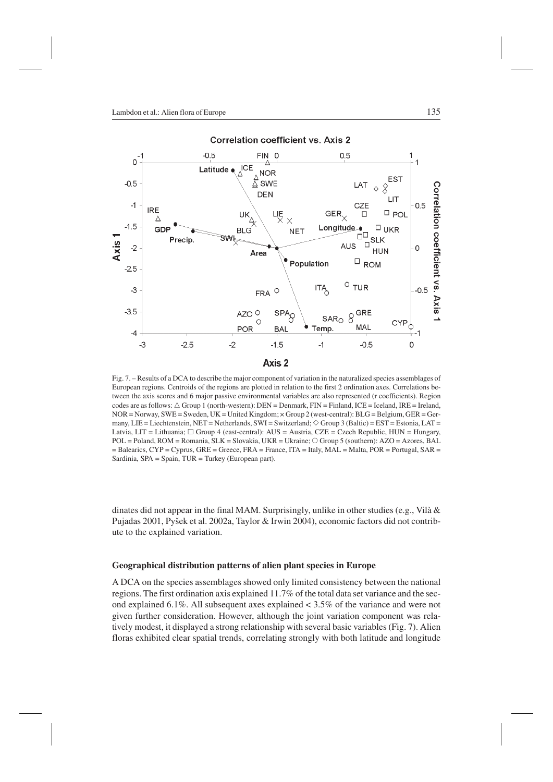

Fig. 7. – Results of a DCA to describe the major component of variation in the naturalized species assemblages of European regions. Centroids of the regions are plotted in relation to the first 2 ordination axes. Correlations between the axis scores and 6 major passive environmental variables are also represented (r coefficients). Region codes are as follows:  $\triangle$  Group 1 (north-western): DEN = Denmark, FIN = Finland, ICE = Iceland, IRE = Ireland, NOR = Norway, SWE = Sweden, UK = United Kingdom; × Group 2 (west-central): BLG = Belgium, GER = Germany, LIE = Liechtenstein, NET = Netherlands, SWI = Switzerland;  $\Diamond$  Group 3 (Baltic) = EST = Estonia, LAT = Latvia, LIT = Lithuania;  $\Box$  Group 4 (east-central): AUS = Austria, CZE = Czech Republic, HUN = Hungary, POL = Poland, ROM = Romania, SLK = Slovakia, UKR = Ukraine; Group 5 (southern): AZO = Azores, BAL  $=$  Balearics, CYP = Cyprus, GRE = Greece, FRA = France, ITA = Italy, MAL = Malta, POR = Portugal, SAR = Sardinia, SPA = Spain, TUR = Turkey (European part).

dinates did not appear in the final MAM. Surprisingly, unlike in other studies (e.g., Vilà  $\&$ Pujadas 2001, Pyšek et al. 2002a, Taylor & Irwin 2004), economic factors did not contribute to the explained variation.

# **Geographical distribution patterns of alien plant species in Europe**

A DCA on the species assemblages showed only limited consistency between the national regions. The first ordination axis explained 11.7% of the total data set variance and the second explained 6.1%. All subsequent axes explained < 3.5% of the variance and were not given further consideration. However, although the joint variation component was relatively modest, it displayed a strong relationship with several basic variables (Fig. 7). Alien floras exhibited clear spatial trends, correlating strongly with both latitude and longitude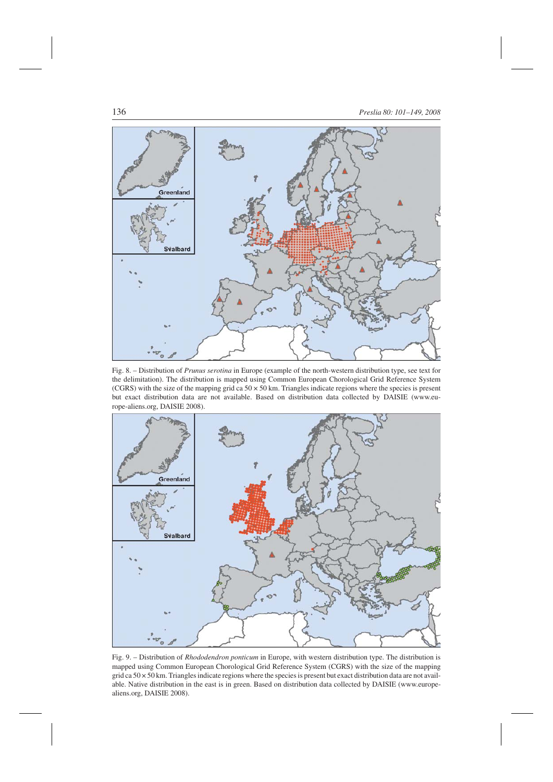

Fig. 8. – Distribution of *Prunus serotina* in Europe (example of the north-western distribution type, see text for the delimitation). The distribution is mapped using Common European Chorological Grid Reference System (CGRS) with the size of the mapping grid ca  $50 \times 50$  km. Triangles indicate regions where the species is present but exact distribution data are not available. Based on distribution data collected by DAISIE (www.europe-aliens.org, DAISIE 2008).



Fig. 9. – Distribution of *Rhododendron ponticum* in Europe, with western distribution type. The distribution is mapped using Common European Chorological Grid Reference System (CGRS) with the size of the mapping grid ca  $50 \times 50$  km. Triangles indicate regions where the species is present but exact distribution data are not available. Native distribution in the east is in green. Based on distribution data collected by DAISIE (www.europealiens.org, DAISIE 2008).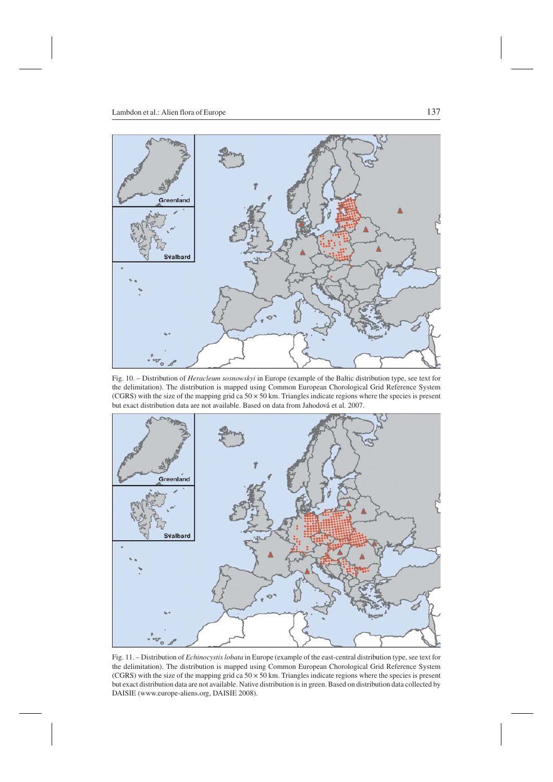

Fig. 10. – Distribution of *Heracleum sosnowskyi* in Europe (example of the Baltic distribution type, see text for the delimitation). The distribution is mapped using Common European Chorological Grid Reference System (CGRS) with the size of the mapping grid ca  $50 \times 50$  km. Triangles indicate regions where the species is present but exact distribution data are not available. Based on data from Jahodová et al. 2007.



Fig. 11. – Distribution of *Echinocystis lobata* in Europe (example of the east-central distribution type, see text for the delimitation). The distribution is mapped using Common European Chorological Grid Reference System (CGRS) with the size of the mapping grid ca  $50 \times 50$  km. Triangles indicate regions where the species is present but exact distribution data are not available. Native distribution is in green. Based on distribution data collected by DAISIE (www.europe-aliens.org, DAISIE 2008).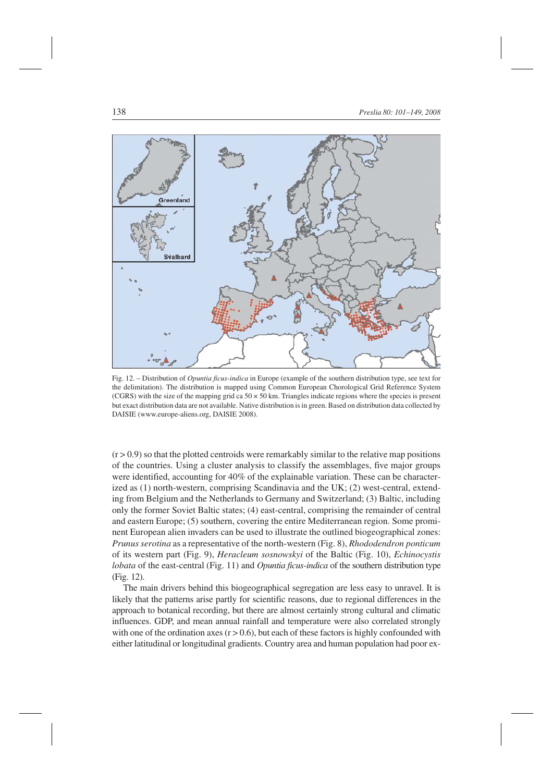

Fig. 12. – Distribution of *Opuntia ficus-indica* in Europe (example of the southern distribution type, see text for the delimitation). The distribution is mapped using Common European Chorological Grid Reference System (CGRS) with the size of the mapping grid ca  $50 \times 50$  km. Triangles indicate regions where the species is present but exact distribution data are not available. Native distribution is in green. Based on distribution data collected by DAISIE (www.europe-aliens.org, DAISIE 2008).

 $(r > 0.9)$  so that the plotted centroids were remarkably similar to the relative map positions of the countries. Using a cluster analysis to classify the assemblages, five major groups were identified, accounting for 40% of the explainable variation. These can be characterized as (1) north-western, comprising Scandinavia and the UK; (2) west-central, extending from Belgium and the Netherlands to Germany and Switzerland; (3) Baltic, including only the former Soviet Baltic states; (4) east-central, comprising the remainder of central and eastern Europe; (5) southern, covering the entire Mediterranean region. Some prominent European alien invaders can be used to illustrate the outlined biogeographical zones: *Prunus serotina* as a representative of the north-western (Fig. 8), *Rhododendron ponticum* of its western part (Fig. 9), *Heracleum sosnowskyi* of the Baltic (Fig. 10), *Echinocystis lobata* of the east-central (Fig. 11) and *Opuntia ficus-indica* of the southern distribution type (Fig. 12).

The main drivers behind this biogeographical segregation are less easy to unravel. It is likely that the patterns arise partly for scientific reasons, due to regional differences in the approach to botanical recording, but there are almost certainly strong cultural and climatic influences. GDP, and mean annual rainfall and temperature were also correlated strongly with one of the ordination axes  $(r > 0.6)$ , but each of these factors is highly confounded with either latitudinal or longitudinal gradients. Country area and human population had poor ex-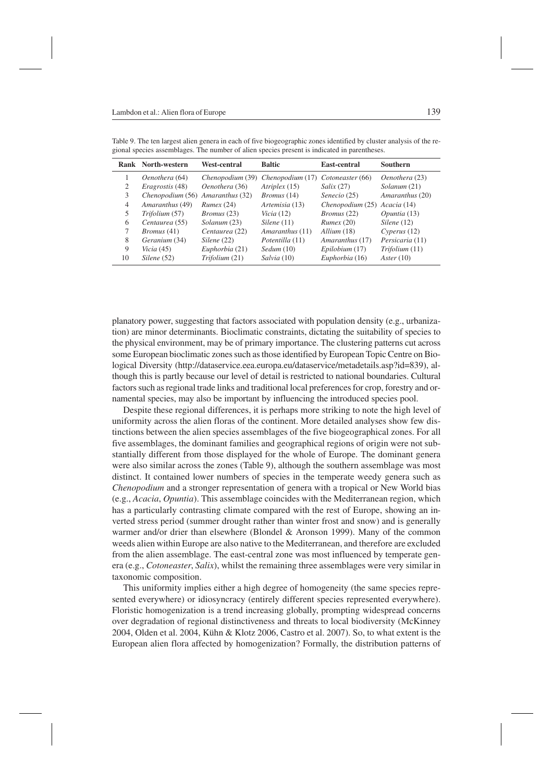|    | Rank North-western               | <b>West-central</b> | <b>Baltic</b>      | <b>East-central</b>          | <b>Southern</b> |
|----|----------------------------------|---------------------|--------------------|------------------------------|-----------------|
|    | Oenothera (64)                   | Chenopodium (39)    | Chenopodium (17)   | Cotoneaster (66)             | Oenothera (23)  |
| 2  | <i>Eragrostis</i> (48)           | Oenothera (36)      | Atriplex (15)      | Salix(27)                    | Solanum (21)    |
| 3  | Chenopodium (56) Amaranthus (32) |                     | <i>Bromus</i> (14) | Senecio (25)                 | Amaranthus (20) |
| 4  | Amaranthus (49)                  | Runex(24)           | Artemisia (13)     | Chenopodium (25) Acacia (14) |                 |
| 5  | Trifolium (57)                   | <i>Bromus</i> (23)  | Vicia $(12)$       | <i>Bromus</i> (22)           | Opuntia (13)    |
| 6  | Centaurea (55)                   | Solanum (23)        | Silene(11)         | Runex(20)                    | Silene(12)      |
| 7  | <i>Bromus</i> (41)               | Centaurea (22)      | Amaranthus (11)    | Allium (18)                  | Cvperus(12)     |
| 8  | Geranium (34)                    | Silene(22)          | Potentilla (11)    | Amaranthus (17)              | Persicaria (11) |
| 9  | Vicia $(45)$                     | Euphorbia (21)      | Sedum(10)          | Epilobium (17)               | Trifolium (11)  |
| 10 | Silene (52)                      | Trifolium (21)      | Salvia (10)        | Euphorbia (16)               | Aster(10)       |

Table 9. The ten largest alien genera in each of five biogeographic zones identified by cluster analysis of the regional species assemblages. The number of alien species present is indicated in parentheses.

planatory power, suggesting that factors associated with population density (e.g., urbanization) are minor determinants. Bioclimatic constraints, dictating the suitability of species to the physical environment, may be of primary importance. The clustering patterns cut across some European bioclimatic zones such as those identified by European Topic Centre on Biological Diversity (http://dataservice.eea.europa.eu/dataservice/metadetails.asp?id=839), although this is partly because our level of detail is restricted to national boundaries. Cultural factors such as regional trade links and traditional local preferences for crop, forestry and ornamental species, may also be important by influencing the introduced species pool.

Despite these regional differences, it is perhaps more striking to note the high level of uniformity across the alien floras of the continent. More detailed analyses show few distinctions between the alien species assemblages of the five biogeographical zones. For all five assemblages, the dominant families and geographical regions of origin were not substantially different from those displayed for the whole of Europe. The dominant genera were also similar across the zones (Table 9), although the southern assemblage was most distinct. It contained lower numbers of species in the temperate weedy genera such as *Chenopodium* and a stronger representation of genera with a tropical or New World bias (e.g., *Acacia*, *Opuntia*). This assemblage coincides with the Mediterranean region, which has a particularly contrasting climate compared with the rest of Europe, showing an inverted stress period (summer drought rather than winter frost and snow) and is generally warmer and/or drier than elsewhere (Blondel & Aronson 1999). Many of the common weeds alien within Europe are also native to the Mediterranean, and therefore are excluded from the alien assemblage. The east-central zone was most influenced by temperate genera (e.g., *Cotoneaster*, *Salix*), whilst the remaining three assemblages were very similar in taxonomic composition.

This uniformity implies either a high degree of homogeneity (the same species represented everywhere) or idiosyncracy (entirely different species represented everywhere). Floristic homogenization is a trend increasing globally, prompting widespread concerns over degradation of regional distinctiveness and threats to local biodiversity (McKinney 2004, Olden et al. 2004, Kühn & Klotz 2006, Castro et al. 2007). So, to what extent is the European alien flora affected by homogenization? Formally, the distribution patterns of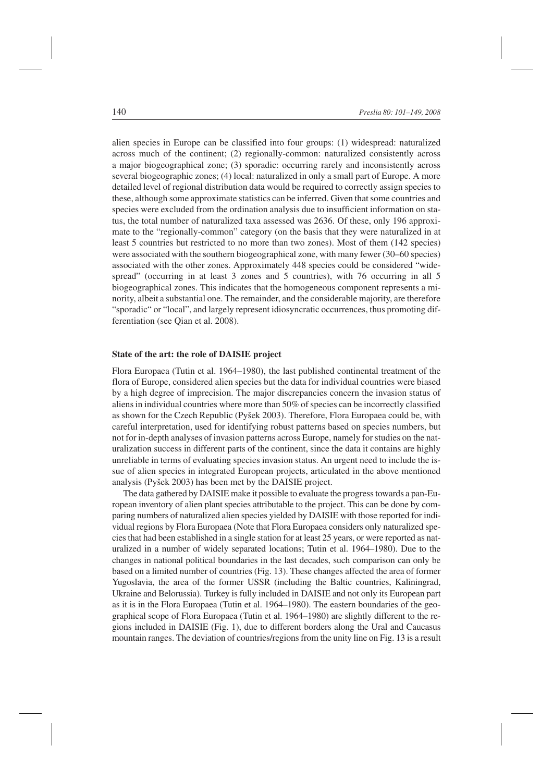alien species in Europe can be classified into four groups: (1) widespread: naturalized across much of the continent; (2) regionally-common: naturalized consistently across a major biogeographical zone; (3) sporadic: occurring rarely and inconsistently across several biogeographic zones; (4) local: naturalized in only a small part of Europe. A more detailed level of regional distribution data would be required to correctly assign species to these, although some approximate statistics can be inferred. Given that some countries and species were excluded from the ordination analysis due to insufficient information on status, the total number of naturalized taxa assessed was 2636. Of these, only 196 approximate to the "regionally-common" category (on the basis that they were naturalized in at least 5 countries but restricted to no more than two zones). Most of them (142 species) were associated with the southern biogeographical zone, with many fewer (30–60 species) associated with the other zones. Approximately 448 species could be considered "widespread" (occurring in at least 3 zones and 5 countries), with 76 occurring in all 5 biogeographical zones. This indicates that the homogeneous component represents a minority, albeit a substantial one. The remainder, and the considerable majority, are therefore "sporadic" or "local", and largely represent idiosyncratic occurrences, thus promoting differentiation (see Qian et al. 2008).

# **State of the art: the role of DAISIE project**

Flora Europaea (Tutin et al. 1964–1980), the last published continental treatment of the flora of Europe, considered alien species but the data for individual countries were biased by a high degree of imprecision. The major discrepancies concern the invasion status of aliens in individual countries where more than 50% of species can be incorrectly classified as shown for the Czech Republic (Pyšek 2003). Therefore, Flora Europaea could be, with careful interpretation, used for identifying robust patterns based on species numbers, but not for in-depth analyses of invasion patterns across Europe, namely for studies on the naturalization success in different parts of the continent, since the data it contains are highly unreliable in terms of evaluating species invasion status. An urgent need to include the issue of alien species in integrated European projects, articulated in the above mentioned analysis (Pyšek 2003) has been met by the DAISIE project.

The data gathered by DAISIE make it possible to evaluate the progress towards a pan-European inventory of alien plant species attributable to the project. This can be done by comparing numbers of naturalized alien species yielded by DAISIE with those reported for individual regions by Flora Europaea (Note that Flora Europaea considers only naturalized species that had been established in a single station for at least 25 years, or were reported as naturalized in a number of widely separated locations; Tutin et al. 1964–1980). Due to the changes in national political boundaries in the last decades, such comparison can only be based on a limited number of countries (Fig. 13). These changes affected the area of former Yugoslavia, the area of the former USSR (including the Baltic countries, Kaliningrad, Ukraine and Belorussia). Turkey is fully included in DAISIE and not only its European part as it is in the Flora Europaea (Tutin et al. 1964–1980). The eastern boundaries of the geographical scope of Flora Europaea (Tutin et al. 1964–1980) are slightly different to the regions included in DAISIE (Fig. 1), due to different borders along the Ural and Caucasus mountain ranges. The deviation of countries/regions from the unity line on Fig. 13 is a result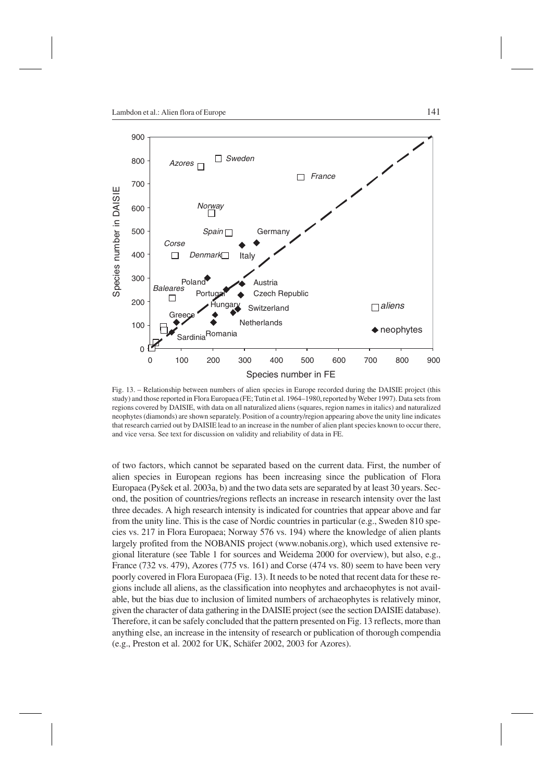

Fig. 13. – Relationship between numbers of alien species in Europe recorded during the DAISIE project (this study) and those reported in Flora Europaea (FE; Tutin et al. 1964–1980, reported by Weber 1997). Data sets from regions covered by DAISIE, with data on all naturalized aliens (squares, region names in italics) and naturalized neophytes (diamonds) are shown separately. Position of a country/region appearing above the unity line indicates that research carried out by DAISIE lead to an increase in the number of alien plant species known to occur there, and vice versa. See text for discussion on validity and reliability of data in FE.

of two factors, which cannot be separated based on the current data. First, the number of alien species in European regions has been increasing since the publication of Flora Europaea (Pyšek et al. 2003a, b) and the two data sets are separated by at least 30 years. Second, the position of countries/regions reflects an increase in research intensity over the last three decades. A high research intensity is indicated for countries that appear above and far from the unity line. This is the case of Nordic countries in particular (e.g., Sweden 810 species vs. 217 in Flora Europaea; Norway 576 vs. 194) where the knowledge of alien plants largely profited from the NOBANIS project (www.nobanis.org), which used extensive regional literature (see Table 1 for sources and Weidema 2000 for overview), but also, e.g., France (732 vs. 479), Azores (775 vs. 161) and Corse (474 vs. 80) seem to have been very poorly covered in Flora Europaea (Fig. 13). It needs to be noted that recent data for these regions include all aliens, as the classification into neophytes and archaeophytes is not available, but the bias due to inclusion of limited numbers of archaeophytes is relatively minor, given the character of data gathering in the DAISIE project (see the section DAISIE database). Therefore, it can be safely concluded that the pattern presented on Fig. 13 reflects, more than anything else, an increase in the intensity of research or publication of thorough compendia (e.g., Preston et al. 2002 for UK, Schäfer 2002, 2003 for Azores).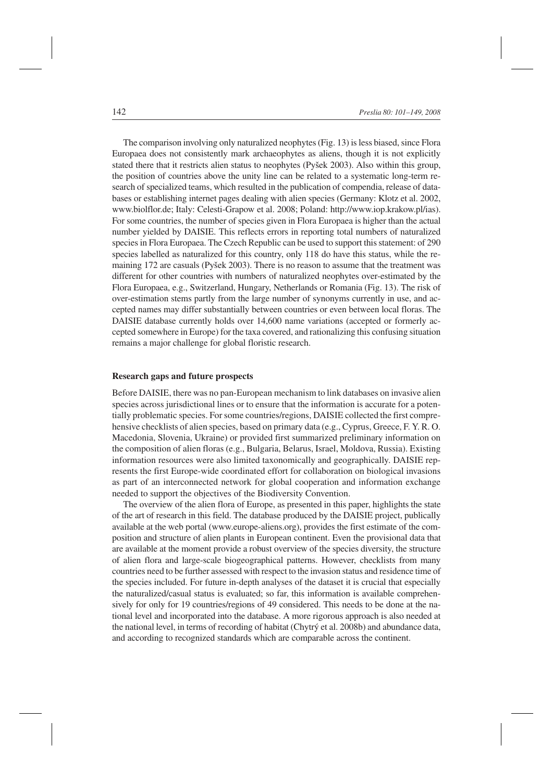The comparison involving only naturalized neophytes (Fig. 13) is less biased, since Flora Europaea does not consistently mark archaeophytes as aliens, though it is not explicitly stated there that it restricts alien status to neophytes (Pyšek 2003). Also within this group, the position of countries above the unity line can be related to a systematic long-term research of specialized teams, which resulted in the publication of compendia, release of databases or establishing internet pages dealing with alien species (Germany: Klotz et al. 2002, www.biolflor.de; Italy: Celesti-Grapow et al. 2008; Poland: http://www.iop.krakow.pl/ias). For some countries, the number of species given in Flora Europaea is higher than the actual number yielded by DAISIE. This reflects errors in reporting total numbers of naturalized species in Flora Europaea. The Czech Republic can be used to support this statement: of 290 species labelled as naturalized for this country, only 118 do have this status, while the remaining 172 are casuals (Pyšek 2003). There is no reason to assume that the treatment was different for other countries with numbers of naturalized neophytes over-estimated by the Flora Europaea, e.g., Switzerland, Hungary, Netherlands or Romania (Fig. 13). The risk of over-estimation stems partly from the large number of synonyms currently in use, and accepted names may differ substantially between countries or even between local floras. The DAISIE database currently holds over 14,600 name variations (accepted or formerly accepted somewhere in Europe) for the taxa covered, and rationalizing this confusing situation remains a major challenge for global floristic research.

# **Research gaps and future prospects**

Before DAISIE, there was no pan-European mechanism to link databases on invasive alien species across jurisdictional lines or to ensure that the information is accurate for a potentially problematic species. For some countries/regions, DAISIE collected the first comprehensive checklists of alien species, based on primary data (e.g., Cyprus, Greece, F. Y. R. O. Macedonia, Slovenia, Ukraine) or provided first summarized preliminary information on the composition of alien floras (e.g., Bulgaria, Belarus, Israel, Moldova, Russia). Existing information resources were also limited taxonomically and geographically. DAISIE represents the first Europe-wide coordinated effort for collaboration on biological invasions as part of an interconnected network for global cooperation and information exchange needed to support the objectives of the Biodiversity Convention.

The overview of the alien flora of Europe, as presented in this paper, highlights the state of the art of research in this field. The database produced by the DAISIE project, publically available at the web portal (www.europe-aliens.org), provides the first estimate of the composition and structure of alien plants in European continent. Even the provisional data that are available at the moment provide a robust overview of the species diversity, the structure of alien flora and large-scale biogeographical patterns. However, checklists from many countries need to be further assessed with respect to the invasion status and residence time of the species included. For future in-depth analyses of the dataset it is crucial that especially the naturalized/casual status is evaluated; so far, this information is available comprehensively for only for 19 countries/regions of 49 considered. This needs to be done at the national level and incorporated into the database. A more rigorous approach is also needed at the national level, in terms of recording of habitat (Chytrý et al. 2008b) and abundance data, and according to recognized standards which are comparable across the continent.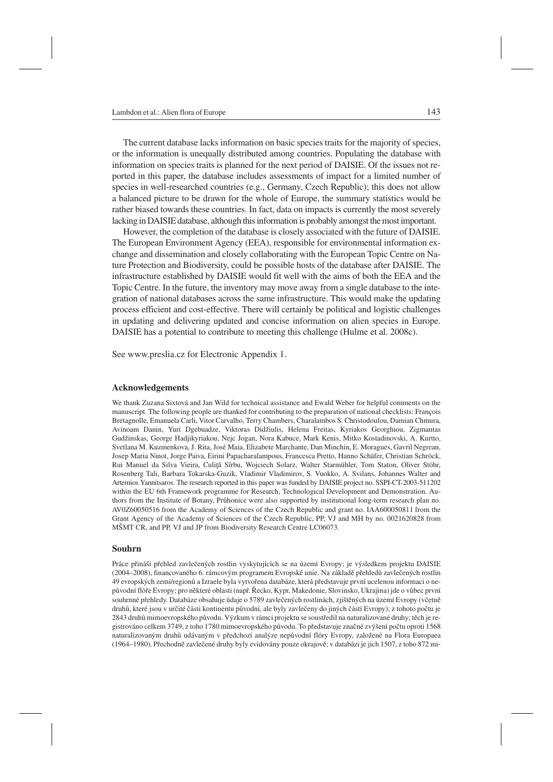The current database lacks information on basic species traits for the majority of species, or the information is unequally distributed among countries. Populating the database with information on species traits is planned for the next period of DAISIE. Of the issues not reported in this paper, the database includes assessments of impact for a limited number of species in well-researched countries (e.g., Germany, Czech Republic); this does not allow a balanced picture to be drawn for the whole of Europe, the summary statistics would be rather biased towards these countries. In fact, data on impacts is currently the most severely lacking in DAISIE database, although this information is probably amongst the most important.

However, the completion of the database is closely associated with the future of DAISIE. The European Environment Agency (EEA), responsible for environmental information exchange and dissemination and closely collaborating with the European Topic Centre on Nature Protection and Biodiversity, could be possible hosts of the database after DAISIE. The infrastructure established by DAISIE would fit well with the aims of both the EEA and the Topic Centre. In the future, the inventory may move away from a single database to the integration of national databases across the same infrastructure. This would make the updating process efficient and cost-effective. There will certainly be political and logistic challenges in updating and delivering updated and concise information on alien species in Europe. DAISIE has a potential to contribute to meeting this challenge (Hulme et al. 2008c).

See www.preslia.cz for Electronic Appendix 1.

# **Acknowledgements**

We thank Zuzana Sixtová and Jan Wild for technical assistance and Ewald Weber for helpful comments on the manuscript. The following people are thanked for contributing to the preparation of national checklists: François Bretagnolle, Emanuela Carli, Vitor Carvalho, Terry Chambers, Charalambos S. Christodoulou, Damian Chmura, Avinoam Danin, Yuri Dgebuadze, Viktoras Didžiulis, Helena Freitas, Kyriakos Georghiou, Zigmantas Gudžinskas, George Hadjikyriakou, Nejc Jogan, Nora Kabuce, Mark Kenis, Mitko Kostadinovski, A. Kurtto, Svetlana M. Kuzmenkova, J. Rita, José Maia, Elizabete Marchante, Dan Minchin, E. Moragues, Gavril Negrean, Josep Maria Ninot, Jorge Paiva, Eirini Papacharalampous, Francesca Pretto, Hanno Schäfer, Christian Schröck, Rui Manuel da Silva Vieira, Culiţă Sîrbu, Wojciech Solarz, Walter Starmühler, Tom Staton, Oliver Stöhr, Rosenberg Tali, Barbara Tokarska-Guzik, Vladimir Vladimirov, S. Vuokko, A. Svilans, Johannes Walter and Artemios Yannitsaros. The research reported in this paper was funded by DAISIE project no. SSPI-CT-2003-511202 within the EU 6th Framework programme for Research, Technological Development and Demonstration. Authors from the Institute of Botany, Průhonice were also supported by institutional long-term research plan no. AV0Z60050516 from the Academy of Sciences of the Czech Republic and grant no. IAA600050811 from the Grant Agency of the Academy of Sciences of the Czech Republic, PP, VJ and MH by no. 0021620828 from MŠMT CR, and PP, VJ and JP from Biodiversity Research Centre LC06073.

#### **Souhrn**

Práce přináší přehled zavlečených rostlin vyskytujících se na území Evropy; je výsledkem projektu DAISIE (2004–2008), financovaného 6. rámcovým programem Evropské unie. Na základě přehledů zavlečených rostlin 49 evropských zemí/regionů a Izraele byla vytvořena databáze, která představuje první ucelenou informaci o nepůvodní flóře Evropy; pro některé oblasti (např. Řecko, Kypr, Makedonie, Slovinsko, Ukrajina) jde o vůbec první souhrnné přehledy. Databáze obsahuje údaje o 5789 zavlečených rostlinách, zjištěných na území Evropy (včetně druhů, které jsou v určité části kontinentu původní, ale byly zavlečeny do jiných částí Evropy); z tohoto počtu je 2843 druhů mimoevropského původu. Výzkum v rámci projektu se soustředil na naturalizované druhy; těch je registrováno celkem 3749, z toho 1780 mimoevropského původu. To představuje značné zvýšení počtu oproti 1568 naturalizovaným druhů udávaným v předchozí analýze nepůvodní flóry Evropy, založené na Flora Europaea (1964–1980). Přechodně zavlečené druhy byly evidovány pouze okrajově; v databázi je jich 1507, z toho 872 mi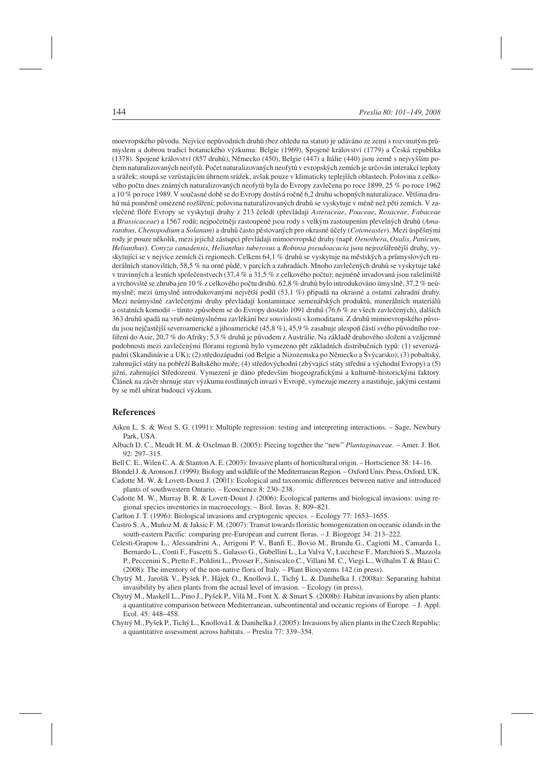moevropského původu. Nejvíce nepůvodních druhů (bez ohledu na statut) je udáváno ze zemí s rozvinutým průmyslem a dobrou tradicí botanického výzkumu: Belgie (1969), Spojené království (1779) a Česká republika (1378). Spojené království (857 druhů), Německo (450), Belgie (447) a Itálie (440) jsou země s nejvyšším počtem naturalizovaných neofytů. Počet naturalizovaných neofytů v evropských zemích je určován interakcí teploty a srážek; stoupá se vzrůstajícím úhrnem srážek, avšak pouze v klimaticky teplejších oblastech. Polovina z celkového počtu dnes známých naturalizovaných neofytů byla do Evropy zavlečena po roce 1899, 25 % po roce 1962 a 10 % po roce 1989. V současné době se do Evropy dostává ročně 6,2 druhu schopných naturalizace. Většina druhů má poměrně omezené rozšíření; polovina naturalizovaných druhů se vyskytuje v méně než pěti zemích. V zavlečené flóře Evropy se vyskytují druhy z 213 čeledí (převládají *Asteraceae*, *Poaceae*, *Rosaceae*, *Fabaceae* a *Brassicaceae*) a 1567 rodů; nejpočetněji zastoupené jsou rody s velkým zastoupením plevelných druhů (*Amaranthus*, *Chenopodium* a *Solanum*) a druhů často pěstovaných pro okrasné účely (*Cotoneaster*). Mezi úspěšnými rody je pouze několik, mezi jejichž zástupci převládají mimoevropské druhy (např. *Oenothera*, *Oxalis*, *Panicum*, *Helianthus*). *Conyza canadensis*, *Helianthus tuberosus* a *Robinia pseudoacacia* jsou nejrozšířenější druhy, vyskytující se v nejvíce zemích či regionech. Celkem 64,1 % druhů se vyskytuje na městských a průmyslových ruderálních stanovištích, 58,5 % na orné půdě, v parcích a zahradách. Mnoho zavlečených druhů se vyskytuje také v travinných a lesních společenstvech (37,4 % a 31,5 % z celkového počtu); nejméně invadovaná jsou rašeliniště a vrchoviště se zhruba jen 10 % z celkového počtu druhů. 62,8 % druhů bylo introdukováno úmyslně, 37,2 % neúmyslně; mezi úmyslně introdukovanými největší podíl (53,1 %) připadá na okrasné a ostatní zahradní druhy. Mezi neúmyslně zavlečenými druhy převládají kontaminace semenářských produktů, minerálních materiálů a ostatních komodit – tímto způsobem se do Evropy dostalo 1091 druhů (76,6 % ze všech zavlečených), dalších 363 druhů spadá na vrub neúmyslnému zavlékání bez souvislosti s komoditami. Z druhů mimoevropského původu jsou nejčastější severoamerické a jihoamerické (45,8 %), 45,9 % zasahuje alespoň částí svého původního rozšíření do Asie, 20,7 % do Afriky; 5,3 % druhů je původem z Austrálie. Na základě druhového složení a vzájemné podobnosti mezi zavlečenými flórami regionů bylo vymezeno pět základních distribučních typů: (1) severozápadní (Skandinávie a UK); (2) středozápadní (od Belgie a Nizozemska po Německo a Švýcarsko); (3) pobaltský, zahrnující státy na pobřeží Baltského moře; (4) středovýchodní (zbývající státy střední a východní Evropy) a (5) jižní, zahrnující Středozemí. Vymezení je dáno především biogeografickými a kulturně-historickými faktory. Článek na závěr shrnuje stav výzkumu rostlinných invazí v Evropě, vymezuje mezery a nastiňuje, jakými cestami by se měl ubírat budoucí výzkum.

#### **References**

- Aiken L. S. & West S. G. (1991): Multiple regression: testing and interpreting interactions. Sage, Newbury Park, USA.
- Albach D. C., Meudt H. M. & Oxelman B. (2005): Piecing together the "new" *Plantaginaceae*. Amer. J. Bot. 92: 297–315.
- Bell C. E., Wilen C. A. & Stanton A. E. (2003): Invasive plants of horticultural origin. Hortscience 38: 14–16.
- Blondel J. & Aronson J. (1999): Biology and wildlife of the Mediterranean Region. Oxford Univ. Press, Oxford, UK.
- Cadotte M. W. & Lovett-Doust J. (2001): Ecological and taxonomic differences between native and introduced plants of southwestern Ontario. – Ecoscience 8: 230–238.
- Cadotte M. W., Murray B. R. & Lovett-Doust J. (2006): Ecological patterns and biological invasions: using regional species inventories in macroecology. – Biol. Invas. 8: 809–821.
- Carlton J. T. (1996): Biological invasions and cryptogenic species. Ecology 77: 1653–1655.
- Castro S. A., Muñoz M. & Jaksic F. M. (2007): Transit towards floristic homogenization on oceanic islands in the south-eastern Pacific: comparing pre-European and current floras. – J. Biogeogr. 34: 213–222.
- Celesti-Grapow L., Alessandrini A., Arrigoni P. V., Banfi E., Bovio M., Brundu G., Cagiotti M., Camarda I., Bernardo L., Conti F., Fascetti S., Galasso G., Gubellini L., La Valva V., Lucchese F., Marchiori S., Mazzola P., Peccenini S., Pretto F., Poldini L., Prosser F., Siniscalco C., Villani M. C., Viegi L., Wilhalm T. & Blasi C. (2008): The inventory of the non-native flora of Italy. – Plant Biosystems 142 (in press).
- Chytrý M., Jarošík V., Pyšek P., Hájek O., Knollová I., Tichý L. & Danihelka J. (2008a): Separating habitat invasibility by alien plants from the actual level of invasion. – Ecology (in press).
- Chytrý M., Maskell L., Pino J., Pyšek P., Vilà M., Font X. & Smart S. (2008b): Habitat invasions by alien plants: a quantitative comparison between Mediterranean, subcontinental and oceanic regions of Europe. – J. Appl. Ecol. 45: 448–458.
- Chytrý M., Pyšek P., Tichý L., Knollová I. & Danihelka J. (2005): Invasions by alien plants in the Czech Republic: a quantitative assessment across habitats. – Preslia 77: 339–354.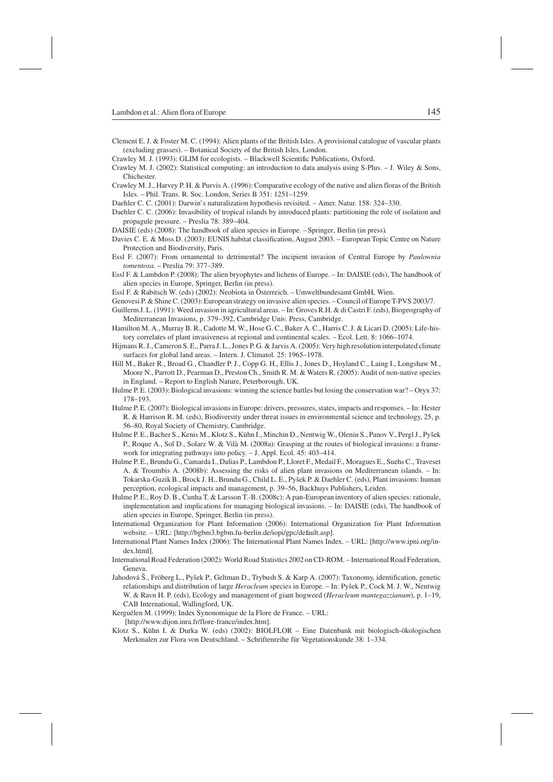- Clement E. J. & Foster M. C. (1994): Alien plants of the British Isles. A provisional catalogue of vascular plants (excluding grasses). – Botanical Society of the British Isles, London.
- Crawley M. J. (1993): GLIM for ecologists. Blackwell Scientific Publications, Oxford.
- Crawley M. J. (2002): Statistical computing: an introduction to data analysis using S-Plus. J. Wiley & Sons, Chichester.
- Crawley M. J., Harvey P. H. & Purvis A. (1996): Comparative ecology of the native and alien floras of the British Isles. – Phil. Trans. R. Soc. London, Series B 351: 1251–1259.
- Daehler C. C. (2001): Darwin's naturalization hypothesis revisited. Amer. Natur. 158: 324–330.
- Daehler C. C. (2006): Invasibility of tropical islands by introduced plants: partitioning the role of isolation and propagule pressure. – Preslia 78: 389–404.
- DAISIE (eds) (2008): The handbook of alien species in Europe. –Springer, Berlin (in press).
- Davies C. E. & Moss D. (2003): EUNIS habitat classification, August 2003. European Topic Centre on Nature Protection and Biodiversity, Paris.
- Essl F. (2007): From ornamental to detrimental? The incipient invasion of Central Europe by *Paulownia tomentosa*. – Preslia 79: 377–389.
- Essl F. & Lambdon P. (2008): The alien bryophytes and lichens of Europe. In: DAISIE (eds), The handbook of alien species in Europe, Springer, Berlin (in press).
- Essl F. & Rabitsch W. (eds) (2002): Neobiota in Österreich. Umweltbundesamt GmbH, Wien.
- Genovesi P. & Shine C. (2003): European strategy on invasive alien species. Council of Europe T-PVS 2003/7.
- Guillerm J. L. (1991): Weed invasion in agricultural areas. In: Groves R.H. & di Castri F. (eds), Biogeography of Mediterranean Invasions, p. 379–392, Cambridge Univ. Press, Cambridge.
- Hamilton M. A., Murray B. R., Cadotte M. W., Hose G. C., Baker A. C., Harris C. J. & Licari D. (2005): Life-history correlates of plant invasiveness at regional and continental scales. – Ecol. Lett. 8: 1066–1074.
- Hijmans R. J., Cameron S. E., Parra J. L., Jones P. G. & Jarvis A. (2005): Very high resolution interpolated climate surfaces for global land areas. – Intern. J. Climatol. 25: 1965–1978.
- Hill M., Baker R., Broad G., Chandler P. J., Copp G. H., Ellis J., Jones D., Hoyland C., Laing I., Longshaw M., Moore N., Parrott D., Pearman D., Preston Ch., Smith R. M. & Waters R. (2005): Audit of non-native species in England. – Report to English Nature, Peterborough, UK.
- Hulme P. E. (2003): Biological invasions: winning the science battles but losing the conservation war? Oryx 37: 178–193.
- Hulme P. E. (2007): Biological invasions in Europe: drivers, pressures, states, impacts and responses. In: Hester R. & Harrison R. M. (eds), Biodiversity under threat issues in environmental science and technology, 25, p. 56–80, Royal Society of Chemistry, Cambridge.
- Hulme P. E., Bacher S., Kenis M., Klotz S., Kühn I., Minchin D., Nentwig W., Olenin S., Panov V., Pergl J., Pyšek P., Roque A., Sol D., Solarz W. & Vilà M. (2008a): Grasping at the routes of biological invasions: a framework for integrating pathways into policy. – J. Appl. Ecol. 45: 403–414.
- Hulme P. E., Brundu G., Camarda I., Dalias P., Lambdon P., Lloret F., Medail F., Moragues E., Suehs C., Traveset A. & Troumbis A. (2008b): Assessing the risks of alien plant invasions on Mediterranean islands. – In: Tokarska-Guzik B., Brock J. H., Brundu G., Child L. E., Pyšek P. & Daehler C. (eds), Plant invasions: human perception, ecological impacts and management, p. 39–56, Backhuys Publishers, Leiden.
- Hulme P. E., Roy D. B., Cunha T. & Larsson T.-B. (2008c): A pan-European inventory of alien species: rationale, implementation and implications for managing biological invasions. – In: DAISIE (eds), The handbook of alien species in Europe, Springer, Berlin (in press).
- International Organization for Plant Information (2006): International Organization for Plant Information website. – URL: [http://bgbm3.bgbm.fu-berlin.de/iopi/gpc/default.asp].
- International Plant Names Index (2006): The International Plant Names Index. URL: [http://www.ipni.org/index.html].
- International Road Federation (2002): World Road Statistics 2002 on CD-ROM. International Road Federation, Geneva.
- Jahodová Š., Fröberg L., Pyšek P., Geltman D., Trybush S. & Karp A. (2007): Taxonomy, identification, genetic relationships and distribution of large *Heracleum* species in Europe. – In: Pyšek P., Cock M. J. W., Nentwig W. & Ravn H. P. (eds), Ecology and management of giant hogweed (*Heracleum mantegazzianum*), p. 1–19, CAB International, Wallingford, UK.
- Kerguélen M. (1999): Index Synonomique de la Flore de France. URL: [http://www.dijon.inra.fr/flore-france/index.htm].
- Klotz S., Kühn I. & Durka W. (eds) (2002): BIOLFLOR Eine Datenbank mit biologisch-ökologischen Merkmalen zur Flora von Deutschland. – Schriftenreihe für Vegetationskunde 38: 1–334.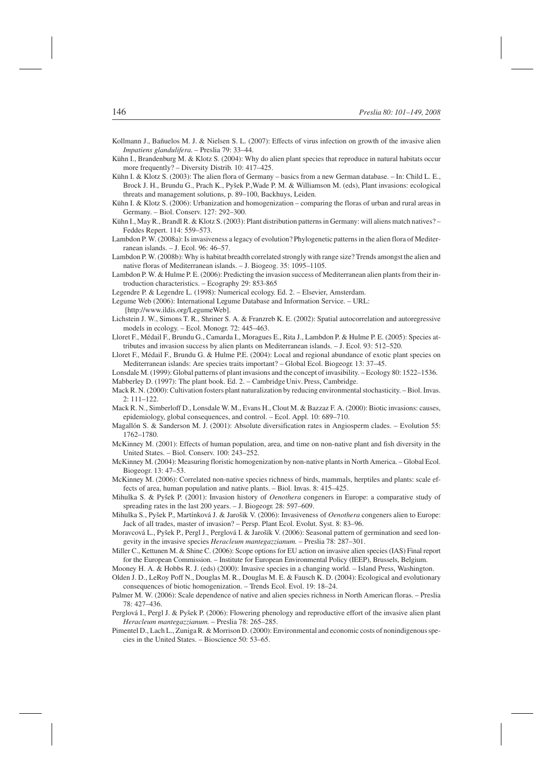- Kollmann J., Bañuelos M. J. & Nielsen S. L. (2007): Effects of virus infection on growth of the invasive alien *Impatiens glandulifera*. – Preslia 79: 33–44.
- Kühn I., Brandenburg M. & Klotz S. (2004): Why do alien plant species that reproduce in natural habitats occur more frequently? – Diversity Distrib. 10: 417–425.
- Kühn I. & Klotz S. (2003): The alien flora of Germany basics from a new German database. In: Child L. E., Brock J. H., Brundu G., Prach K., Pyšek P.,Wade P. M. & Williamson M. (eds), Plant invasions: ecological threats and management solutions, p. 89–100, Backhuys, Leiden.
- Kühn I. & Klotz S. (2006): Urbanization and homogenization comparing the floras of urban and rural areas in Germany. – Biol. Conserv. 127: 292–300.
- Kühn I., May R., Brandl R. & Klotz S. (2003): Plant distribution patterns in Germany: will aliens match natives? Feddes Repert. 114: 559–573.
- Lambdon P. W. (2008a): Is invasiveness a legacy of evolution? Phylogenetic patterns in the alien flora of Mediterranean islands. – J. Ecol. 96: 46–57.
- Lambdon P. W. (2008b): Why is habitat breadth correlated strongly with range size? Trends amongst the alien and native floras of Mediterranean islands. – J. Biogeog. 35: 1095–1105.
- Lambdon P. W. & Hulme P. E. (2006): Predicting the invasion success of Mediterranean alien plants from their introduction characteristics. – Ecography 29: 853-865
- Legendre P. & Legendre L. (1998): Numerical ecology. Ed. 2. Elsevier, Amsterdam.
- Legume Web (2006): International Legume Database and Information Service. URL: [http://www.ildis.org/LegumeWeb].
- Lichstein J. W., Simons T. R., Shriner S. A. & Franzreb K. E. (2002): Spatial autocorrelation and autoregressive models in ecology. – Ecol. Monogr. 72: 445–463.
- Lloret F., Médail F., Brundu G., Camarda I., Moragues E., Rita J., Lambdon P. & Hulme P. E. (2005): Species attributes and invasion success by alien plants on Mediterranean islands. – J. Ecol. 93: 512–520.
- Lloret F., Médail F., Brundu G. & Hulme P.E. (2004): Local and regional abundance of exotic plant species on Mediterranean islands: Are species traits important? – Global Ecol. Biogeogr. 13: 37–45.
- Lonsdale M. (1999): Global patterns of plant invasions and the concept of invasibility. Ecology 80: 1522–1536.
- Mabberley D. (1997): The plant book. Ed. 2. Cambridge Univ. Press, Cambridge.
- Mack R. N. (2000): Cultivation fosters plant naturalization by reducing environmental stochasticity. Biol. Invas. 2: 111–122.
- Mack R. N., Simberloff D., Lonsdale W. M., Evans H., Clout M. & Bazzaz F. A. (2000): Biotic invasions: causes, epidemiology, global consequences, and control. – Ecol. Appl. 10: 689–710.
- Magallón S. & Sanderson M. J. (2001): Absolute diversification rates in Angiosperm clades. Evolution 55: 1762–1780.
- McKinney M. (2001): Effects of human population, area, and time on non-native plant and fish diversity in the United States. – Biol. Conserv. 100: 243–252.
- McKinney M. (2004): Measuring floristic homogenization by non-native plants in North America. Global Ecol. Biogeogr. 13: 47–53.
- McKinney M. (2006): Correlated non-native species richness of birds, mammals, herptiles and plants: scale effects of area, human population and native plants. – Biol. Invas. 8: 415–425.
- Mihulka S. & Pyšek P. (2001): Invasion history of *Oenothera* congeners in Europe: a comparative study of spreading rates in the last 200 years. – J. Biogeogr. 28: 597–609.
- Mihulka S., Pyšek P., Martínková J. & Jarošík V. (2006): Invasiveness of *Oenothera* congeners alien to Europe: Jack of all trades, master of invasion? – Persp. Plant Ecol. Evolut. Syst. 8: 83–96.
- Moravcová L., Pyšek P., Pergl J., Perglová I. & Jarošík V. (2006): Seasonal pattern of germination and seed longevity in the invasive species *Heracleum mantegazzianum.* – Preslia 78: 287–301.
- Miller C., Kettunen M. & Shine C. (2006): Scope options for EU action on invasive alien species (IAS) Final report for the European Commission. – Institute for European Environmental Policy (IEEP), Brussels, Belgium.
- Mooney H. A. & Hobbs R. J. (eds) (2000): Invasive species in a changing world. Island Press, Washington.
- Olden J. D., LeRoy Poff N., Douglas M. R., Douglas M. E. & Fausch K. D. (2004): Ecological and evolutionary consequences of biotic homogenization. – Trends Ecol. Evol. 19: 18–24.
- Palmer M. W. (2006): Scale dependence of native and alien species richness in North American floras. Preslia 78: 427–436.
- Perglová I., Pergl J. & Pyšek P. (2006): Flowering phenology and reproductive effort of the invasive alien plant *Heracleum mantegazzianum.* – Preslia 78: 265–285.
- Pimentel D., Lach L., Zuniga R. & Morrison D. (2000): Environmental and economic costs of nonindigenous species in the United States. – Bioscience 50: 53–65.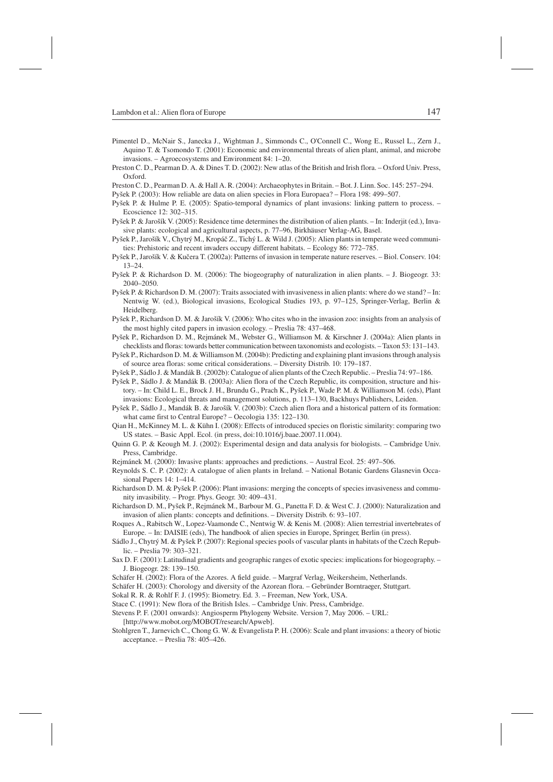- Pimentel D., McNair S., Janecka J., Wightman J., Simmonds C., O'Connell C., Wong E., Russel L., Zern J., Aquino T. & Tsomondo T. (2001): Economic and environmental threats of alien plant, animal, and microbe invasions. – Agroecosystems and Environment 84: 1–20.
- Preston C. D., Pearman D. A. & Dines T. D. (2002): New atlas of the British and Irish flora. Oxford Univ. Press, Oxford.
- Preston C. D., Pearman D. A. & Hall A. R. (2004): Archaeophytes in Britain. Bot. J. Linn. Soc. 145: 257–294.
- Pyšek P. (2003): How reliable are data on alien species in Flora Europaea? Flora 198: 499–507.
- Pyšek P. & Hulme P. E. (2005): Spatio-temporal dynamics of plant invasions: linking pattern to process. Ecoscience 12: 302–315.
- Pyšek P. & Jarošík V. (2005): Residence time determines the distribution of alien plants. In: Inderjit (ed.), Invasive plants: ecological and agricultural aspects, p. 77–96, Birkhäuser Verlag-AG, Basel.
- Pyšek P., Jarošík V., Chytrý M., Kropáč Z., Tichý L. & Wild J. (2005): Alien plants in temperate weed communities: Prehistoric and recent invaders occupy different habitats. – Ecology 86: 772–785.
- Pyšek P., Jarošík V. & Kučera T. (2002a): Patterns of invasion in temperate nature reserves. Biol. Conserv. 104: 13–24.
- Pyšek P. & Richardson D. M. (2006): The biogeography of naturalization in alien plants. J. Biogeogr. 33: 2040–2050.
- Pyšek P. & Richardson D. M. (2007): Traits associated with invasiveness in alien plants: where do we stand? In: Nentwig W. (ed.), Biological invasions, Ecological Studies 193, p. 97–125, Springer-Verlag, Berlin & Heidelberg.
- Pyšek P., Richardson D. M. & Jarošík V. (2006): Who cites who in the invasion zoo: insights from an analysis of the most highly cited papers in invasion ecology. – Preslia 78: 437–468.
- Pyšek P., Richardson D. M., Rejmánek M., Webster G., Williamson M. & Kirschner J. (2004a): Alien plants in checklists and floras: towards better communication between taxonomists and ecologists. – Taxon 53: 131–143.
- Pyšek P., Richardson D. M. & Williamson M. (2004b): Predicting and explaining plant invasions through analysis of source area floras: some critical considerations. – Diversity Distrib. 10: 179–187.
- Pyšek P., Sádlo J. & Mandák B. (2002b): Catalogue of alien plants of the Czech Republic. Preslia 74: 97–186.
- Pyšek P., Sádlo J. & Mandák B. (2003a): Alien flora of the Czech Republic, its composition, structure and history. – In: Child L. E., Brock J. H., Brundu G., Prach K., Pyšek P., Wade P. M. & Williamson M. (eds), Plant invasions: Ecological threats and management solutions, p. 113–130, Backhuys Publishers, Leiden.
- Pyšek P., Sádlo J., Mandák B. & Jarošík V. (2003b): Czech alien flora and a historical pattern of its formation: what came first to Central Europe? – Oecologia 135: 122–130.
- Qian H., McKinney M. L. & Kühn I. (2008): Effects of introduced species on floristic similarity: comparing two US states. – Basic Appl. Ecol. (in press, doi:10.1016/j.baae.2007.11.004).
- Quinn G. P. & Keough M. J. (2002): Experimental design and data analysis for biologists. Cambridge Univ. Press, Cambridge.
- Rejmánek M. (2000): Invasive plants: approaches and predictions. Austral Ecol. 25: 497–506.
- Reynolds S. C. P. (2002): A catalogue of alien plants in Ireland. National Botanic Gardens Glasnevin Occasional Papers 14: 1–414.
- Richardson D. M. & Pyšek P. (2006): Plant invasions: merging the concepts of species invasiveness and community invasibility. – Progr. Phys. Geogr. 30: 409–431.
- Richardson D. M., Pyšek P., Rejmánek M., Barbour M. G., Panetta F. D. & West C. J. (2000): Naturalization and invasion of alien plants: concepts and definitions. – Diversity Distrib. 6: 93–107.
- Roques A., Rabitsch W., Lopez-Vaamonde C., Nentwig W. & Kenis M. (2008): Alien terrestrial invertebrates of Europe. – In: DAISIE (eds), The handbook of alien species in Europe, Springer, Berlin (in press).
- Sádlo J., Chytrý M. & Pyšek P. (2007): Regional species pools of vascular plants in habitats of the Czech Republic. – Preslia 79: 303–321.
- Sax D. F. (2001): Latitudinal gradients and geographic ranges of exotic species: implications for biogeography. J. Biogeogr. 28: 139–150.
- Schäfer H. (2002): Flora of the Azores. A field guide. Margraf Verlag, Weikersheim, Netherlands.
- Schäfer H. (2003): Chorology and diversity of the Azorean flora. Gebründer Borntraeger, Stuttgart.
- Sokal R. R. & Rohlf F. J. (1995): Biometry. Ed. 3. Freeman, New York, USA.
- Stace C. (1991): New flora of the British Isles. Cambridge Univ. Press, Cambridge.
- Stevens P. F. (2001 onwards): Angiosperm Phylogeny Website. Version 7, May 2006. URL: [http://www.mobot.org/MOBOT/research/Apweb].
- Stohlgren T., Jarnevich C., Chong G. W. & Evangelista P. H. (2006): Scale and plant invasions: a theory of biotic acceptance. – Preslia 78: 405–426.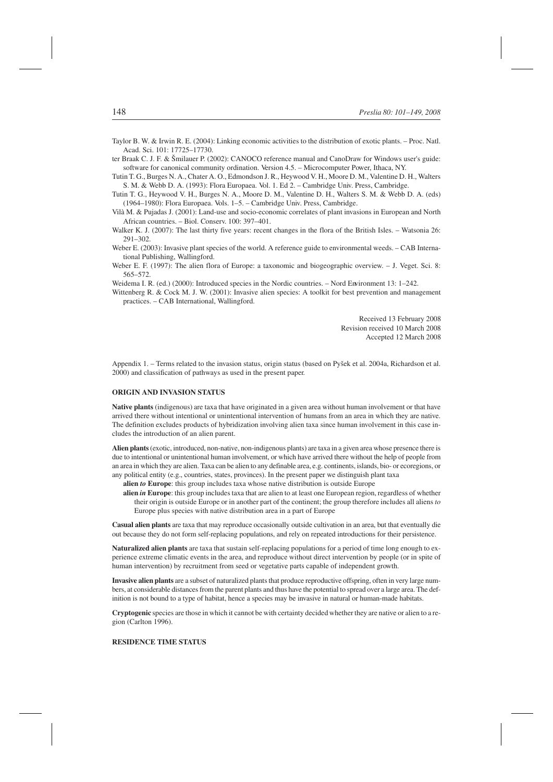- Taylor B. W. & Irwin R. E. (2004): Linking economic activities to the distribution of exotic plants. Proc. Natl. Acad. Sci. 101: 17725–17730.
- ter Braak C. J. F. & Šmilauer P. (2002): CANOCO reference manual and CanoDraw for Windows user's guide: software for canonical community ordination. Version 4.5. – Microcomputer Power, Ithaca, NY.
- Tutin T. G., Burges N. A., Chater A. O., Edmondson J. R., Heywood V. H., Moore D. M., Valentine D. H., Walters S. M. & Webb D. A. (1993): Flora Europaea. Vol. 1. Ed 2. – Cambridge Univ. Press, Cambridge.
- Tutin T. G., Heywood V. H., Burges N. A., Moore D. M., Valentine D. H., Walters S. M. & Webb D. A. (eds) (1964–1980): Flora Europaea. Vols. 1–5. – Cambridge Univ. Press, Cambridge.
- Vilà M. & Pujadas J. (2001): Land-use and socio-economic correlates of plant invasions in European and North African countries. – Biol. Conserv. 100: 397–401.
- Walker K. J. (2007): The last thirty five years: recent changes in the flora of the British Isles. Watsonia 26: 291–302.
- Weber E. (2003): Invasive plant species of the world. A reference guide to environmental weeds. CAB International Publishing, Wallingford.
- Weber E. F. (1997): The alien flora of Europe: a taxonomic and biogeographic overview. J. Veget. Sci. 8: 565–572.
- Weidema I. R. (ed.) (2000): Introduced species in the Nordic countries. Nord Environment 13: 1–242.
- Wittenberg R. & Cock M. J. W. (2001): Invasive alien species: A toolkit for best prevention and management practices. – CAB International, Wallingford.

Received 13 February 2008 Revision received 10 March 2008 Accepted 12 March 2008

Appendix 1. – Terms related to the invasion status, origin status (based on Pyšek et al. 2004a, Richardson et al. 2000) and classification of pathways as used in the present paper.

# **ORIGIN AND INVASION STATUS**

**Native plants** (indigenous) are taxa that have originated in a given area without human involvement or that have arrived there without intentional or unintentional intervention of humans from an area in which they are native. The definition excludes products of hybridization involving alien taxa since human involvement in this case includes the introduction of an alien parent.

**Alien plants**(exotic, introduced, non-native, non-indigenous plants) are taxa in a given area whose presence there is due to intentional or unintentional human involvement, or which have arrived there without the help of people from an area in which they are alien. Taxa can be alien to any definable area, e.g. continents, islands, bio- or ecoregions, or any political entity (e.g., countries, states, provinces). In the present paper we distinguish plant taxa

**alien** *to* **Europe**: this group includes taxa whose native distribution is outside Europe

**alien** *in* **Europe**: this group includes taxa that are alien to at least one European region, regardless of whether their origin is outside Europe or in another part of the continent; the group therefore includes all aliens *to* Europe plus species with native distribution area in a part of Europe

**Casual alien plants** are taxa that may reproduce occasionally outside cultivation in an area, but that eventually die out because they do not form self-replacing populations, and rely on repeated introductions for their persistence.

**Naturalized alien plants** are taxa that sustain self-replacing populations for a period of time long enough to experience extreme climatic events in the area, and reproduce without direct intervention by people (or in spite of human intervention) by recruitment from seed or vegetative parts capable of independent growth.

**Invasive alien plants** are a subset of naturalized plants that produce reproductive offspring, often in very large numbers, at considerable distances from the parent plants and thus have the potential to spread over a large area. The definition is not bound to a type of habitat, hence a species may be invasive in natural or human-made habitats.

**Cryptogenic** species are those in which it cannot be with certainty decided whether they are native or alien to a region (Carlton 1996).

# **RESIDENCE TIME STATUS**